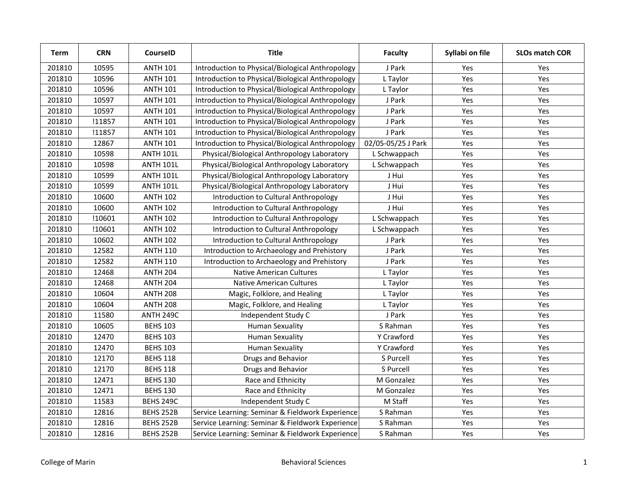| <b>Term</b> | <b>CRN</b> | CourseID         | <b>Title</b>                                     | <b>Faculty</b>     | Syllabi on file | <b>SLOs match COR</b> |
|-------------|------------|------------------|--------------------------------------------------|--------------------|-----------------|-----------------------|
| 201810      | 10595      | <b>ANTH 101</b>  | Introduction to Physical/Biological Anthropology | J Park             | Yes             | Yes                   |
| 201810      | 10596      | <b>ANTH 101</b>  | Introduction to Physical/Biological Anthropology | L Taylor           | Yes             | Yes                   |
| 201810      | 10596      | <b>ANTH 101</b>  | Introduction to Physical/Biological Anthropology | L Taylor           | Yes             | Yes                   |
| 201810      | 10597      | <b>ANTH 101</b>  | Introduction to Physical/Biological Anthropology | J Park             | Yes             | Yes                   |
| 201810      | 10597      | <b>ANTH 101</b>  | Introduction to Physical/Biological Anthropology | J Park             | Yes             | Yes                   |
| 201810      | !11857     | <b>ANTH 101</b>  | Introduction to Physical/Biological Anthropology | J Park             | Yes             | Yes                   |
| 201810      | !11857     | <b>ANTH 101</b>  | Introduction to Physical/Biological Anthropology | J Park             | Yes             | Yes                   |
| 201810      | 12867      | <b>ANTH 101</b>  | Introduction to Physical/Biological Anthropology | 02/05-05/25 J Park | Yes             | Yes                   |
| 201810      | 10598      | <b>ANTH 101L</b> | Physical/Biological Anthropology Laboratory      | L Schwappach       | Yes             | Yes                   |
| 201810      | 10598      | <b>ANTH 101L</b> | Physical/Biological Anthropology Laboratory      | L Schwappach       | Yes             | Yes                   |
| 201810      | 10599      | <b>ANTH 101L</b> | Physical/Biological Anthropology Laboratory      | J Hui              | Yes             | Yes                   |
| 201810      | 10599      | <b>ANTH 101L</b> | Physical/Biological Anthropology Laboratory      | J Hui              | Yes             | Yes                   |
| 201810      | 10600      | <b>ANTH 102</b>  | Introduction to Cultural Anthropology            | J Hui              | Yes             | Yes                   |
| 201810      | 10600      | <b>ANTH 102</b>  | Introduction to Cultural Anthropology            | J Hui              | Yes             | Yes                   |
| 201810      | !10601     | <b>ANTH 102</b>  | Introduction to Cultural Anthropology            | L Schwappach       | Yes             | Yes                   |
| 201810      | !10601     | <b>ANTH 102</b>  | Introduction to Cultural Anthropology            | L Schwappach       | Yes             | Yes                   |
| 201810      | 10602      | <b>ANTH 102</b>  | Introduction to Cultural Anthropology            | J Park             | Yes             | Yes                   |
| 201810      | 12582      | <b>ANTH 110</b>  | Introduction to Archaeology and Prehistory       | J Park             | Yes             | Yes                   |
| 201810      | 12582      | <b>ANTH 110</b>  | Introduction to Archaeology and Prehistory       | J Park             | Yes             | Yes                   |
| 201810      | 12468      | <b>ANTH 204</b>  | <b>Native American Cultures</b>                  | L Taylor           | Yes             | Yes                   |
| 201810      | 12468      | <b>ANTH 204</b>  | <b>Native American Cultures</b>                  | L Taylor           | Yes             | Yes                   |
| 201810      | 10604      | <b>ANTH 208</b>  | Magic, Folklore, and Healing                     | L Taylor           | Yes             | Yes                   |
| 201810      | 10604      | <b>ANTH 208</b>  | Magic, Folklore, and Healing                     | L Taylor           | Yes             | Yes                   |
| 201810      | 11580      | ANTH 249C        | Independent Study C                              | J Park             | Yes             | Yes                   |
| 201810      | 10605      | <b>BEHS 103</b>  | <b>Human Sexuality</b>                           | S Rahman           | Yes             | Yes                   |
| 201810      | 12470      | <b>BEHS 103</b>  | <b>Human Sexuality</b>                           | Y Crawford         | Yes             | Yes                   |
| 201810      | 12470      | <b>BEHS 103</b>  | <b>Human Sexuality</b>                           | Y Crawford         | Yes             | Yes                   |
| 201810      | 12170      | <b>BEHS 118</b>  | Drugs and Behavior                               | S Purcell          | Yes             | Yes                   |
| 201810      | 12170      | <b>BEHS 118</b>  | Drugs and Behavior                               | S Purcell          | Yes             | Yes                   |
| 201810      | 12471      | <b>BEHS 130</b>  | Race and Ethnicity                               | M Gonzalez         | Yes             | Yes                   |
| 201810      | 12471      | <b>BEHS 130</b>  | Race and Ethnicity                               | M Gonzalez         | Yes             | Yes                   |
| 201810      | 11583      | <b>BEHS 249C</b> | Independent Study C                              | M Staff            | Yes             | Yes                   |
| 201810      | 12816      | BEHS 252B        | Service Learning: Seminar & Fieldwork Experience | S Rahman           | Yes             | Yes                   |
| 201810      | 12816      | <b>BEHS 252B</b> | Service Learning: Seminar & Fieldwork Experience | S Rahman           | Yes             | Yes                   |
| 201810      | 12816      | BEHS 252B        | Service Learning: Seminar & Fieldwork Experience | S Rahman           | Yes             | Yes                   |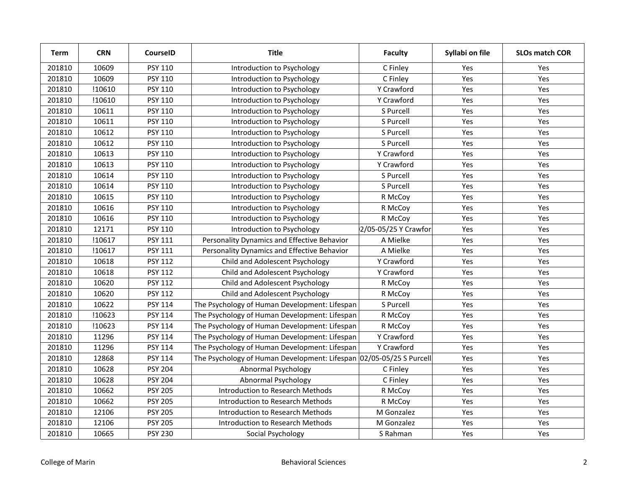| <b>Term</b> | <b>CRN</b> | CourselD       | <b>Title</b>                                                        | <b>Faculty</b>       | Syllabi on file | <b>SLOs match COR</b> |
|-------------|------------|----------------|---------------------------------------------------------------------|----------------------|-----------------|-----------------------|
| 201810      | 10609      | PSY 110        | Introduction to Psychology                                          | C Finley             | Yes             | Yes                   |
| 201810      | 10609      | <b>PSY 110</b> | Introduction to Psychology                                          | C Finley             | <b>Yes</b>      | Yes                   |
| 201810      | !10610     | <b>PSY 110</b> | Introduction to Psychology                                          | Y Crawford           | Yes             | Yes                   |
| 201810      | !10610     | PSY 110        | Introduction to Psychology                                          | <b>Y</b> Crawford    | Yes             | Yes                   |
| 201810      | 10611      | PSY 110        | Introduction to Psychology                                          | S Purcell            | Yes             | Yes                   |
| 201810      | 10611      | PSY 110        | Introduction to Psychology                                          | S Purcell            | Yes             | Yes                   |
| 201810      | 10612      | PSY 110        | Introduction to Psychology                                          | S Purcell            | Yes             | Yes                   |
| 201810      | 10612      | PSY 110        | Introduction to Psychology                                          | S Purcell            | Yes             | Yes                   |
| 201810      | 10613      | PSY 110        | Introduction to Psychology                                          | Y Crawford           | Yes             | Yes                   |
| 201810      | 10613      | PSY 110        | Introduction to Psychology                                          | Y Crawford           | Yes             | Yes                   |
| 201810      | 10614      | PSY 110        | Introduction to Psychology                                          | S Purcell            | Yes             | Yes                   |
| 201810      | 10614      | PSY 110        | Introduction to Psychology                                          | S Purcell            | Yes             | Yes                   |
| 201810      | 10615      | PSY 110        | Introduction to Psychology                                          | R McCoy              | Yes             | Yes                   |
| 201810      | 10616      | PSY 110        | Introduction to Psychology                                          | R McCoy              | Yes             | Yes                   |
| 201810      | 10616      | PSY 110        | Introduction to Psychology                                          | R McCoy              | Yes             | Yes                   |
| 201810      | 12171      | PSY 110        | Introduction to Psychology                                          | 2/05-05/25 Y Crawfor | Yes             | Yes                   |
| 201810      | !10617     | PSY 111        | Personality Dynamics and Effective Behavior                         | A Mielke             | Yes             | Yes                   |
| 201810      | !10617     | <b>PSY 111</b> | Personality Dynamics and Effective Behavior                         | A Mielke             | Yes             | Yes                   |
| 201810      | 10618      | <b>PSY 112</b> | Child and Adolescent Psychology                                     | Y Crawford           | Yes             | Yes                   |
| 201810      | 10618      | <b>PSY 112</b> | Child and Adolescent Psychology                                     | Y Crawford           | Yes             | Yes                   |
| 201810      | 10620      | <b>PSY 112</b> | Child and Adolescent Psychology                                     | R McCoy              | Yes             | Yes                   |
| 201810      | 10620      | PSY 112        | Child and Adolescent Psychology                                     | R McCoy              | Yes             | Yes                   |
| 201810      | 10622      | PSY 114        | The Psychology of Human Development: Lifespan                       | S Purcell            | Yes             | Yes                   |
| 201810      | !10623     | PSY 114        | The Psychology of Human Development: Lifespan                       | R McCoy              | Yes             | Yes                   |
| 201810      | !10623     | PSY 114        | The Psychology of Human Development: Lifespan                       | R McCoy              | Yes             | Yes                   |
| 201810      | 11296      | PSY 114        | The Psychology of Human Development: Lifespan                       | Y Crawford           | Yes             | Yes                   |
| 201810      | 11296      | PSY 114        | The Psychology of Human Development: Lifespan                       | Y Crawford           | Yes             | Yes                   |
| 201810      | 12868      | <b>PSY 114</b> | The Psychology of Human Development: Lifespan 02/05-05/25 S Purcell |                      | Yes             | Yes                   |
| 201810      | 10628      | <b>PSY 204</b> | Abnormal Psychology                                                 | C Finley             | Yes             | Yes                   |
| 201810      | 10628      | <b>PSY 204</b> | Abnormal Psychology                                                 | C Finley             | Yes             | Yes                   |
| 201810      | 10662      | <b>PSY 205</b> | Introduction to Research Methods                                    | R McCoy              | Yes             | Yes                   |
| 201810      | 10662      | <b>PSY 205</b> | Introduction to Research Methods                                    | R McCoy              | Yes             | Yes                   |
| 201810      | 12106      | <b>PSY 205</b> | Introduction to Research Methods                                    | M Gonzalez           | Yes             | Yes                   |
| 201810      | 12106      | <b>PSY 205</b> | Introduction to Research Methods                                    | M Gonzalez           | Yes             | Yes                   |
| 201810      | 10665      | <b>PSY 230</b> | Social Psychology                                                   | S Rahman             | Yes             | Yes                   |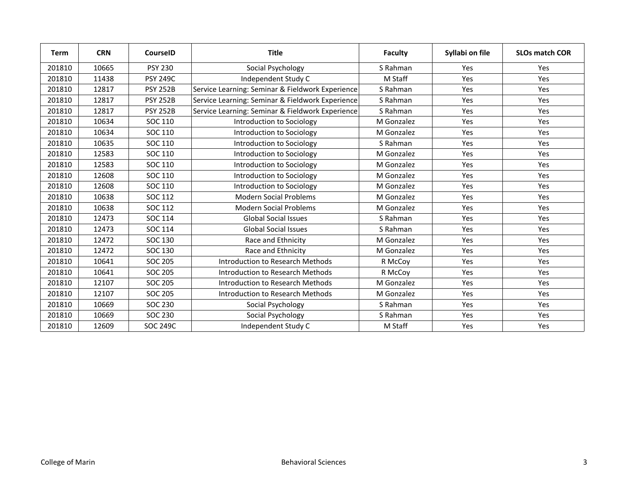| <b>Term</b> | <b>CRN</b> | <b>CourseID</b> | <b>Title</b>                                     | <b>Faculty</b> | Syllabi on file | <b>SLOs match COR</b> |
|-------------|------------|-----------------|--------------------------------------------------|----------------|-----------------|-----------------------|
| 201810      | 10665      | <b>PSY 230</b>  | Social Psychology                                | S Rahman       | Yes             | Yes                   |
| 201810      | 11438      | <b>PSY 249C</b> | Independent Study C                              | M Staff        | Yes             | Yes                   |
| 201810      | 12817      | <b>PSY 252B</b> | Service Learning: Seminar & Fieldwork Experience | S Rahman       | Yes             | Yes                   |
| 201810      | 12817      | <b>PSY 252B</b> | Service Learning: Seminar & Fieldwork Experience | S Rahman       | Yes             | Yes                   |
| 201810      | 12817      | <b>PSY 252B</b> | Service Learning: Seminar & Fieldwork Experience | S Rahman       | Yes             | Yes                   |
| 201810      | 10634      | SOC 110         | Introduction to Sociology                        | M Gonzalez     | Yes             | <b>Yes</b>            |
| 201810      | 10634      | SOC 110         | Introduction to Sociology                        | M Gonzalez     | Yes             | Yes                   |
| 201810      | 10635      | SOC 110         | Introduction to Sociology                        | S Rahman       | Yes             | Yes                   |
| 201810      | 12583      | SOC 110         | Introduction to Sociology                        | M Gonzalez     | Yes             | Yes                   |
| 201810      | 12583      | SOC 110         | Introduction to Sociology                        | M Gonzalez     | Yes             | Yes                   |
| 201810      | 12608      | SOC 110         | Introduction to Sociology                        | M Gonzalez     | Yes             | Yes                   |
| 201810      | 12608      | SOC 110         | Introduction to Sociology                        | M Gonzalez     | Yes             | Yes                   |
| 201810      | 10638      | SOC 112         | <b>Modern Social Problems</b>                    | M Gonzalez     | Yes             | Yes                   |
| 201810      | 10638      | SOC 112         | <b>Modern Social Problems</b>                    | M Gonzalez     | Yes             | Yes                   |
| 201810      | 12473      | SOC 114         | <b>Global Social Issues</b>                      | S Rahman       | Yes             | Yes                   |
| 201810      | 12473      | SOC 114         | <b>Global Social Issues</b>                      | S Rahman       | Yes             | Yes                   |
| 201810      | 12472      | SOC 130         | Race and Ethnicity                               | M Gonzalez     | Yes             | Yes                   |
| 201810      | 12472      | SOC 130         | Race and Ethnicity                               | M Gonzalez     | Yes             | Yes                   |
| 201810      | 10641      | <b>SOC 205</b>  | Introduction to Research Methods                 | R McCoy        | Yes             | <b>Yes</b>            |
| 201810      | 10641      | <b>SOC 205</b>  | Introduction to Research Methods                 | R McCoy        | Yes             | Yes                   |
| 201810      | 12107      | <b>SOC 205</b>  | Introduction to Research Methods                 | M Gonzalez     | Yes             | Yes                   |
| 201810      | 12107      | <b>SOC 205</b>  | Introduction to Research Methods                 | M Gonzalez     | Yes             | Yes                   |
| 201810      | 10669      | <b>SOC 230</b>  | Social Psychology                                | S Rahman       | Yes             | Yes                   |
| 201810      | 10669      | SOC 230         | Social Psychology                                | S Rahman       | Yes             | Yes                   |
| 201810      | 12609      | <b>SOC 249C</b> | Independent Study C                              | M Staff        | Yes             | Yes                   |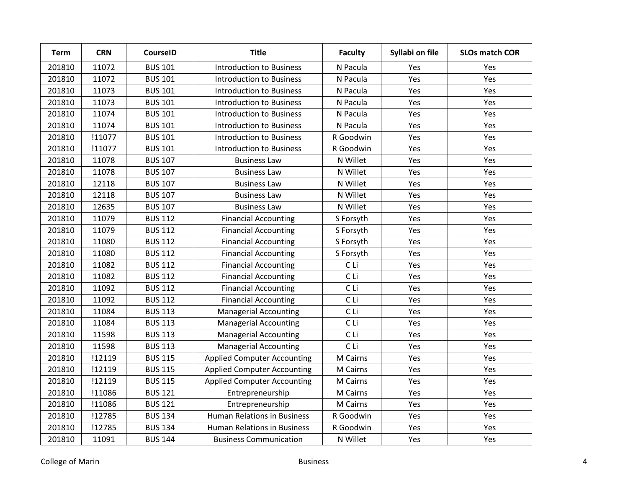| Term   | <b>CRN</b> | <b>CourseID</b> | <b>Title</b>                       | <b>Faculty</b> | Syllabi on file | <b>SLOs match COR</b> |
|--------|------------|-----------------|------------------------------------|----------------|-----------------|-----------------------|
| 201810 | 11072      | <b>BUS 101</b>  | <b>Introduction to Business</b>    | N Pacula       | Yes             | Yes                   |
| 201810 | 11072      | <b>BUS 101</b>  | <b>Introduction to Business</b>    | N Pacula       | Yes             | Yes                   |
| 201810 | 11073      | <b>BUS 101</b>  | <b>Introduction to Business</b>    | N Pacula       | Yes             | Yes                   |
| 201810 | 11073      | <b>BUS 101</b>  | <b>Introduction to Business</b>    | N Pacula       | Yes             | Yes                   |
| 201810 | 11074      | <b>BUS 101</b>  | <b>Introduction to Business</b>    | N Pacula       | Yes             | Yes                   |
| 201810 | 11074      | <b>BUS 101</b>  | <b>Introduction to Business</b>    | N Pacula       | Yes             | Yes                   |
| 201810 | !11077     | <b>BUS 101</b>  | <b>Introduction to Business</b>    | R Goodwin      | Yes             | Yes                   |
| 201810 | !11077     | <b>BUS 101</b>  | <b>Introduction to Business</b>    | R Goodwin      | Yes             | Yes                   |
| 201810 | 11078      | <b>BUS 107</b>  | <b>Business Law</b>                | N Willet       | Yes             | Yes                   |
| 201810 | 11078      | <b>BUS 107</b>  | <b>Business Law</b>                | N Willet       | Yes             | Yes                   |
| 201810 | 12118      | <b>BUS 107</b>  | <b>Business Law</b>                | N Willet       | Yes             | Yes                   |
| 201810 | 12118      | <b>BUS 107</b>  | <b>Business Law</b>                | N Willet       | Yes             | Yes                   |
| 201810 | 12635      | <b>BUS 107</b>  | <b>Business Law</b>                | N Willet       | Yes             | Yes                   |
| 201810 | 11079      | <b>BUS 112</b>  | <b>Financial Accounting</b>        | S Forsyth      | Yes             | Yes                   |
| 201810 | 11079      | <b>BUS 112</b>  | <b>Financial Accounting</b>        | S Forsyth      | Yes             | Yes                   |
| 201810 | 11080      | <b>BUS 112</b>  | <b>Financial Accounting</b>        | S Forsyth      | Yes             | Yes                   |
| 201810 | 11080      | <b>BUS 112</b>  | <b>Financial Accounting</b>        | S Forsyth      | Yes             | Yes                   |
| 201810 | 11082      | <b>BUS 112</b>  | <b>Financial Accounting</b>        | C Li           | Yes             | Yes                   |
| 201810 | 11082      | <b>BUS 112</b>  | <b>Financial Accounting</b>        | C Li           | Yes             | Yes                   |
| 201810 | 11092      | <b>BUS 112</b>  | <b>Financial Accounting</b>        | C Li           | Yes             | Yes                   |
| 201810 | 11092      | <b>BUS 112</b>  | <b>Financial Accounting</b>        | CLi            | Yes             | Yes                   |
| 201810 | 11084      | <b>BUS 113</b>  | <b>Managerial Accounting</b>       | CLi            | Yes             | Yes                   |
| 201810 | 11084      | <b>BUS 113</b>  | <b>Managerial Accounting</b>       | C Li           | Yes             | Yes                   |
| 201810 | 11598      | <b>BUS 113</b>  | <b>Managerial Accounting</b>       | C Li           | Yes             | Yes                   |
| 201810 | 11598      | <b>BUS 113</b>  | <b>Managerial Accounting</b>       | C Li           | Yes             | Yes                   |
| 201810 | !12119     | <b>BUS 115</b>  | <b>Applied Computer Accounting</b> | M Cairns       | Yes             | Yes                   |
| 201810 | !12119     | <b>BUS 115</b>  | <b>Applied Computer Accounting</b> | M Cairns       | Yes             | Yes                   |
| 201810 | !12119     | <b>BUS 115</b>  | <b>Applied Computer Accounting</b> | M Cairns       | Yes             | Yes                   |
| 201810 | !11086     | <b>BUS 121</b>  | Entrepreneurship                   | M Cairns       | Yes             | Yes                   |
| 201810 | !11086     | <b>BUS 121</b>  | Entrepreneurship                   | M Cairns       | Yes             | Yes                   |
| 201810 | !12785     | <b>BUS 134</b>  | <b>Human Relations in Business</b> | R Goodwin      | Yes             | Yes                   |
| 201810 | !12785     | <b>BUS 134</b>  | <b>Human Relations in Business</b> | R Goodwin      | Yes             | Yes                   |
| 201810 | 11091      | <b>BUS 144</b>  | <b>Business Communication</b>      | N Willet       | Yes             | Yes                   |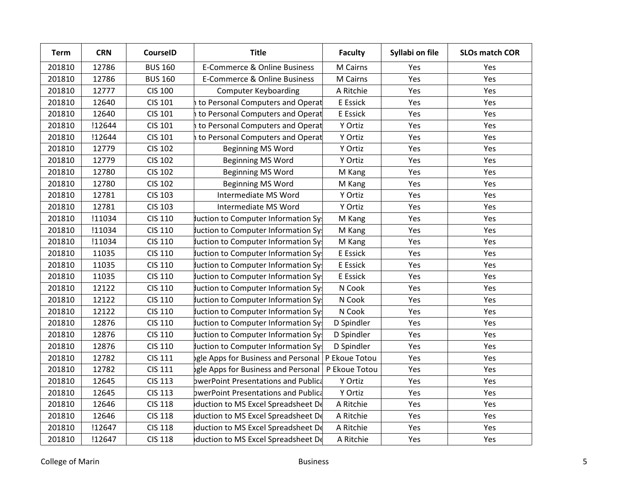| <b>Term</b> | <b>CRN</b> | <b>CourseID</b> | <b>Title</b>                               | <b>Faculty</b> | Syllabi on file | <b>SLOs match COR</b> |
|-------------|------------|-----------------|--------------------------------------------|----------------|-----------------|-----------------------|
| 201810      | 12786      | <b>BUS 160</b>  | E-Commerce & Online Business               | M Cairns       | Yes             | Yes                   |
| 201810      | 12786      | <b>BUS 160</b>  | E-Commerce & Online Business               | M Cairns       | Yes             | Yes                   |
| 201810      | 12777      | <b>CIS 100</b>  | <b>Computer Keyboarding</b>                | A Ritchie      | Yes             | Yes                   |
| 201810      | 12640      | CIS 101         | to Personal Computers and Operat           | E Essick       | Yes             | Yes                   |
| 201810      | 12640      | <b>CIS 101</b>  | <b>h</b> to Personal Computers and Operat  | E Essick       | Yes             | Yes                   |
| 201810      | !12644     | <b>CIS 101</b>  | h to Personal Computers and Operat         | Y Ortiz        | Yes             | Yes                   |
| 201810      | !12644     | <b>CIS 101</b>  | <b>h</b> to Personal Computers and Operat  | Y Ortiz        | Yes             | Yes                   |
| 201810      | 12779      | <b>CIS 102</b>  | <b>Beginning MS Word</b>                   | Y Ortiz        | Yes             | Yes                   |
| 201810      | 12779      | <b>CIS 102</b>  | Beginning MS Word                          | Y Ortiz        | Yes             | Yes                   |
| 201810      | 12780      | <b>CIS 102</b>  | <b>Beginning MS Word</b>                   | M Kang         | Yes             | Yes                   |
| 201810      | 12780      | <b>CIS 102</b>  | <b>Beginning MS Word</b>                   | M Kang         | Yes             | Yes                   |
| 201810      | 12781      | <b>CIS 103</b>  | Intermediate MS Word                       | Y Ortiz        | Yes             | Yes                   |
| 201810      | 12781      | <b>CIS 103</b>  | Intermediate MS Word                       | Y Ortiz        | Yes             | Yes                   |
| 201810      | !11034     | <b>CIS 110</b>  | Juction to Computer Information Sy!        | M Kang         | Yes             | Yes                   |
| 201810      | !11034     | <b>CIS 110</b>  | Juction to Computer Information Sy!        | M Kang         | Yes             | Yes                   |
| 201810      | !11034     | <b>CIS 110</b>  | Juction to Computer Information Sy!        | M Kang         | Yes             | Yes                   |
| 201810      | 11035      | <b>CIS 110</b>  | Juction to Computer Information Sy!        | E Essick       | Yes             | Yes                   |
| 201810      | 11035      | <b>CIS 110</b>  | Juction to Computer Information Sy!        | E Essick       | Yes             | Yes                   |
| 201810      | 11035      | <b>CIS 110</b>  | Juction to Computer Information Sy!        | E Essick       | Yes             | Yes                   |
| 201810      | 12122      | <b>CIS 110</b>  | Juction to Computer Information Sy!        | N Cook         | Yes             | Yes                   |
| 201810      | 12122      | <b>CIS 110</b>  | Juction to Computer Information Sy         | N Cook         | Yes             | Yes                   |
| 201810      | 12122      | <b>CIS 110</b>  | Juction to Computer Information Sy!        | N Cook         | Yes             | Yes                   |
| 201810      | 12876      | <b>CIS 110</b>  | Juction to Computer Information Sy:        | D Spindler     | Yes             | Yes                   |
| 201810      | 12876      | <b>CIS 110</b>  | Juction to Computer Information Sy!        | D Spindler     | Yes             | Yes                   |
| 201810      | 12876      | <b>CIS 110</b>  | Juction to Computer Information Sy:        | D Spindler     | Yes             | Yes                   |
| 201810      | 12782      | <b>CIS 111</b>  | bgle Apps for Business and Personal        | P Ekoue Totou  | Yes             | Yes                   |
| 201810      | 12782      | CIS 111         | bgle Apps for Business and Personal        | P Ekoue Totou  | Yes             | Yes                   |
| 201810      | 12645      | <b>CIS 113</b>  | <b>bwerPoint Presentations and Publica</b> | Y Ortiz        | Yes             | Yes                   |
| 201810      | 12645      | <b>CIS 113</b>  | <b>bwerPoint Presentations and Publica</b> | Y Ortiz        | Yes             | Yes                   |
| 201810      | 12646      | <b>CIS 118</b>  | duction to MS Excel Spreadsheet De         | A Ritchie      | Yes             | Yes                   |
| 201810      | 12646      | <b>CIS 118</b>  | duction to MS Excel Spreadsheet De         | A Ritchie      | Yes             | Yes                   |
| 201810      | !12647     | <b>CIS 118</b>  | duction to MS Excel Spreadsheet De         | A Ritchie      | Yes             | Yes                   |
| 201810      | !12647     | <b>CIS 118</b>  | duction to MS Excel Spreadsheet De         | A Ritchie      | Yes             | Yes                   |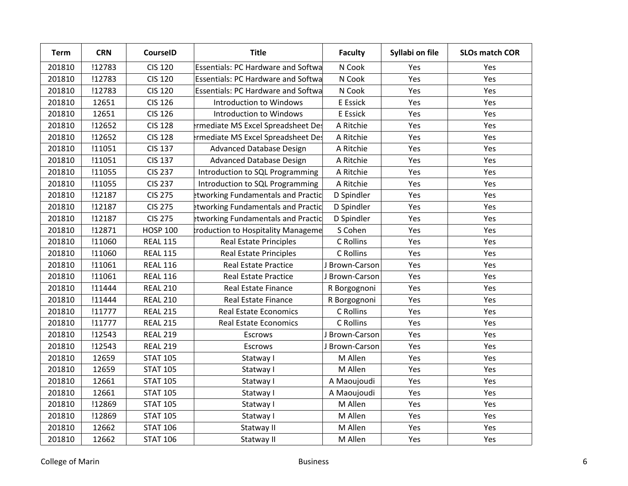| <b>Term</b> | <b>CRN</b> | <b>CourseID</b> | <b>Title</b>                              | <b>Faculty</b> | Syllabi on file | <b>SLOs match COR</b> |
|-------------|------------|-----------------|-------------------------------------------|----------------|-----------------|-----------------------|
| 201810      | !12783     | <b>CIS 120</b>  | <b>Essentials: PC Hardware and Softwa</b> | N Cook         | Yes             | Yes                   |
| 201810      | !12783     | <b>CIS 120</b>  | <b>Essentials: PC Hardware and Softwa</b> | N Cook         | Yes             | Yes                   |
| 201810      | !12783     | <b>CIS 120</b>  | <b>Essentials: PC Hardware and Softwa</b> | N Cook         | Yes             | Yes                   |
| 201810      | 12651      | <b>CIS 126</b>  | Introduction to Windows                   | E Essick       | Yes             | Yes                   |
| 201810      | 12651      | <b>CIS 126</b>  | Introduction to Windows                   | E Essick       | Yes             | Yes                   |
| 201810      | !12652     | <b>CIS 128</b>  | ermediate MS Excel Spreadsheet Des        | A Ritchie      | Yes             | Yes                   |
| 201810      | !12652     | <b>CIS 128</b>  | ermediate MS Excel Spreadsheet Des        | A Ritchie      | Yes             | Yes                   |
| 201810      | !11051     | <b>CIS 137</b>  | Advanced Database Design                  | A Ritchie      | Yes             | Yes                   |
| 201810      | !11051     | <b>CIS 137</b>  | <b>Advanced Database Design</b>           | A Ritchie      | Yes             | Yes                   |
| 201810      | !11055     | <b>CIS 237</b>  | Introduction to SQL Programming           | A Ritchie      | Yes             | Yes                   |
| 201810      | !11055     | <b>CIS 237</b>  | Introduction to SQL Programming           | A Ritchie      | Yes             | Yes                   |
| 201810      | !12187     | <b>CIS 275</b>  | etworking Fundamentals and Practic        | D Spindler     | Yes             | Yes                   |
| 201810      | !12187     | <b>CIS 275</b>  | etworking Fundamentals and Practic        | D Spindler     | Yes             | Yes                   |
| 201810      | !12187     | <b>CIS 275</b>  | etworking Fundamentals and Practic        | D Spindler     | Yes             | Yes                   |
| 201810      | !12871     | <b>HOSP 100</b> | troduction to Hospitality Manageme        | S Cohen        | Yes             | Yes                   |
| 201810      | !11060     | <b>REAL 115</b> | <b>Real Estate Principles</b>             | C Rollins      | Yes             | Yes                   |
| 201810      | !11060     | <b>REAL 115</b> | <b>Real Estate Principles</b>             | C Rollins      | Yes             | Yes                   |
| 201810      | !11061     | <b>REAL 116</b> | <b>Real Estate Practice</b>               | J Brown-Carson | Yes             | Yes                   |
| 201810      | !11061     | <b>REAL 116</b> | <b>Real Estate Practice</b>               | J Brown-Carson | Yes             | Yes                   |
| 201810      | !11444     | <b>REAL 210</b> | <b>Real Estate Finance</b>                | R Borgognoni   | Yes             | Yes                   |
| 201810      | !11444     | <b>REAL 210</b> | <b>Real Estate Finance</b>                | R Borgognoni   | Yes             | Yes                   |
| 201810      | !11777     | <b>REAL 215</b> | <b>Real Estate Economics</b>              | C Rollins      | Yes             | Yes                   |
| 201810      | !11777     | <b>REAL 215</b> | <b>Real Estate Economics</b>              | C Rollins      | Yes             | Yes                   |
| 201810      | !12543     | <b>REAL 219</b> | <b>Escrows</b>                            | J Brown-Carson | Yes             | Yes                   |
| 201810      | !12543     | <b>REAL 219</b> | Escrows                                   | J Brown-Carson | Yes             | Yes                   |
| 201810      | 12659      | <b>STAT 105</b> | Statway I                                 | M Allen        | Yes             | Yes                   |
| 201810      | 12659      | <b>STAT 105</b> | Statway I                                 | M Allen        | Yes             | Yes                   |
| 201810      | 12661      | <b>STAT 105</b> | Statway I                                 | A Maoujoudi    | Yes             | Yes                   |
| 201810      | 12661      | <b>STAT 105</b> | Statway I                                 | A Maoujoudi    | Yes             | Yes                   |
| 201810      | !12869     | <b>STAT 105</b> | Statway I                                 | M Allen        | Yes             | Yes                   |
| 201810      | !12869     | <b>STAT 105</b> | Statway I                                 | M Allen        | Yes             | Yes                   |
| 201810      | 12662      | <b>STAT 106</b> | Statway II                                | M Allen        | Yes             | Yes                   |
| 201810      | 12662      | <b>STAT 106</b> | Statway II                                | M Allen        | Yes             | Yes                   |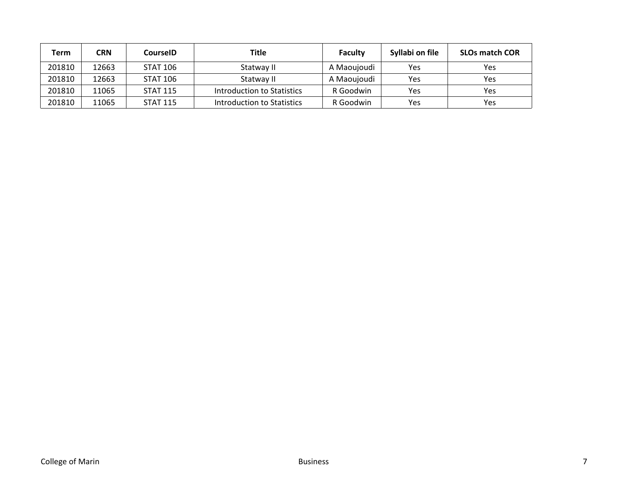| Term   | CRN   | CourselD        | <b>Title</b>               | <b>Faculty</b> | Syllabi on file | <b>SLOs match COR</b> |
|--------|-------|-----------------|----------------------------|----------------|-----------------|-----------------------|
| 201810 | 12663 | <b>STAT 106</b> | Statway II                 | A Maoujoudi    | Yes             | Yes                   |
| 201810 | 12663 | <b>STAT 106</b> | Statway II                 | A Maoujoudi    | Yes             | Yes                   |
| 201810 | 11065 | <b>STAT 115</b> | Introduction to Statistics | R Goodwin      | Yes             | Yes                   |
| 201810 | 11065 | <b>STAT 115</b> | Introduction to Statistics | R Goodwin      | Yes             | Yes                   |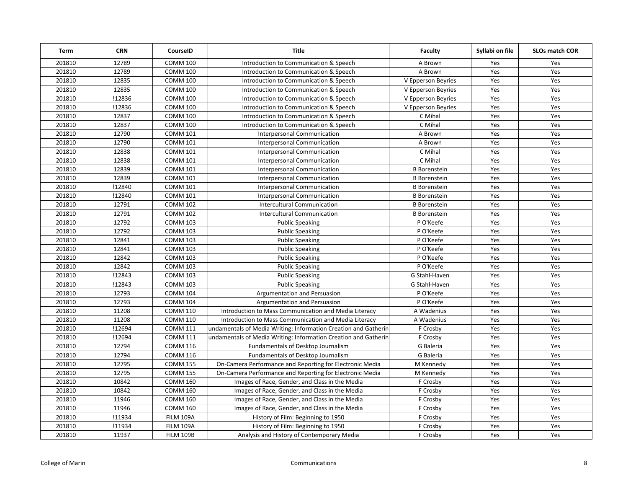| <b>Term</b> | <b>CRN</b> | CourseID         | <b>Title</b>                                                    | <b>Faculty</b>      | Syllabi on file | SLOs match COR |
|-------------|------------|------------------|-----------------------------------------------------------------|---------------------|-----------------|----------------|
| 201810      | 12789      | <b>COMM 100</b>  | Introduction to Communication & Speech                          | A Brown             | Yes             | Yes            |
| 201810      | 12789      | <b>COMM 100</b>  | Introduction to Communication & Speech                          | A Brown             | Yes             | Yes            |
| 201810      | 12835      | <b>COMM 100</b>  | Introduction to Communication & Speech                          | V Epperson Beyries  | Yes             | Yes            |
| 201810      | 12835      | <b>COMM 100</b>  | Introduction to Communication & Speech                          | V Epperson Beyries  | Yes             | Yes            |
| 201810      | !12836     | <b>COMM 100</b>  | Introduction to Communication & Speech                          | V Epperson Beyries  | Yes             | Yes            |
| 201810      | !12836     | <b>COMM 100</b>  | Introduction to Communication & Speech                          | V Epperson Beyries  | Yes             | Yes            |
| 201810      | 12837      | <b>COMM 100</b>  | Introduction to Communication & Speech                          | C Mihal             | Yes             | Yes            |
| 201810      | 12837      | <b>COMM 100</b>  | Introduction to Communication & Speech                          | C Mihal             | Yes             | Yes            |
| 201810      | 12790      | <b>COMM 101</b>  | Interpersonal Communication                                     | A Brown             | Yes             | Yes            |
| 201810      | 12790      | <b>COMM 101</b>  | Interpersonal Communication                                     | A Brown             | Yes             | Yes            |
| 201810      | 12838      | <b>COMM 101</b>  | Interpersonal Communication                                     | C Mihal             | Yes             | Yes            |
| 201810      | 12838      | <b>COMM 101</b>  | <b>Interpersonal Communication</b>                              | C Mihal             | Yes             | Yes            |
| 201810      | 12839      | <b>COMM 101</b>  | Interpersonal Communication                                     | <b>B</b> Borenstein | Yes             | Yes            |
| 201810      | 12839      | <b>COMM 101</b>  | Interpersonal Communication                                     | <b>B</b> Borenstein | Yes             | Yes            |
| 201810      | !12840     | <b>COMM 101</b>  | Interpersonal Communication                                     | <b>B</b> Borenstein | Yes             | Yes            |
| 201810      | !12840     | <b>COMM 101</b>  | <b>Interpersonal Communication</b>                              | <b>B</b> Borenstein | Yes             | Yes            |
| 201810      | 12791      | <b>COMM 102</b>  | Intercultural Communication                                     | <b>B</b> Borenstein | Yes             | Yes            |
| 201810      | 12791      | <b>COMM 102</b>  | <b>Intercultural Communication</b>                              | <b>B</b> Borenstein | Yes             | Yes            |
| 201810      | 12792      | <b>COMM 103</b>  | <b>Public Speaking</b>                                          | P O'Keefe           | Yes             | Yes            |
| 201810      | 12792      | <b>COMM 103</b>  | <b>Public Speaking</b>                                          | P O'Keefe           | Yes             | Yes            |
| 201810      | 12841      | <b>COMM 103</b>  | <b>Public Speaking</b>                                          | P O'Keefe           | Yes             | Yes            |
| 201810      | 12841      | <b>COMM 103</b>  | <b>Public Speaking</b>                                          | P O'Keefe           | Yes             | Yes            |
| 201810      | 12842      | <b>COMM 103</b>  | <b>Public Speaking</b>                                          | P O'Keefe           | Yes             | Yes            |
| 201810      | 12842      | <b>COMM 103</b>  | <b>Public Speaking</b>                                          | P O'Keefe           | Yes             | Yes            |
| 201810      | !12843     | <b>COMM 103</b>  | <b>Public Speaking</b>                                          | G Stahl-Haven       | Yes             | Yes            |
| 201810      | !12843     | <b>COMM 103</b>  | <b>Public Speaking</b>                                          | G Stahl-Haven       | Yes             | Yes            |
| 201810      | 12793      | <b>COMM 104</b>  | Argumentation and Persuasion                                    | P O'Keefe           | Yes             | Yes            |
| 201810      | 12793      | <b>COMM 104</b>  | Argumentation and Persuasion                                    | P O'Keefe           | Yes             | Yes            |
| 201810      | 11208      | <b>COMM 110</b>  | Introduction to Mass Communication and Media Literacy           | A Wadenius          | Yes             | Yes            |
| 201810      | 11208      | <b>COMM 110</b>  | Introduction to Mass Communication and Media Literacy           | A Wadenius          | Yes             | Yes            |
| 201810      | !12694     | <b>COMM 111</b>  | undamentals of Media Writing: Information Creation and Gatherin | F Crosby            | Yes             | Yes            |
| 201810      | !12694     | <b>COMM 111</b>  | undamentals of Media Writing: Information Creation and Gatherin | F Crosby            | Yes             | Yes            |
| 201810      | 12794      | <b>COMM 116</b>  | Fundamentals of Desktop Journalism                              | G Baleria           | Yes             | Yes            |
| 201810      | 12794      | <b>COMM 116</b>  | Fundamentals of Desktop Journalism                              | G Baleria           | Yes             | Yes            |
| 201810      | 12795      | <b>COMM 155</b>  | On-Camera Performance and Reporting for Electronic Media        | M Kennedy           | Yes             | Yes            |
| 201810      | 12795      | <b>COMM 155</b>  | On-Camera Performance and Reporting for Electronic Media        | M Kennedy           | Yes             | Yes            |
| 201810      | 10842      | <b>COMM 160</b>  | Images of Race, Gender, and Class in the Media                  | F Crosby            | Yes             | Yes            |
| 201810      | 10842      | <b>COMM 160</b>  | Images of Race, Gender, and Class in the Media                  | F Crosby            | Yes             | Yes            |
| 201810      | 11946      | <b>COMM 160</b>  | Images of Race, Gender, and Class in the Media                  | F Crosby            | Yes             | Yes            |
| 201810      | 11946      | <b>COMM 160</b>  | Images of Race, Gender, and Class in the Media                  | F Crosby            | Yes             | Yes            |
| 201810      | !11934     | <b>FILM 109A</b> | History of Film: Beginning to 1950                              | F Crosby            | Yes             | Yes            |
| 201810      | !11934     | <b>FILM 109A</b> | History of Film: Beginning to 1950                              | F Crosby            | Yes             | Yes            |
| 201810      | 11937      | <b>FILM 109B</b> | Analysis and History of Contemporary Media                      | F Crosby            | Yes             | Yes            |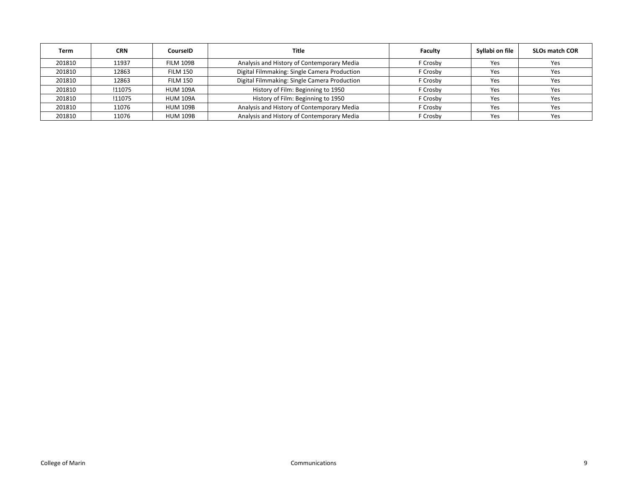| Term   | <b>CRN</b> | CourselD        | Title                                        | <b>Faculty</b> | Syllabi on file | <b>SLOs match COR</b> |
|--------|------------|-----------------|----------------------------------------------|----------------|-----------------|-----------------------|
| 201810 | 11937      | FILM 109B       | Analysis and History of Contemporary Media   | F Crosby       | Yes             | Yes                   |
| 201810 | 12863      | <b>FILM 150</b> | Digital Filmmaking: Single Camera Production | F Crosby       | Yes             | Yes                   |
| 201810 | 12863      | <b>FILM 150</b> | Digital Filmmaking: Single Camera Production | F Crosby       | Yes             | Yes                   |
| 201810 | !11075     | <b>HUM 109A</b> | History of Film: Beginning to 1950           | F Crosby       | Yes             | Yes                   |
| 201810 | !11075     | <b>HUM 109A</b> | History of Film: Beginning to 1950           | F Crosbv       | Yes             | Yes                   |
| 201810 | 11076      | <b>HUM 109B</b> | Analysis and History of Contemporary Media   | F Crosby       | Yes             | Yes                   |
| 201810 | 11076      | <b>HUM 109B</b> | Analysis and History of Contemporary Media   | F Crosbv       | Yes             | Yes                   |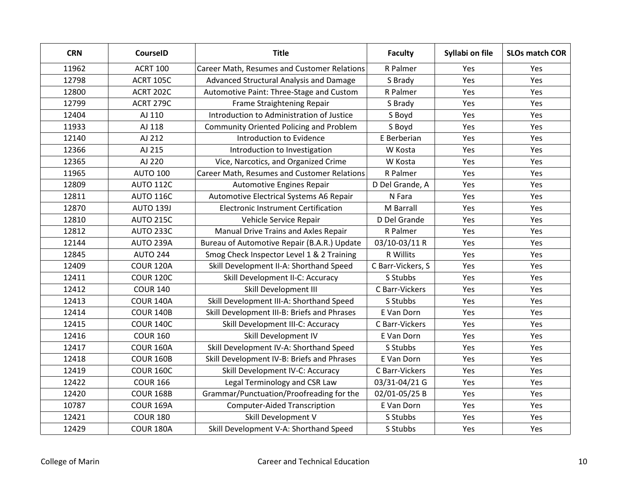| <b>CRN</b> | <b>CourseID</b>  | <b>Title</b>                                   | <b>Faculty</b>    | Syllabi on file | <b>SLOs match COR</b> |
|------------|------------------|------------------------------------------------|-------------------|-----------------|-----------------------|
| 11962      | <b>ACRT 100</b>  | Career Math, Resumes and Customer Relations    | R Palmer          | Yes             | Yes                   |
| 12798      | ACRT 105C        | Advanced Structural Analysis and Damage        | S Brady           | Yes             | Yes                   |
| 12800      | ACRT 202C        | Automotive Paint: Three-Stage and Custom       | R Palmer          | Yes             | Yes                   |
| 12799      | ACRT 279C        | Frame Straightening Repair                     | S Brady           | Yes             | Yes                   |
| 12404      | AJ 110           | Introduction to Administration of Justice      | S Boyd            | Yes             | Yes                   |
| 11933      | AJ 118           | <b>Community Oriented Policing and Problem</b> | S Boyd            | Yes             | Yes                   |
| 12140      | AJ 212           | Introduction to Evidence                       | E Berberian       | Yes             | Yes                   |
| 12366      | AJ 215           | Introduction to Investigation                  | W Kosta           | Yes             | Yes                   |
| 12365      | AJ 220           | Vice, Narcotics, and Organized Crime           | W Kosta           | Yes             | Yes                   |
| 11965      | <b>AUTO 100</b>  | Career Math, Resumes and Customer Relations    | R Palmer          | Yes             | Yes                   |
| 12809      | <b>AUTO 112C</b> | <b>Automotive Engines Repair</b>               | D Del Grande, A   | Yes             | Yes                   |
| 12811      | <b>AUTO 116C</b> | Automotive Electrical Systems A6 Repair        | N Fara            | Yes             | Yes                   |
| 12870      | <b>AUTO 139J</b> | <b>Electronic Instrument Certification</b>     | M Barrall         | Yes             | Yes                   |
| 12810      | <b>AUTO 215C</b> | Vehicle Service Repair                         | D Del Grande      | Yes             | Yes                   |
| 12812      | AUTO 233C        | Manual Drive Trains and Axles Repair           | R Palmer          | Yes             | Yes                   |
| 12144      | AUTO 239A        | Bureau of Automotive Repair (B.A.R.) Update    | 03/10-03/11 R     | Yes             | Yes                   |
| 12845      | <b>AUTO 244</b>  | Smog Check Inspector Level 1 & 2 Training      | R Willits         | Yes             | Yes                   |
| 12409      | <b>COUR 120A</b> | Skill Development II-A: Shorthand Speed        | C Barr-Vickers, S | Yes             | Yes                   |
| 12411      | <b>COUR 120C</b> | Skill Development II-C: Accuracy               | S Stubbs          | Yes             | Yes                   |
| 12412      | <b>COUR 140</b>  | Skill Development III                          | C Barr-Vickers    | Yes             | Yes                   |
| 12413      | <b>COUR 140A</b> | Skill Development III-A: Shorthand Speed       | S Stubbs          | Yes             | Yes                   |
| 12414      | <b>COUR 140B</b> | Skill Development III-B: Briefs and Phrases    | E Van Dorn        | Yes             | Yes                   |
| 12415      | <b>COUR 140C</b> | Skill Development III-C: Accuracy              | C Barr-Vickers    | Yes             | Yes                   |
| 12416      | <b>COUR 160</b>  | Skill Development IV                           | E Van Dorn        | Yes             | Yes                   |
| 12417      | <b>COUR 160A</b> | Skill Development IV-A: Shorthand Speed        | S Stubbs          | Yes             | Yes                   |
| 12418      | <b>COUR 160B</b> | Skill Development IV-B: Briefs and Phrases     | E Van Dorn        | Yes             | Yes                   |
| 12419      | <b>COUR 160C</b> | Skill Development IV-C: Accuracy               | C Barr-Vickers    | Yes             | Yes                   |
| 12422      | <b>COUR 166</b>  | Legal Terminology and CSR Law                  | 03/31-04/21 G     | Yes             | Yes                   |
| 12420      | <b>COUR 168B</b> | Grammar/Punctuation/Proofreading for the       | 02/01-05/25 B     | Yes             | Yes                   |
| 10787      | COUR 169A        | <b>Computer-Aided Transcription</b>            | E Van Dorn        | Yes             | Yes                   |
| 12421      | <b>COUR 180</b>  | Skill Development V                            | S Stubbs          | Yes             | Yes                   |
| 12429      | COUR 180A        | Skill Development V-A: Shorthand Speed         | S Stubbs          | Yes             | Yes                   |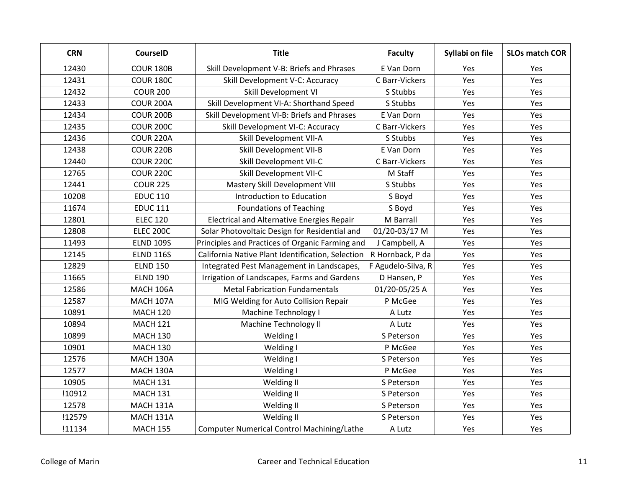| <b>CRN</b> | <b>CourseID</b>  | <b>Title</b>                                      | <b>Faculty</b>     | Syllabi on file | <b>SLOs match COR</b> |
|------------|------------------|---------------------------------------------------|--------------------|-----------------|-----------------------|
| 12430      | <b>COUR 180B</b> | Skill Development V-B: Briefs and Phrases         | E Van Dorn         | Yes             | Yes                   |
| 12431      | COUR 180C        | Skill Development V-C: Accuracy                   | C Barr-Vickers     | Yes             | Yes                   |
| 12432      | <b>COUR 200</b>  | Skill Development VI                              | S Stubbs           | Yes             | Yes                   |
| 12433      | COUR 200A        | Skill Development VI-A: Shorthand Speed           | S Stubbs           | Yes             | Yes                   |
| 12434      | <b>COUR 200B</b> | Skill Development VI-B: Briefs and Phrases        | E Van Dorn         | Yes             | Yes                   |
| 12435      | <b>COUR 200C</b> | Skill Development VI-C: Accuracy                  | C Barr-Vickers     | Yes             | Yes                   |
| 12436      | <b>COUR 220A</b> | Skill Development VII-A                           | S Stubbs           | Yes             | Yes                   |
| 12438      | <b>COUR 220B</b> | Skill Development VII-B                           | E Van Dorn         | Yes             | Yes                   |
| 12440      | <b>COUR 220C</b> | Skill Development VII-C                           | C Barr-Vickers     | Yes             | Yes                   |
| 12765      | <b>COUR 220C</b> | Skill Development VII-C                           | M Staff            | Yes             | Yes                   |
| 12441      | <b>COUR 225</b>  | Mastery Skill Development VIII                    | S Stubbs           | Yes             | Yes                   |
| 10208      | <b>EDUC 110</b>  | Introduction to Education                         | S Boyd             | Yes             | Yes                   |
| 11674      | <b>EDUC 111</b>  | <b>Foundations of Teaching</b>                    | S Boyd             | Yes             | Yes                   |
| 12801      | <b>ELEC 120</b>  | <b>Electrical and Alternative Energies Repair</b> | M Barrall          | Yes             | Yes                   |
| 12808      | <b>ELEC 200C</b> | Solar Photovoltaic Design for Residential and     | 01/20-03/17 M      | Yes             | Yes                   |
| 11493      | <b>ELND 109S</b> | Principles and Practices of Organic Farming and   | J Campbell, A      | Yes             | Yes                   |
| 12145      | <b>ELND 116S</b> | California Native Plant Identification, Selection | R Hornback, P da   | Yes             | Yes                   |
| 12829      | <b>ELND 150</b>  | Integrated Pest Management in Landscapes,         | F Agudelo-Silva, R | Yes             | Yes                   |
| 11665      | <b>ELND 190</b>  | Irrigation of Landscapes, Farms and Gardens       | D Hansen, P        | Yes             | Yes                   |
| 12586      | <b>MACH 106A</b> | <b>Metal Fabrication Fundamentals</b>             | 01/20-05/25 A      | Yes             | Yes                   |
| 12587      | MACH 107A        | MIG Welding for Auto Collision Repair             | P McGee            | Yes             | Yes                   |
| 10891      | <b>MACH 120</b>  | Machine Technology I                              | A Lutz             | Yes             | Yes                   |
| 10894      | <b>MACH 121</b>  | <b>Machine Technology II</b>                      | A Lutz             | Yes             | Yes                   |
| 10899      | <b>MACH 130</b>  | Welding I                                         | S Peterson         | Yes             | Yes                   |
| 10901      | <b>MACH 130</b>  | Welding I                                         | P McGee            | Yes             | Yes                   |
| 12576      | MACH 130A        | Welding I                                         | S Peterson         | Yes             | Yes                   |
| 12577      | MACH 130A        | Welding I                                         | P McGee            | Yes             | Yes                   |
| 10905      | <b>MACH 131</b>  | Welding II                                        | S Peterson         | Yes             | Yes                   |
| !10912     | <b>MACH 131</b>  | Welding II                                        | S Peterson         | Yes             | Yes                   |
| 12578      | MACH 131A        | Welding II                                        | S Peterson         | Yes             | Yes                   |
| !12579     | MACH 131A        | Welding II                                        | S Peterson         | Yes             | Yes                   |
| !11134     | <b>MACH 155</b>  | <b>Computer Numerical Control Machining/Lathe</b> | A Lutz             | Yes             | Yes                   |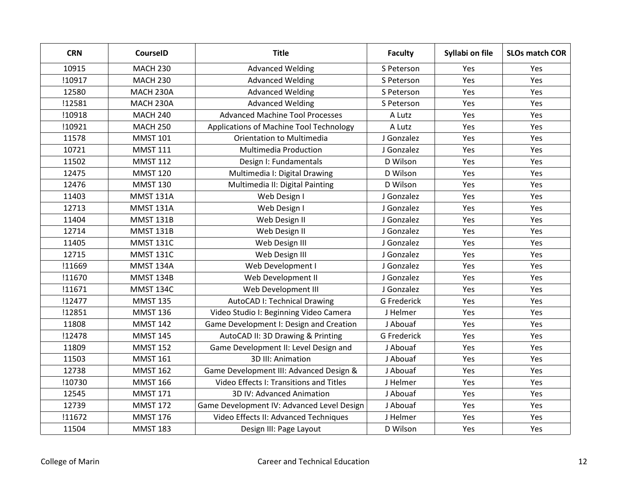| <b>CRN</b> | <b>CourseID</b>  | <b>Title</b>                               | <b>Faculty</b>     | Syllabi on file | <b>SLOs match COR</b> |
|------------|------------------|--------------------------------------------|--------------------|-----------------|-----------------------|
| 10915      | <b>MACH 230</b>  | <b>Advanced Welding</b>                    | S Peterson         | Yes             | Yes                   |
| !10917     | <b>MACH 230</b>  | <b>Advanced Welding</b>                    | S Peterson         | Yes             | Yes                   |
| 12580      | MACH 230A        | <b>Advanced Welding</b>                    | S Peterson         | Yes             | Yes                   |
| !12581     | MACH 230A        | <b>Advanced Welding</b>                    | S Peterson         | Yes             | Yes                   |
| !10918     | <b>MACH 240</b>  | <b>Advanced Machine Tool Processes</b>     | A Lutz             | Yes             | Yes                   |
| !10921     | <b>MACH 250</b>  | Applications of Machine Tool Technology    | A Lutz             | Yes             | Yes                   |
| 11578      | <b>MMST 101</b>  | <b>Orientation to Multimedia</b>           | J Gonzalez         | Yes             | Yes                   |
| 10721      | <b>MMST 111</b>  | <b>Multimedia Production</b>               | J Gonzalez         | Yes             | Yes                   |
| 11502      | <b>MMST 112</b>  | Design I: Fundamentals                     | D Wilson           | Yes             | Yes                   |
| 12475      | <b>MMST 120</b>  | Multimedia I: Digital Drawing              | D Wilson           | Yes             | Yes                   |
| 12476      | <b>MMST 130</b>  | Multimedia II: Digital Painting            | D Wilson           | Yes             | Yes                   |
| 11403      | <b>MMST 131A</b> | Web Design I                               | J Gonzalez         | Yes             | Yes                   |
| 12713      | <b>MMST 131A</b> | Web Design I                               | J Gonzalez         | Yes             | Yes                   |
| 11404      | <b>MMST 131B</b> | Web Design II                              | J Gonzalez         | Yes             | Yes                   |
| 12714      | <b>MMST 131B</b> | Web Design II                              | J Gonzalez         | Yes             | Yes                   |
| 11405      | <b>MMST 131C</b> | Web Design III                             | J Gonzalez         | Yes             | Yes                   |
| 12715      | <b>MMST 131C</b> | Web Design III                             | J Gonzalez         | Yes             | Yes                   |
| !11669     | <b>MMST 134A</b> | Web Development I                          | J Gonzalez         | Yes             | Yes                   |
| !11670     | <b>MMST 134B</b> | Web Development II                         | J Gonzalez         | Yes             | Yes                   |
| !11671     | <b>MMST 134C</b> | Web Development III                        | J Gonzalez         | Yes             | Yes                   |
| !12477     | <b>MMST 135</b>  | <b>AutoCAD I: Technical Drawing</b>        | <b>G</b> Frederick | Yes             | Yes                   |
| !12851     | <b>MMST 136</b>  | Video Studio I: Beginning Video Camera     | J Helmer           | Yes             | Yes                   |
| 11808      | <b>MMST 142</b>  | Game Development I: Design and Creation    | J Abouaf           | Yes             | Yes                   |
| !12478     | <b>MMST 145</b>  | AutoCAD II: 3D Drawing & Printing          | G Frederick        | Yes             | Yes                   |
| 11809      | <b>MMST 152</b>  | Game Development II: Level Design and      | J Abouaf           | Yes             | Yes                   |
| 11503      | <b>MMST 161</b>  | 3D III: Animation                          | J Abouaf           | Yes             | Yes                   |
| 12738      | <b>MMST 162</b>  | Game Development III: Advanced Design &    | J Abouaf           | Yes             | Yes                   |
| !10730     | <b>MMST 166</b>  | Video Effects I: Transitions and Titles    | J Helmer           | Yes             | Yes                   |
| 12545      | <b>MMST 171</b>  | 3D IV: Advanced Animation                  | J Abouaf           | Yes             | Yes                   |
| 12739      | <b>MMST 172</b>  | Game Development IV: Advanced Level Design | J Abouaf           | Yes             | Yes                   |
| !11672     | <b>MMST 176</b>  | Video Effects II: Advanced Techniques      | J Helmer           | Yes             | Yes                   |
| 11504      | <b>MMST 183</b>  | Design III: Page Layout                    | D Wilson           | Yes             | Yes                   |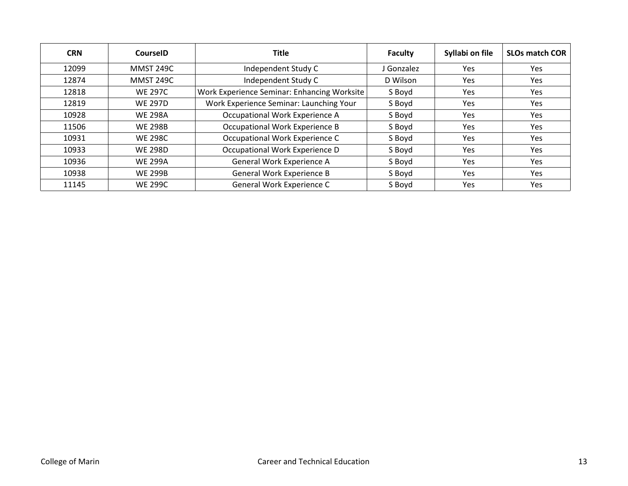| <b>CRN</b> | CourseID         | <b>Title</b>                                | <b>Faculty</b> | Syllabi on file | <b>SLOs match COR</b> |
|------------|------------------|---------------------------------------------|----------------|-----------------|-----------------------|
| 12099      | <b>MMST 249C</b> | Independent Study C                         | J Gonzalez     | Yes             | <b>Yes</b>            |
| 12874      | <b>MMST 249C</b> | Independent Study C                         | D Wilson       | Yes             | <b>Yes</b>            |
| 12818      | <b>WE 297C</b>   | Work Experience Seminar: Enhancing Worksite | S Boyd         | Yes             | Yes                   |
| 12819      | <b>WE 297D</b>   | Work Experience Seminar: Launching Your     | S Boyd         | Yes             | Yes.                  |
| 10928      | <b>WE 298A</b>   | Occupational Work Experience A              | S Boyd         | Yes             | Yes                   |
| 11506      | <b>WE 298B</b>   | Occupational Work Experience B              | S Boyd         | Yes             | Yes.                  |
| 10931      | <b>WE 298C</b>   | Occupational Work Experience C              | S Boyd         | Yes             | <b>Yes</b>            |
| 10933      | <b>WE 298D</b>   | Occupational Work Experience D              | S Boyd         | Yes             | <b>Yes</b>            |
| 10936      | <b>WE 299A</b>   | General Work Experience A                   | S Boyd         | Yes             | <b>Yes</b>            |
| 10938      | <b>WE 299B</b>   | General Work Experience B                   | S Boyd         | Yes             | Yes.                  |
| 11145      | <b>WE 299C</b>   | General Work Experience C                   | S Boyd         | Yes             | Yes.                  |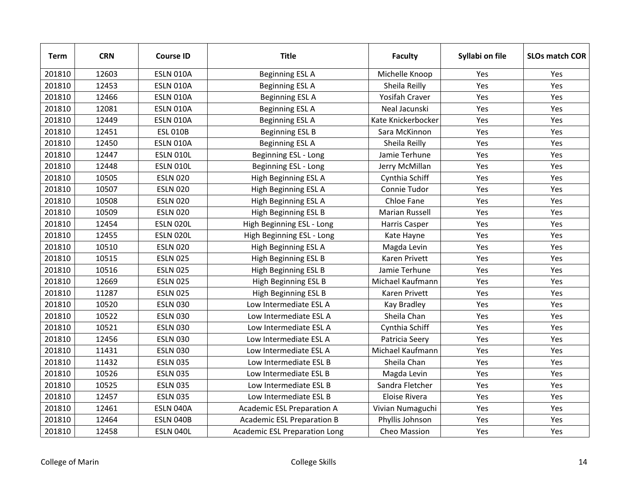| <b>Term</b> | <b>CRN</b> | <b>Course ID</b> | <b>Title</b>                         | <b>Faculty</b>     | Syllabi on file | <b>SLOs match COR</b> |
|-------------|------------|------------------|--------------------------------------|--------------------|-----------------|-----------------------|
| 201810      | 12603      | <b>ESLN 010A</b> | <b>Beginning ESL A</b>               | Michelle Knoop     | Yes             | Yes                   |
| 201810      | 12453      | <b>ESLN 010A</b> | <b>Beginning ESL A</b>               | Sheila Reilly      | Yes             | Yes                   |
| 201810      | 12466      | <b>ESLN 010A</b> | <b>Beginning ESL A</b>               | Yosifah Craver     | Yes             | Yes                   |
| 201810      | 12081      | <b>ESLN 010A</b> | <b>Beginning ESL A</b>               | Neal Jacunski      | Yes             | Yes                   |
| 201810      | 12449      | <b>ESLN 010A</b> | <b>Beginning ESL A</b>               | Kate Knickerbocker | Yes             | Yes                   |
| 201810      | 12451      | <b>ESL 010B</b>  | <b>Beginning ESL B</b>               | Sara McKinnon      | Yes             | Yes                   |
| 201810      | 12450      | <b>ESLN 010A</b> | <b>Beginning ESL A</b>               | Sheila Reilly      | Yes             | Yes                   |
| 201810      | 12447      | <b>ESLN 010L</b> | Beginning ESL - Long                 | Jamie Terhune      | Yes             | Yes                   |
| 201810      | 12448      | <b>ESLN 010L</b> | Beginning ESL - Long                 | Jerry McMillan     | Yes             | Yes                   |
| 201810      | 10505      | <b>ESLN 020</b>  | High Beginning ESL A                 | Cynthia Schiff     | Yes             | Yes                   |
| 201810      | 10507      | <b>ESLN 020</b>  | High Beginning ESL A                 | Connie Tudor       | Yes             | Yes                   |
| 201810      | 10508      | <b>ESLN 020</b>  | High Beginning ESL A                 | Chloe Fane         | Yes             | Yes                   |
| 201810      | 10509      | <b>ESLN 020</b>  | High Beginning ESL B                 | Marian Russell     | Yes             | Yes                   |
| 201810      | 12454      | <b>ESLN 020L</b> | High Beginning ESL - Long            | Harris Casper      | Yes             | Yes                   |
| 201810      | 12455      | <b>ESLN 020L</b> | High Beginning ESL - Long            | Kate Hayne         | Yes             | Yes                   |
| 201810      | 10510      | <b>ESLN 020</b>  | High Beginning ESL A                 | Magda Levin        | Yes             | Yes                   |
| 201810      | 10515      | <b>ESLN 025</b>  | High Beginning ESL B                 | Karen Privett      | Yes             | Yes                   |
| 201810      | 10516      | <b>ESLN 025</b>  | High Beginning ESL B                 | Jamie Terhune      | Yes             | Yes                   |
| 201810      | 12669      | <b>ESLN 025</b>  | High Beginning ESL B                 | Michael Kaufmann   | Yes             | Yes                   |
| 201810      | 11287      | <b>ESLN 025</b>  | High Beginning ESL B                 | Karen Privett      | Yes             | Yes                   |
| 201810      | 10520      | <b>ESLN 030</b>  | Low Intermediate ESL A               | <b>Kay Bradley</b> | Yes             | Yes                   |
| 201810      | 10522      | <b>ESLN 030</b>  | Low Intermediate ESL A               | Sheila Chan        | Yes             | Yes                   |
| 201810      | 10521      | <b>ESLN 030</b>  | Low Intermediate ESL A               | Cynthia Schiff     | Yes             | Yes                   |
| 201810      | 12456      | <b>ESLN 030</b>  | Low Intermediate ESL A               | Patricia Seery     | Yes             | Yes                   |
| 201810      | 11431      | <b>ESLN 030</b>  | Low Intermediate ESL A               | Michael Kaufmann   | Yes             | Yes                   |
| 201810      | 11432      | <b>ESLN 035</b>  | Low Intermediate ESL B               | Sheila Chan        | Yes             | Yes                   |
| 201810      | 10526      | <b>ESLN 035</b>  | Low Intermediate ESL B               | Magda Levin        | Yes             | Yes                   |
| 201810      | 10525      | <b>ESLN 035</b>  | Low Intermediate ESL B               | Sandra Fletcher    | Yes             | Yes                   |
| 201810      | 12457      | <b>ESLN 035</b>  | Low Intermediate ESL B               | Eloise Rivera      | Yes             | Yes                   |
| 201810      | 12461      | ESLN 040A        | Academic ESL Preparation A           | Vivian Numaguchi   | Yes             | Yes                   |
| 201810      | 12464      | ESLN 040B        | <b>Academic ESL Preparation B</b>    | Phyllis Johnson    | Yes             | Yes                   |
| 201810      | 12458      | ESLN 040L        | <b>Academic ESL Preparation Long</b> | Cheo Massion       | Yes             | Yes                   |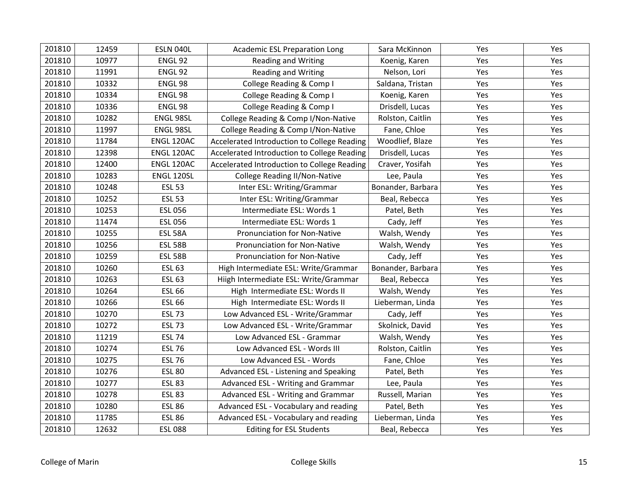| 201810 | 12459 | ESLN 040L      | <b>Academic ESL Preparation Long</b>        | Sara McKinnon     | Yes | Yes |
|--------|-------|----------------|---------------------------------------------|-------------------|-----|-----|
| 201810 | 10977 | ENGL 92        | <b>Reading and Writing</b>                  | Koenig, Karen     | Yes | Yes |
| 201810 | 11991 | ENGL 92        | <b>Reading and Writing</b>                  | Nelson, Lori      | Yes | Yes |
| 201810 | 10332 | ENGL 98        | College Reading & Comp I                    | Saldana, Tristan  | Yes | Yes |
| 201810 | 10334 | ENGL 98        | College Reading & Comp I                    | Koenig, Karen     | Yes | Yes |
| 201810 | 10336 | ENGL 98        | College Reading & Comp I                    | Drisdell, Lucas   | Yes | Yes |
| 201810 | 10282 | ENGL 98SL      | College Reading & Comp I/Non-Native         | Rolston, Caitlin  | Yes | Yes |
| 201810 | 11997 | ENGL 98SL      | College Reading & Comp I/Non-Native         | Fane, Chloe       | Yes | Yes |
| 201810 | 11784 | ENGL 120AC     | Accelerated Introduction to College Reading | Woodlief, Blaze   | Yes | Yes |
| 201810 | 12398 | ENGL 120AC     | Accelerated Introduction to College Reading | Drisdell, Lucas   | Yes | Yes |
| 201810 | 12400 | ENGL 120AC     | Accelerated Introduction to College Reading | Craver, Yosifah   | Yes | Yes |
| 201810 | 10283 | ENGL 120SL     | College Reading II/Non-Native               | Lee, Paula        | Yes | Yes |
| 201810 | 10248 | <b>ESL 53</b>  | Inter ESL: Writing/Grammar                  | Bonander, Barbara | Yes | Yes |
| 201810 | 10252 | <b>ESL 53</b>  | Inter ESL: Writing/Grammar                  | Beal, Rebecca     | Yes | Yes |
| 201810 | 10253 | <b>ESL 056</b> | Intermediate ESL: Words 1                   | Patel, Beth       | Yes | Yes |
| 201810 | 11474 | <b>ESL 056</b> | Intermediate ESL: Words 1                   | Cady, Jeff        | Yes | Yes |
| 201810 | 10255 | <b>ESL 58A</b> | Pronunciation for Non-Native                | Walsh, Wendy      | Yes | Yes |
| 201810 | 10256 | <b>ESL 58B</b> | Pronunciation for Non-Native                | Walsh, Wendy      | Yes | Yes |
| 201810 | 10259 | <b>ESL 58B</b> | Pronunciation for Non-Native                | Cady, Jeff        | Yes | Yes |
| 201810 | 10260 | <b>ESL 63</b>  | High Intermediate ESL: Write/Grammar        | Bonander, Barbara | Yes | Yes |
| 201810 | 10263 | <b>ESL 63</b>  | Hiigh Intermediate ESL: Write/Grammar       | Beal, Rebecca     | Yes | Yes |
| 201810 | 10264 | <b>ESL 66</b>  | High Intermediate ESL: Words II             | Walsh, Wendy      | Yes | Yes |
| 201810 | 10266 | <b>ESL 66</b>  | High Intermediate ESL: Words II             | Lieberman, Linda  | Yes | Yes |
| 201810 | 10270 | <b>ESL 73</b>  | Low Advanced ESL - Write/Grammar            | Cady, Jeff        | Yes | Yes |
| 201810 | 10272 | <b>ESL 73</b>  | Low Advanced ESL - Write/Grammar            | Skolnick, David   | Yes | Yes |
| 201810 | 11219 | <b>ESL 74</b>  | Low Advanced ESL - Grammar                  | Walsh, Wendy      | Yes | Yes |
| 201810 | 10274 | <b>ESL 76</b>  | Low Advanced ESL - Words III                | Rolston, Caitlin  | Yes | Yes |
| 201810 | 10275 | <b>ESL 76</b>  | Low Advanced ESL - Words                    | Fane, Chloe       | Yes | Yes |
| 201810 | 10276 | <b>ESL 80</b>  | Advanced ESL - Listening and Speaking       | Patel, Beth       | Yes | Yes |
| 201810 | 10277 | <b>ESL 83</b>  | Advanced ESL - Writing and Grammar          | Lee, Paula        | Yes | Yes |
| 201810 | 10278 | <b>ESL 83</b>  | Advanced ESL - Writing and Grammar          | Russell, Marian   | Yes | Yes |
| 201810 | 10280 | <b>ESL 86</b>  | Advanced ESL - Vocabulary and reading       | Patel, Beth       | Yes | Yes |
| 201810 | 11785 | <b>ESL 86</b>  | Advanced ESL - Vocabulary and reading       | Lieberman, Linda  | Yes | Yes |
| 201810 | 12632 | <b>ESL 088</b> | <b>Editing for ESL Students</b>             | Beal, Rebecca     | Yes | Yes |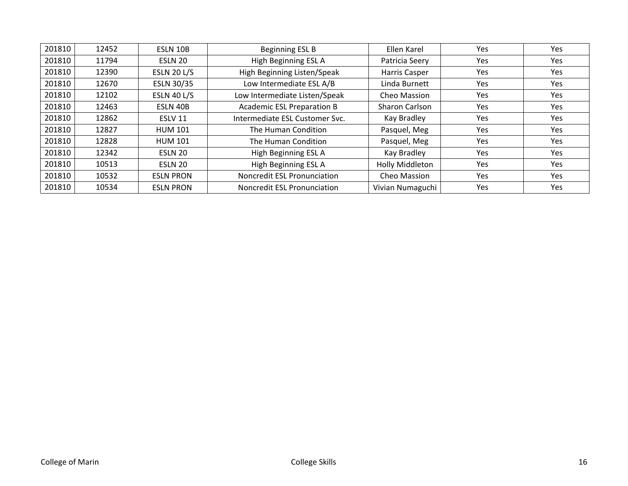| 201810 | 12452 | ESLN 10B           | Beginning ESL B                    | Ellen Karel      | Yes        | Yes        |
|--------|-------|--------------------|------------------------------------|------------------|------------|------------|
| 201810 | 11794 | ESLN 20            | High Beginning ESL A               | Patricia Seery   | <b>Yes</b> | <b>Yes</b> |
| 201810 | 12390 | <b>ESLN 20 L/S</b> | High Beginning Listen/Speak        | Harris Casper    | <b>Yes</b> | <b>Yes</b> |
| 201810 | 12670 | ESLN 30/35         | Low Intermediate ESL A/B           | Linda Burnett    | Yes        | <b>Yes</b> |
| 201810 | 12102 | <b>ESLN 40 L/S</b> | Low Intermediate Listen/Speak      | Cheo Massion     | <b>Yes</b> | <b>Yes</b> |
| 201810 | 12463 | ESLN 40B           | <b>Academic ESL Preparation B</b>  | Sharon Carlson   | <b>Yes</b> | <b>Yes</b> |
| 201810 | 12862 | ESLV 11            | Intermediate ESL Customer Svc.     | Kay Bradley      | <b>Yes</b> | <b>Yes</b> |
| 201810 | 12827 | <b>HUM 101</b>     | The Human Condition                | Pasquel, Meg     | <b>Yes</b> | <b>Yes</b> |
| 201810 | 12828 | <b>HUM 101</b>     | The Human Condition                | Pasquel, Meg     | Yes        | Yes        |
| 201810 | 12342 | ESLN 20            | High Beginning ESL A               | Kay Bradley      | Yes        | Yes        |
| 201810 | 10513 | ESLN 20            | High Beginning ESL A               | Holly Middleton  | Yes        | <b>Yes</b> |
| 201810 | 10532 | <b>ESLN PRON</b>   | <b>Noncredit ESL Pronunciation</b> | Cheo Massion     | <b>Yes</b> | <b>Yes</b> |
| 201810 | 10534 | <b>ESLN PRON</b>   | Noncredit ESL Pronunciation        | Vivian Numaguchi | <b>Yes</b> | <b>Yes</b> |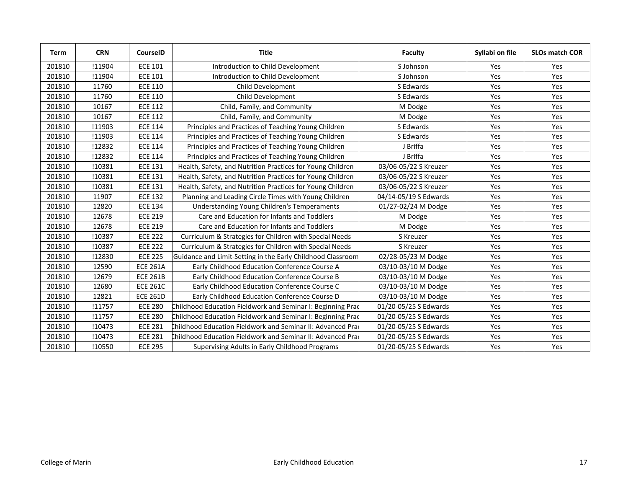| Term   | <b>CRN</b> | <b>CourseID</b> | <b>Title</b>                                                | <b>Faculty</b>        | Syllabi on file | <b>SLOs match COR</b> |
|--------|------------|-----------------|-------------------------------------------------------------|-----------------------|-----------------|-----------------------|
| 201810 | !11904     | <b>ECE 101</b>  | Introduction to Child Development                           | S Johnson             | Yes             | Yes                   |
| 201810 | !11904     | <b>ECE 101</b>  | Introduction to Child Development                           | S Johnson             | Yes             | Yes                   |
| 201810 | 11760      | <b>ECE 110</b>  | Child Development                                           | S Edwards             | Yes             | Yes                   |
| 201810 | 11760      | <b>ECE 110</b>  | Child Development                                           | S Edwards             | Yes             | Yes                   |
| 201810 | 10167      | <b>ECE 112</b>  | Child, Family, and Community                                | M Dodge               | Yes             | Yes                   |
| 201810 | 10167      | <b>ECE 112</b>  | Child, Family, and Community                                | M Dodge               | Yes             | Yes                   |
| 201810 | !11903     | <b>ECE 114</b>  | Principles and Practices of Teaching Young Children         | S Edwards             | Yes             | Yes                   |
| 201810 | !11903     | <b>ECE 114</b>  | Principles and Practices of Teaching Young Children         | S Edwards             | Yes             | Yes                   |
| 201810 | !12832     | <b>ECE 114</b>  | Principles and Practices of Teaching Young Children         | J Briffa              | Yes             | Yes                   |
| 201810 | !12832     | <b>ECE 114</b>  | Principles and Practices of Teaching Young Children         | J Briffa              | Yes             | Yes                   |
| 201810 | !10381     | <b>ECE 131</b>  | Health, Safety, and Nutrition Practices for Young Children  | 03/06-05/22 S Kreuzer | Yes             | Yes                   |
| 201810 | !10381     | <b>ECE 131</b>  | Health, Safety, and Nutrition Practices for Young Children  | 03/06-05/22 S Kreuzer | Yes             | Yes                   |
| 201810 | !10381     | <b>ECE 131</b>  | Health, Safety, and Nutrition Practices for Young Children  | 03/06-05/22 S Kreuzer | Yes             | Yes                   |
| 201810 | 11907      | <b>ECE 132</b>  | Planning and Leading Circle Times with Young Children       | 04/14-05/19 S Edwards | Yes             | Yes                   |
| 201810 | 12820      | <b>ECE 134</b>  | <b>Understanding Young Children's Temperaments</b>          | 01/27-02/24 M Dodge   | Yes             | Yes                   |
| 201810 | 12678      | <b>ECE 219</b>  | Care and Education for Infants and Toddlers                 | M Dodge               | Yes             | Yes                   |
| 201810 | 12678      | <b>ECE 219</b>  | Care and Education for Infants and Toddlers                 | M Dodge               | Yes             | Yes                   |
| 201810 | !10387     | <b>ECE 222</b>  | Curriculum & Strategies for Children with Special Needs     | S Kreuzer             | Yes             | Yes                   |
| 201810 | !10387     | <b>ECE 222</b>  | Curriculum & Strategies for Children with Special Needs     | S Kreuzer             | Yes             | Yes                   |
| 201810 | !12830     | <b>ECE 225</b>  | Guidance and Limit-Setting in the Early Childhood Classroom | 02/28-05/23 M Dodge   | Yes             | Yes                   |
| 201810 | 12590      | <b>ECE 261A</b> | Early Childhood Education Conference Course A               | 03/10-03/10 M Dodge   | Yes             | Yes                   |
| 201810 | 12679      | <b>ECE 261B</b> | Early Childhood Education Conference Course B               | 03/10-03/10 M Dodge   | Yes             | Yes                   |
| 201810 | 12680      | <b>ECE 261C</b> | Early Childhood Education Conference Course C               | 03/10-03/10 M Dodge   | Yes             | Yes                   |
| 201810 | 12821      | <b>ECE 261D</b> | Early Childhood Education Conference Course D               | 03/10-03/10 M Dodge   | Yes             | Yes                   |
| 201810 | !11757     | <b>ECE 280</b>  | Childhood Education Fieldwork and Seminar I: Beginning Prad | 01/20-05/25 S Edwards | Yes             | Yes                   |
| 201810 | !11757     | <b>ECE 280</b>  | Childhood Education Fieldwork and Seminar I: Beginning Prad | 01/20-05/25 S Edwards | Yes             | Yes                   |
| 201810 | !10473     | <b>ECE 281</b>  | Childhood Education Fieldwork and Seminar II: Advanced Prad | 01/20-05/25 S Edwards | Yes             | Yes                   |
| 201810 | !10473     | <b>ECE 281</b>  | Childhood Education Fieldwork and Seminar II: Advanced Prad | 01/20-05/25 S Edwards | Yes             | Yes                   |
| 201810 | !10550     | <b>ECE 295</b>  | Supervising Adults in Early Childhood Programs              | 01/20-05/25 S Edwards | Yes             | Yes                   |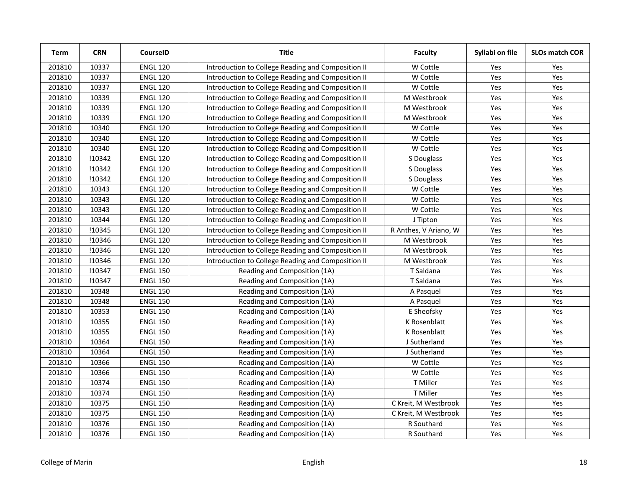| Term   | <b>CRN</b> | CourseID        | <b>Title</b>                                       | <b>Faculty</b>        | Syllabi on file | <b>SLOs match COR</b> |
|--------|------------|-----------------|----------------------------------------------------|-----------------------|-----------------|-----------------------|
| 201810 | 10337      | <b>ENGL 120</b> | Introduction to College Reading and Composition II | W Cottle              | Yes             | Yes                   |
| 201810 | 10337      | <b>ENGL 120</b> | Introduction to College Reading and Composition II | W Cottle              | Yes             | Yes                   |
| 201810 | 10337      | <b>ENGL 120</b> | Introduction to College Reading and Composition II | W Cottle              | Yes             | Yes                   |
| 201810 | 10339      | <b>ENGL 120</b> | Introduction to College Reading and Composition II | M Westbrook           | Yes             | Yes                   |
| 201810 | 10339      | <b>ENGL 120</b> | Introduction to College Reading and Composition II | M Westbrook           | Yes             | Yes                   |
| 201810 | 10339      | <b>ENGL 120</b> | Introduction to College Reading and Composition II | M Westbrook           | Yes             | Yes                   |
| 201810 | 10340      | <b>ENGL 120</b> | Introduction to College Reading and Composition II | W Cottle              | Yes             | Yes                   |
| 201810 | 10340      | <b>ENGL 120</b> | Introduction to College Reading and Composition II | W Cottle              | Yes             | Yes                   |
| 201810 | 10340      | <b>ENGL 120</b> | Introduction to College Reading and Composition II | W Cottle              | Yes             | Yes                   |
| 201810 | !10342     | <b>ENGL 120</b> | Introduction to College Reading and Composition II | S Douglass            | Yes             | Yes                   |
| 201810 | !10342     | <b>ENGL 120</b> | Introduction to College Reading and Composition II | S Douglass            | Yes             | Yes                   |
| 201810 | !10342     | <b>ENGL 120</b> | Introduction to College Reading and Composition II | S Douglass            | Yes             | Yes                   |
| 201810 | 10343      | <b>ENGL 120</b> | Introduction to College Reading and Composition II | W Cottle              | Yes             | Yes                   |
| 201810 | 10343      | <b>ENGL 120</b> | Introduction to College Reading and Composition II | W Cottle              | Yes             | Yes                   |
| 201810 | 10343      | <b>ENGL 120</b> | Introduction to College Reading and Composition II | W Cottle              | Yes             | Yes                   |
| 201810 | 10344      | <b>ENGL 120</b> | Introduction to College Reading and Composition II | J Tipton              | Yes             | Yes                   |
| 201810 | !10345     | <b>ENGL 120</b> | Introduction to College Reading and Composition II | R Anthes, V Ariano, W | Yes             | Yes                   |
| 201810 | !10346     | <b>ENGL 120</b> | Introduction to College Reading and Composition II | M Westbrook           | Yes             | Yes                   |
| 201810 | !10346     | <b>ENGL 120</b> | Introduction to College Reading and Composition II | M Westbrook           | Yes             | Yes                   |
| 201810 | !10346     | <b>ENGL 120</b> | Introduction to College Reading and Composition II | M Westbrook           | Yes             | Yes                   |
| 201810 | !10347     | <b>ENGL 150</b> | Reading and Composition (1A)                       | T Saldana             | Yes             | Yes                   |
| 201810 | !10347     | <b>ENGL 150</b> | Reading and Composition (1A)                       | T Saldana             | Yes             | Yes                   |
| 201810 | 10348      | <b>ENGL 150</b> | Reading and Composition (1A)                       | A Pasquel             | Yes             | Yes                   |
| 201810 | 10348      | <b>ENGL 150</b> | Reading and Composition (1A)                       | A Pasquel             | Yes             | Yes                   |
| 201810 | 10353      | <b>ENGL 150</b> | Reading and Composition (1A)                       | E Sheofsky            | Yes             | Yes                   |
| 201810 | 10355      | <b>ENGL 150</b> | Reading and Composition (1A)                       | K Rosenblatt          | Yes             | Yes                   |
| 201810 | 10355      | <b>ENGL 150</b> | Reading and Composition (1A)                       | K Rosenblatt          | Yes             | Yes                   |
| 201810 | 10364      | <b>ENGL 150</b> | Reading and Composition (1A)                       | J Sutherland          | Yes             | Yes                   |
| 201810 | 10364      | <b>ENGL 150</b> | Reading and Composition (1A)                       | J Sutherland          | Yes             | Yes                   |
| 201810 | 10366      | <b>ENGL 150</b> | Reading and Composition (1A)                       | W Cottle              | Yes             | Yes                   |
| 201810 | 10366      | <b>ENGL 150</b> | Reading and Composition (1A)                       | W Cottle              | Yes             | Yes                   |
| 201810 | 10374      | <b>ENGL 150</b> | Reading and Composition (1A)                       | T Miller              | Yes             | Yes                   |
| 201810 | 10374      | <b>ENGL 150</b> | Reading and Composition (1A)                       | T Miller              | Yes             | Yes                   |
| 201810 | 10375      | <b>ENGL 150</b> | Reading and Composition (1A)                       | C Kreit, M Westbrook  | Yes             | Yes                   |
| 201810 | 10375      | <b>ENGL 150</b> | Reading and Composition (1A)                       | C Kreit, M Westbrook  | Yes             | Yes                   |
| 201810 | 10376      | <b>ENGL 150</b> | Reading and Composition (1A)                       | R Southard            | Yes             | Yes                   |
| 201810 | 10376      | <b>ENGL 150</b> | Reading and Composition (1A)                       | R Southard            | Yes             | Yes                   |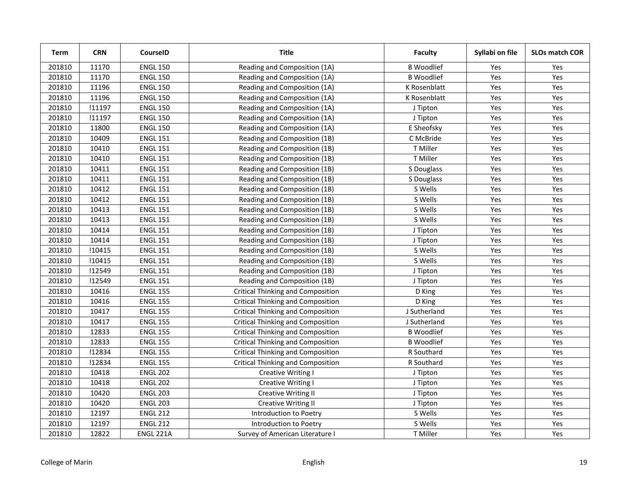| Term   | <b>CRN</b> | CourseID        | <b>Title</b>                             | <b>Faculty</b>    | Syllabi on file | <b>SLOs match COR</b> |
|--------|------------|-----------------|------------------------------------------|-------------------|-----------------|-----------------------|
| 201810 | 11170      | <b>ENGL 150</b> | Reading and Composition (1A)             | <b>B</b> Woodlief | Yes             | Yes                   |
| 201810 | 11170      | <b>ENGL 150</b> | Reading and Composition (1A)             | <b>B</b> Woodlief | Yes             | Yes                   |
| 201810 | 11196      | <b>ENGL 150</b> | Reading and Composition (1A)             | K Rosenblatt      | Yes             | Yes                   |
| 201810 | 11196      | <b>ENGL 150</b> | Reading and Composition (1A)             | K Rosenblatt      | Yes             | Yes                   |
| 201810 | !11197     | <b>ENGL 150</b> | Reading and Composition (1A)             | J Tipton          | Yes             | Yes                   |
| 201810 | !11197     | <b>ENGL 150</b> | Reading and Composition (1A)             | J Tipton          | Yes             | Yes                   |
| 201810 | 11800      | <b>ENGL 150</b> | Reading and Composition (1A)             | E Sheofsky        | Yes             | Yes                   |
| 201810 | 10409      | <b>ENGL 151</b> | Reading and Composition (1B)             | C McBride         | Yes             | Yes                   |
| 201810 | 10410      | <b>ENGL 151</b> | Reading and Composition (1B)             | T Miller          | Yes             | Yes                   |
| 201810 | 10410      | <b>ENGL 151</b> | Reading and Composition (1B)             | T Miller          | Yes             | Yes                   |
| 201810 | 10411      | <b>ENGL 151</b> | Reading and Composition (1B)             | S Douglass        | Yes             | Yes                   |
| 201810 | 10411      | <b>ENGL 151</b> | Reading and Composition (1B)             | S Douglass        | Yes             | Yes                   |
| 201810 | 10412      | <b>ENGL 151</b> | Reading and Composition (1B)             | S Wells           | Yes             | Yes                   |
| 201810 | 10412      | <b>ENGL 151</b> | Reading and Composition (1B)             | S Wells           | Yes             | Yes                   |
| 201810 | 10413      | <b>ENGL 151</b> | Reading and Composition (1B)             | S Wells           | Yes             | Yes                   |
| 201810 | 10413      | <b>ENGL 151</b> | Reading and Composition (1B)             | S Wells           | Yes             | Yes                   |
| 201810 | 10414      | <b>ENGL 151</b> | Reading and Composition (1B)             | J Tipton          | Yes             | Yes                   |
| 201810 | 10414      | <b>ENGL 151</b> | Reading and Composition (1B)             | J Tipton          | Yes             | Yes                   |
| 201810 | !10415     | <b>ENGL 151</b> | Reading and Composition (1B)             | S Wells           | Yes             | Yes                   |
| 201810 | !10415     | <b>ENGL 151</b> | Reading and Composition (1B)             | S Wells           | Yes             | Yes                   |
| 201810 | !12549     | <b>ENGL 151</b> | Reading and Composition (1B)             | J Tipton          | Yes             | Yes                   |
| 201810 | !12549     | <b>ENGL 151</b> | Reading and Composition (1B)             | J Tipton          | Yes             | Yes                   |
| 201810 | 10416      | <b>ENGL 155</b> | <b>Critical Thinking and Composition</b> | D King            | Yes             | Yes                   |
| 201810 | 10416      | <b>ENGL 155</b> | <b>Critical Thinking and Composition</b> | D King            | Yes             | Yes                   |
| 201810 | 10417      | <b>ENGL 155</b> | <b>Critical Thinking and Composition</b> | J Sutherland      | Yes             | Yes                   |
| 201810 | 10417      | <b>ENGL 155</b> | <b>Critical Thinking and Composition</b> | J Sutherland      | Yes             | Yes                   |
| 201810 | 12833      | <b>ENGL 155</b> | <b>Critical Thinking and Composition</b> | <b>B</b> Woodlief | Yes             | Yes                   |
| 201810 | 12833      | <b>ENGL 155</b> | <b>Critical Thinking and Composition</b> | <b>B</b> Woodlief | Yes             | Yes                   |
| 201810 | !12834     | <b>ENGL 155</b> | <b>Critical Thinking and Composition</b> | R Southard        | Yes             | Yes                   |
| 201810 | !12834     | <b>ENGL 155</b> | <b>Critical Thinking and Composition</b> | R Southard        | Yes             | Yes                   |
| 201810 | 10418      | <b>ENGL 202</b> | <b>Creative Writing I</b>                | J Tipton          | Yes             | Yes                   |
| 201810 | 10418      | <b>ENGL 202</b> | <b>Creative Writing I</b>                | J Tipton          | Yes             | Yes                   |
| 201810 | 10420      | <b>ENGL 203</b> | <b>Creative Writing II</b>               | J Tipton          | Yes             | Yes                   |
| 201810 | 10420      | <b>ENGL 203</b> | <b>Creative Writing II</b>               | J Tipton          | Yes             | Yes                   |
| 201810 | 12197      | <b>ENGL 212</b> | Introduction to Poetry                   | S Wells           | Yes             | Yes                   |
| 201810 | 12197      | <b>ENGL 212</b> | Introduction to Poetry                   | S Wells           | Yes             | Yes                   |
| 201810 | 12822      | ENGL 221A       | Survey of American Literature I          | T Miller          | Yes             | Yes                   |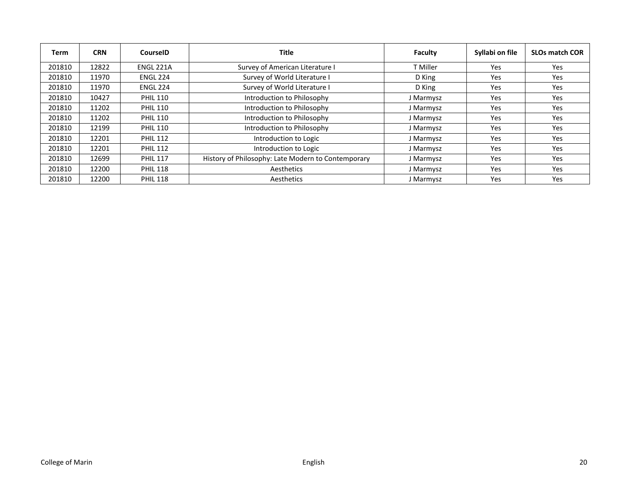| Term   | <b>CRN</b> | <b>CourseID</b>  | Title                                              | Faculty   | Syllabi on file | <b>SLOs match COR</b> |
|--------|------------|------------------|----------------------------------------------------|-----------|-----------------|-----------------------|
| 201810 | 12822      | <b>ENGL 221A</b> | Survey of American Literature I                    | T Miller  | Yes             | Yes                   |
| 201810 | 11970      | <b>ENGL 224</b>  | Survey of World Literature I                       | D King    | Yes             | Yes                   |
| 201810 | 11970      | <b>ENGL 224</b>  | Survey of World Literature I                       | D King    | Yes             | Yes                   |
| 201810 | 10427      | <b>PHIL 110</b>  | Introduction to Philosophy                         | J Marmysz | Yes             | Yes                   |
| 201810 | 11202      | <b>PHIL 110</b>  | Introduction to Philosophy                         | J Marmysz | Yes             | Yes                   |
| 201810 | 11202      | <b>PHIL 110</b>  | Introduction to Philosophy                         | J Marmysz | Yes             | Yes                   |
| 201810 | 12199      | <b>PHIL 110</b>  | Introduction to Philosophy                         | J Marmysz | Yes             | Yes                   |
| 201810 | 12201      | <b>PHIL 112</b>  | Introduction to Logic                              | J Marmysz | Yes             | Yes                   |
| 201810 | 12201      | <b>PHIL 112</b>  | Introduction to Logic                              | J Marmysz | Yes             | Yes                   |
| 201810 | 12699      | <b>PHIL 117</b>  | History of Philosophy: Late Modern to Contemporary | J Marmysz | Yes             | Yes                   |
| 201810 | 12200      | <b>PHIL 118</b>  | Aesthetics                                         | J Marmysz | Yes             | Yes                   |
| 201810 | 12200      | <b>PHIL 118</b>  | Aesthetics                                         | J Marmysz | Yes             | Yes                   |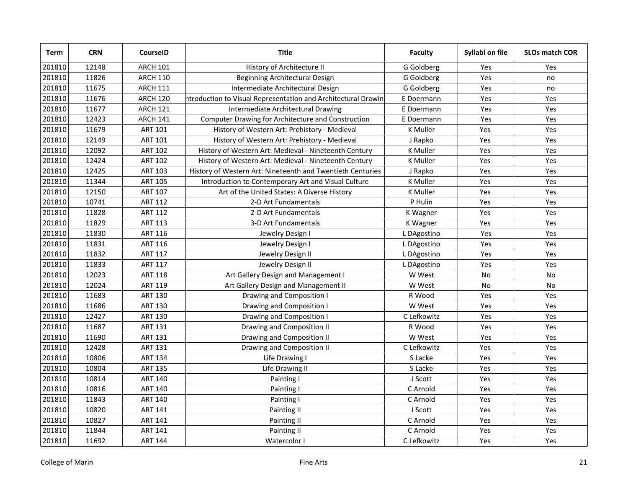| Term   | <b>CRN</b> | CourseID        | <b>Title</b>                                                  | <b>Faculty</b> | Syllabi on file | <b>SLOs match COR</b> |
|--------|------------|-----------------|---------------------------------------------------------------|----------------|-----------------|-----------------------|
| 201810 | 12148      | <b>ARCH 101</b> | History of Architecture II                                    | G Goldberg     | Yes             | Yes                   |
| 201810 | 11826      | <b>ARCH 110</b> | Beginning Architectural Design                                | G Goldberg     | Yes             | no                    |
| 201810 | 11675      | <b>ARCH 111</b> | Intermediate Architectural Design                             | G Goldberg     | Yes             | no                    |
| 201810 | 11676      | <b>ARCH 120</b> | htroduction to Visual Representation and Architectural Drawin | E Doermann     | Yes             | <b>Yes</b>            |
| 201810 | 11677      | <b>ARCH 121</b> | Intermediate Architectural Drawing                            | E Doermann     | Yes             | Yes                   |
| 201810 | 12423      | <b>ARCH 141</b> | Computer Drawing for Architecture and Construction            | E Doermann     | Yes             | Yes                   |
| 201810 | 11679      | <b>ART 101</b>  | History of Western Art: Prehistory - Medieval                 | K Muller       | Yes             | Yes                   |
| 201810 | 12149      | <b>ART 101</b>  | History of Western Art: Prehistory - Medieval                 | J Rapko        | Yes             | Yes                   |
| 201810 | 12092      | <b>ART 102</b>  | History of Western Art: Medieval - Nineteenth Century         | K Muller       | Yes             | Yes                   |
| 201810 | 12424      | <b>ART 102</b>  | History of Western Art: Medieval - Nineteenth Century         | K Muller       | Yes             | Yes                   |
| 201810 | 12425      | <b>ART 103</b>  | History of Western Art: Nineteenth and Twentieth Centuries    | J Rapko        | Yes             | Yes                   |
| 201810 | 11344      | <b>ART 105</b>  | Introduction to Contemporary Art and Visual Culture           | K Muller       | Yes             | Yes                   |
| 201810 | 12150      | <b>ART 107</b>  | Art of the United States: A Diverse History                   | K Muller       | Yes             | Yes                   |
| 201810 | 10741      | <b>ART 112</b>  | 2-D Art Fundamentals                                          | P Hulin        | Yes             | Yes                   |
| 201810 | 11828      | <b>ART 112</b>  | 2-D Art Fundamentals                                          | K Wagner       | Yes             | Yes                   |
| 201810 | 11829      | <b>ART 113</b>  | 3-D Art Fundamentals                                          | K Wagner       | Yes             | Yes                   |
| 201810 | 11830      | <b>ART 116</b>  | Jewelry Design I                                              | L DAgostino    | Yes             | Yes                   |
| 201810 | 11831      | <b>ART 116</b>  | Jewelry Design I                                              | L DAgostino    | Yes             | Yes                   |
| 201810 | 11832      | <b>ART 117</b>  | Jewelry Design II                                             | L DAgostino    | Yes             | Yes                   |
| 201810 | 11833      | <b>ART 117</b>  | Jewelry Design II                                             | L DAgostino    | Yes             | Yes                   |
| 201810 | 12023      | <b>ART 118</b>  | Art Gallery Design and Management I                           | W West         | No              | No                    |
| 201810 | 12024      | <b>ART 119</b>  | Art Gallery Design and Management II                          | W West         | <b>No</b>       | <b>No</b>             |
| 201810 | 11683      | <b>ART 130</b>  | Drawing and Composition I                                     | R Wood         | Yes             | Yes                   |
| 201810 | 11686      | <b>ART 130</b>  | Drawing and Composition I                                     | W West         | Yes             | Yes                   |
| 201810 | 12427      | <b>ART 130</b>  | Drawing and Composition I                                     | C Lefkowitz    | Yes             | Yes                   |
| 201810 | 11687      | <b>ART 131</b>  | Drawing and Composition II                                    | R Wood         | Yes             | Yes                   |
| 201810 | 11690      | <b>ART 131</b>  | Drawing and Composition II                                    | W West         | Yes             | Yes                   |
| 201810 | 12428      | <b>ART 131</b>  | Drawing and Composition II                                    | C Lefkowitz    | Yes             | Yes                   |
| 201810 | 10806      | <b>ART 134</b>  | Life Drawing I                                                | S Lacke        | Yes             | Yes                   |
| 201810 | 10804      | <b>ART 135</b>  | Life Drawing II                                               | S Lacke        | Yes             | Yes                   |
| 201810 | 10814      | <b>ART 140</b>  | Painting I                                                    | J Scott        | Yes             | Yes                   |
| 201810 | 10816      | <b>ART 140</b>  | Painting I                                                    | C Arnold       | Yes             | Yes                   |
| 201810 | 11843      | <b>ART 140</b>  | Painting I                                                    | C Arnold       | Yes             | Yes                   |
| 201810 | 10820      | <b>ART 141</b>  | Painting II                                                   | J Scott        | Yes             | Yes                   |
| 201810 | 10827      | <b>ART 141</b>  | Painting II                                                   | C Arnold       | Yes             | Yes                   |
| 201810 | 11844      | <b>ART 141</b>  | Painting II                                                   | C Arnold       | Yes             | Yes                   |
| 201810 | 11692      | <b>ART 144</b>  | Watercolor I                                                  | C Lefkowitz    | Yes             | Yes                   |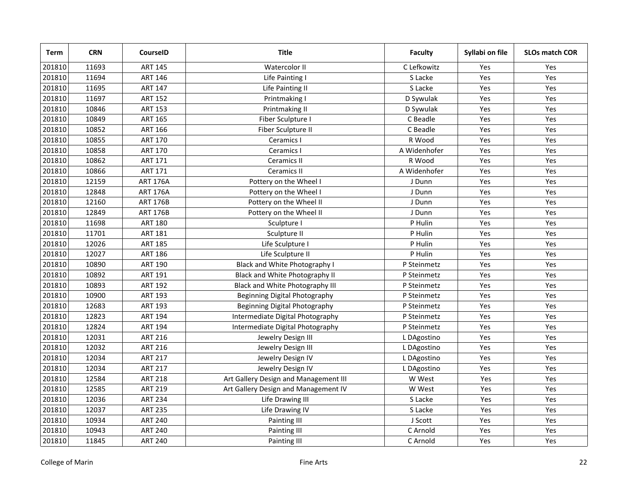| Term   | <b>CRN</b> | <b>CourseID</b> | <b>Title</b>                          | <b>Faculty</b> | Syllabi on file | <b>SLOs match COR</b> |
|--------|------------|-----------------|---------------------------------------|----------------|-----------------|-----------------------|
| 201810 | 11693      | <b>ART 145</b>  | Watercolor II                         | C Lefkowitz    | Yes             | Yes                   |
| 201810 | 11694      | <b>ART 146</b>  | Life Painting I                       | S Lacke        | Yes             | Yes                   |
| 201810 | 11695      | <b>ART 147</b>  | Life Painting II                      | S Lacke        | Yes             | Yes                   |
| 201810 | 11697      | <b>ART 152</b>  | Printmaking I                         | D Sywulak      | Yes             | Yes                   |
| 201810 | 10846      | <b>ART 153</b>  | Printmaking II                        | D Sywulak      | Yes             | Yes                   |
| 201810 | 10849      | <b>ART 165</b>  | Fiber Sculpture I                     | C Beadle       | Yes             | Yes                   |
| 201810 | 10852      | <b>ART 166</b>  | Fiber Sculpture II                    | C Beadle       | Yes             | Yes                   |
| 201810 | 10855      | <b>ART 170</b>  | Ceramics I                            | R Wood         | Yes             | Yes                   |
| 201810 | 10858      | <b>ART 170</b>  | Ceramics I                            | A Widenhofer   | Yes             | Yes                   |
| 201810 | 10862      | <b>ART 171</b>  | <b>Ceramics II</b>                    | R Wood         | Yes             | Yes                   |
| 201810 | 10866      | <b>ART 171</b>  | <b>Ceramics II</b>                    | A Widenhofer   | Yes             | Yes                   |
| 201810 | 12159      | <b>ART 176A</b> | Pottery on the Wheel I                | J Dunn         | Yes             | Yes                   |
| 201810 | 12848      | <b>ART 176A</b> | Pottery on the Wheel I                | J Dunn         | Yes             | Yes                   |
| 201810 | 12160      | <b>ART 176B</b> | Pottery on the Wheel II               | J Dunn         | Yes             | Yes                   |
| 201810 | 12849      | <b>ART 176B</b> | Pottery on the Wheel II               | J Dunn         | Yes             | Yes                   |
| 201810 | 11698      | <b>ART 180</b>  | Sculpture I                           | P Hulin        | Yes             | Yes                   |
| 201810 | 11701      | <b>ART 181</b>  | Sculpture II                          | P Hulin        | Yes             | Yes                   |
| 201810 | 12026      | <b>ART 185</b>  | Life Sculpture I                      | P Hulin        | Yes             | Yes                   |
| 201810 | 12027      | <b>ART 186</b>  | Life Sculpture II                     | P Hulin        | Yes             | Yes                   |
| 201810 | 10890      | <b>ART 190</b>  | Black and White Photography I         | P Steinmetz    | Yes             | Yes                   |
| 201810 | 10892      | <b>ART 191</b>  | Black and White Photography II        | P Steinmetz    | Yes             | Yes                   |
| 201810 | 10893      | <b>ART 192</b>  | Black and White Photography III       | P Steinmetz    | Yes             | Yes                   |
| 201810 | 10900      | <b>ART 193</b>  | Beginning Digital Photography         | P Steinmetz    | Yes             | Yes                   |
| 201810 | 12683      | <b>ART 193</b>  | Beginning Digital Photography         | P Steinmetz    | Yes             | Yes                   |
| 201810 | 12823      | <b>ART 194</b>  | Intermediate Digital Photography      | P Steinmetz    | Yes             | Yes                   |
| 201810 | 12824      | <b>ART 194</b>  | Intermediate Digital Photography      | P Steinmetz    | Yes             | Yes                   |
| 201810 | 12031      | <b>ART 216</b>  | Jewelry Design III                    | L DAgostino    | Yes             | Yes                   |
| 201810 | 12032      | <b>ART 216</b>  | Jewelry Design III                    | L DAgostino    | Yes             | Yes                   |
| 201810 | 12034      | <b>ART 217</b>  | Jewelry Design IV                     | L DAgostino    | Yes             | Yes                   |
| 201810 | 12034      | <b>ART 217</b>  | Jewelry Design IV                     | L DAgostino    | Yes             | Yes                   |
| 201810 | 12584      | <b>ART 218</b>  | Art Gallery Design and Management III | W West         | Yes             | Yes                   |
| 201810 | 12585      | <b>ART 219</b>  | Art Gallery Design and Management IV  | W West         | Yes             | Yes                   |
| 201810 | 12036      | <b>ART 234</b>  | Life Drawing III                      | S Lacke        | Yes             | Yes                   |
| 201810 | 12037      | <b>ART 235</b>  | Life Drawing IV                       | S Lacke        | Yes             | Yes                   |
| 201810 | 10934      | <b>ART 240</b>  | Painting III                          | J Scott        | Yes             | Yes                   |
| 201810 | 10943      | <b>ART 240</b>  | Painting III                          | C Arnold       | Yes             | Yes                   |
| 201810 | 11845      | <b>ART 240</b>  | Painting III                          | C Arnold       | Yes             | Yes                   |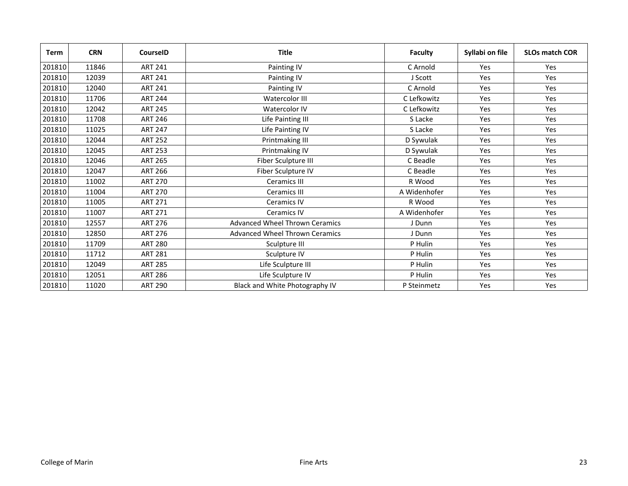| <b>Term</b> | <b>CRN</b> | <b>CourseID</b> | <b>Title</b>                          | <b>Faculty</b> | Syllabi on file | <b>SLOs match COR</b> |
|-------------|------------|-----------------|---------------------------------------|----------------|-----------------|-----------------------|
| 201810      | 11846      | <b>ART 241</b>  | Painting IV                           | C Arnold       | Yes             | Yes                   |
| 201810      | 12039      | <b>ART 241</b>  | Painting IV                           | J Scott        | Yes             | Yes                   |
| 201810      | 12040      | <b>ART 241</b>  | Painting IV                           | C Arnold       | Yes             | Yes                   |
| 201810      | 11706      | <b>ART 244</b>  | Watercolor III                        | C Lefkowitz    | Yes             | Yes                   |
| 201810      | 12042      | <b>ART 245</b>  | Watercolor IV                         | C Lefkowitz    | Yes             | Yes                   |
| 201810      | 11708      | <b>ART 246</b>  | Life Painting III                     | S Lacke        | Yes             | Yes                   |
| 201810      | 11025      | <b>ART 247</b>  | Life Painting IV                      | S Lacke        | Yes             | Yes                   |
| 201810      | 12044      | <b>ART 252</b>  | Printmaking III                       | D Sywulak      | Yes             | Yes                   |
| 201810      | 12045      | <b>ART 253</b>  | Printmaking IV                        | D Sywulak      | Yes             | Yes                   |
| 201810      | 12046      | <b>ART 265</b>  | Fiber Sculpture III                   | C Beadle       | Yes             | Yes                   |
| 201810      | 12047      | <b>ART 266</b>  | Fiber Sculpture IV                    | C Beadle       | Yes             | Yes                   |
| 201810      | 11002      | <b>ART 270</b>  | Ceramics III                          | R Wood         | Yes             | Yes                   |
| 201810      | 11004      | <b>ART 270</b>  | <b>Ceramics III</b>                   | A Widenhofer   | Yes             | Yes                   |
| 201810      | 11005      | <b>ART 271</b>  | Ceramics IV                           | R Wood         | Yes             | Yes                   |
| 201810      | 11007      | <b>ART 271</b>  | <b>Ceramics IV</b>                    | A Widenhofer   | Yes             | Yes                   |
| 201810      | 12557      | <b>ART 276</b>  | <b>Advanced Wheel Thrown Ceramics</b> | J Dunn         | Yes             | Yes                   |
| 201810      | 12850      | <b>ART 276</b>  | Advanced Wheel Thrown Ceramics        | J Dunn         | Yes             | Yes                   |
| 201810      | 11709      | <b>ART 280</b>  | Sculpture III                         | P Hulin        | Yes             | Yes                   |
| 201810      | 11712      | <b>ART 281</b>  | Sculpture IV                          | P Hulin        | Yes             | Yes                   |
| 201810      | 12049      | <b>ART 285</b>  | Life Sculpture III                    | P Hulin        | Yes             | Yes                   |
| 201810      | 12051      | <b>ART 286</b>  | Life Sculpture IV                     | P Hulin        | Yes             | Yes                   |
| 201810      | 11020      | <b>ART 290</b>  | Black and White Photography IV        | P Steinmetz    | Yes             | Yes                   |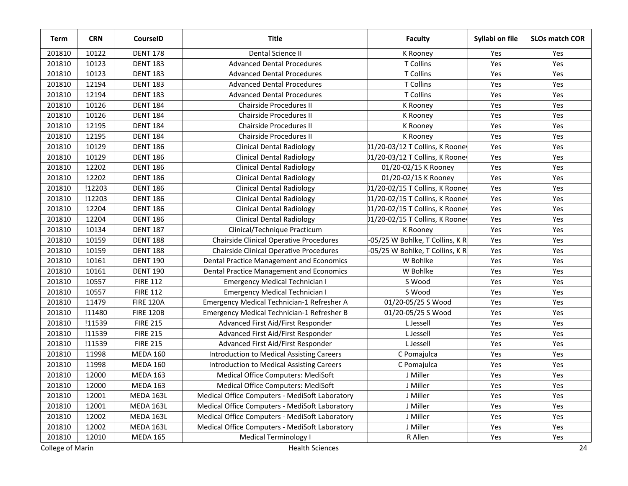| Term   | <b>CRN</b> | CourseID         | <b>Title</b>                                     | <b>Faculty</b>                  | Syllabi on file | <b>SLOs match COR</b> |
|--------|------------|------------------|--------------------------------------------------|---------------------------------|-----------------|-----------------------|
| 201810 | 10122      | <b>DENT 178</b>  | Dental Science II                                | K Rooney                        | Yes             | Yes                   |
| 201810 | 10123      | <b>DENT 183</b>  | <b>Advanced Dental Procedures</b>                | T Collins                       | Yes             | Yes                   |
| 201810 | 10123      | <b>DENT 183</b>  | <b>Advanced Dental Procedures</b>                | T Collins                       | Yes             | Yes                   |
| 201810 | 12194      | <b>DENT 183</b>  | <b>Advanced Dental Procedures</b>                | T Collins                       | Yes             | Yes                   |
| 201810 | 12194      | <b>DENT 183</b>  | <b>Advanced Dental Procedures</b>                | T Collins                       | Yes             | Yes                   |
| 201810 | 10126      | <b>DENT 184</b>  | Chairside Procedures II                          | K Rooney                        | Yes             | Yes                   |
| 201810 | 10126      | <b>DENT 184</b>  | Chairside Procedures II                          | K Rooney                        | Yes             | Yes                   |
| 201810 | 12195      | <b>DENT 184</b>  | Chairside Procedures II                          | K Rooney                        | Yes             | Yes                   |
| 201810 | 12195      | <b>DENT 184</b>  | Chairside Procedures II                          | K Rooney                        | Yes             | Yes                   |
| 201810 | 10129      | <b>DENT 186</b>  | <b>Clinical Dental Radiology</b>                 | 01/20-03/12 T Collins, K Rooney | Yes             | Yes                   |
| 201810 | 10129      | <b>DENT 186</b>  | <b>Clinical Dental Radiology</b>                 | 01/20-03/12 T Collins, K Rooney | Yes             | Yes                   |
| 201810 | 12202      | <b>DENT 186</b>  | <b>Clinical Dental Radiology</b>                 | 01/20-02/15 K Rooney            | Yes             | Yes                   |
| 201810 | 12202      | <b>DENT 186</b>  | <b>Clinical Dental Radiology</b>                 | 01/20-02/15 K Rooney            | Yes             | Yes                   |
| 201810 | !12203     | <b>DENT 186</b>  | <b>Clinical Dental Radiology</b>                 | 01/20-02/15 T Collins, K Rooney | Yes             | Yes                   |
| 201810 | !12203     | <b>DENT 186</b>  | <b>Clinical Dental Radiology</b>                 | 01/20-02/15 T Collins, K Rooney | Yes             | Yes                   |
| 201810 | 12204      | <b>DENT 186</b>  | <b>Clinical Dental Radiology</b>                 | 01/20-02/15 T Collins, K Rooney | Yes             | Yes                   |
| 201810 | 12204      | <b>DENT 186</b>  | <b>Clinical Dental Radiology</b>                 | 01/20-02/15 T Collins, K Rooney | Yes             | Yes                   |
| 201810 | 10134      | <b>DENT 187</b>  | Clinical/Technique Practicum                     | K Rooney                        | Yes             | Yes                   |
| 201810 | 10159      | <b>DENT 188</b>  | Chairside Clinical Operative Procedures          | -05/25 W Bohlke, T Collins, K R | Yes             | Yes                   |
| 201810 | 10159      | <b>DENT 188</b>  | Chairside Clinical Operative Procedures          | -05/25 W Bohlke, T Collins, K R | Yes             | Yes                   |
| 201810 | 10161      | <b>DENT 190</b>  | Dental Practice Management and Economics         | W Bohlke                        | Yes             | Yes                   |
| 201810 | 10161      | <b>DENT 190</b>  | <b>Dental Practice Management and Economics</b>  | W Bohlke                        | Yes             | Yes                   |
| 201810 | 10557      | <b>FIRE 112</b>  | <b>Emergency Medical Technician I</b>            | S Wood                          | Yes             | Yes                   |
| 201810 | 10557      | <b>FIRE 112</b>  | <b>Emergency Medical Technician I</b>            | S Wood                          | Yes             | Yes                   |
| 201810 | 11479      | <b>FIRE 120A</b> | Emergency Medical Technician-1 Refresher A       | 01/20-05/25 S Wood              | Yes             | Yes                   |
| 201810 | !11480     | <b>FIRE 120B</b> | Emergency Medical Technician-1 Refresher B       | 01/20-05/25 S Wood              | Yes             | Yes                   |
| 201810 | !11539     | <b>FIRE 215</b>  | Advanced First Aid/First Responder               | L Jessell                       | Yes             | Yes                   |
| 201810 | !11539     | <b>FIRE 215</b>  | Advanced First Aid/First Responder               | L Jessell                       | Yes             | Yes                   |
| 201810 | !11539     | <b>FIRE 215</b>  | Advanced First Aid/First Responder               | L Jessell                       | Yes             | Yes                   |
| 201810 | 11998      | <b>MEDA 160</b>  | <b>Introduction to Medical Assisting Careers</b> | C Pomajulca                     | Yes             | Yes                   |
| 201810 | 11998      | <b>MEDA 160</b>  | <b>Introduction to Medical Assisting Careers</b> | C Pomajulca                     | Yes             | Yes                   |
| 201810 | 12000      | <b>MEDA 163</b>  | Medical Office Computers: MediSoft               | J Miller                        | Yes             | Yes                   |
| 201810 | 12000      | <b>MEDA 163</b>  | Medical Office Computers: MediSoft               | J Miller                        | Yes             | Yes                   |
| 201810 | 12001      | MEDA 163L        | Medical Office Computers - MediSoft Laboratory   | J Miller                        | Yes             | Yes                   |
| 201810 | 12001      | MEDA 163L        | Medical Office Computers - MediSoft Laboratory   | J Miller                        | Yes             | Yes                   |
| 201810 | 12002      | MEDA 163L        | Medical Office Computers - MediSoft Laboratory   | J Miller                        | Yes             | Yes                   |
| 201810 | 12002      | MEDA 163L        | Medical Office Computers - MediSoft Laboratory   | J Miller                        | Yes             | Yes                   |
| 201810 | 12010      | <b>MEDA 165</b>  | <b>Medical Terminology I</b>                     | R Allen                         | Yes             | Yes                   |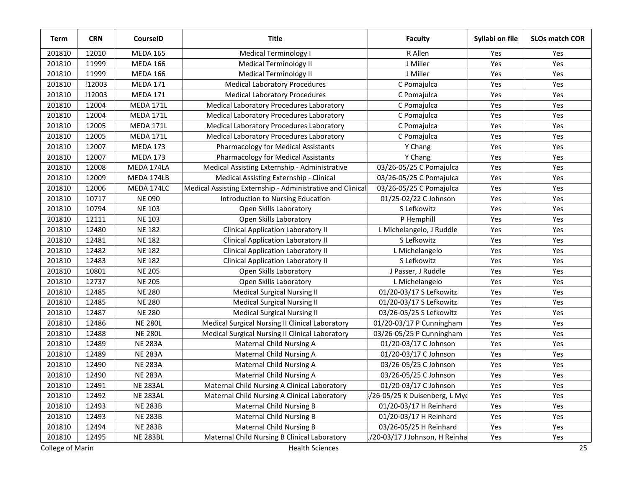| <b>Term</b> | <b>CRN</b> | CourseID         | <b>Title</b>                                               | <b>Faculty</b>                 | Syllabi on file | <b>SLOs match COR</b> |
|-------------|------------|------------------|------------------------------------------------------------|--------------------------------|-----------------|-----------------------|
| 201810      | 12010      | <b>MEDA 165</b>  | <b>Medical Terminology I</b>                               | R Allen                        | Yes             | Yes                   |
| 201810      | 11999      | <b>MEDA 166</b>  | <b>Medical Terminology II</b>                              | J Miller                       | Yes             | Yes                   |
| 201810      | 11999      | <b>MEDA 166</b>  | <b>Medical Terminology II</b>                              | J Miller                       | Yes             | Yes                   |
| 201810      | !12003     | <b>MEDA 171</b>  | <b>Medical Laboratory Procedures</b>                       | C Pomajulca                    | Yes             | Yes                   |
| 201810      | !12003     | <b>MEDA 171</b>  | <b>Medical Laboratory Procedures</b>                       | C Pomajulca                    | Yes             | Yes                   |
| 201810      | 12004      | <b>MEDA 171L</b> | Medical Laboratory Procedures Laboratory                   | C Pomajulca                    | Yes             | Yes                   |
| 201810      | 12004      | <b>MEDA 171L</b> | Medical Laboratory Procedures Laboratory                   | C Pomajulca                    | Yes             | Yes                   |
| 201810      | 12005      | <b>MEDA 171L</b> | Medical Laboratory Procedures Laboratory                   | C Pomajulca                    | Yes             | Yes                   |
| 201810      | 12005      | <b>MEDA 171L</b> | Medical Laboratory Procedures Laboratory                   | C Pomajulca                    | Yes             | Yes                   |
| 201810      | 12007      | <b>MEDA 173</b>  | <b>Pharmacology for Medical Assistants</b>                 | Y Chang                        | Yes             | Yes                   |
| 201810      | 12007      | <b>MEDA 173</b>  | Pharmacology for Medical Assistants                        | Y Chang                        | Yes             | Yes                   |
| 201810      | 12008      | MEDA 174LA       | Medical Assisting Externship - Administrative              | 03/26-05/25 C Pomajulca        | Yes             | Yes                   |
| 201810      | 12009      | MEDA 174LB       | Medical Assisting Externship - Clinical                    | 03/26-05/25 C Pomajulca        | Yes             | Yes                   |
| 201810      | 12006      | MEDA 174LC       | Medical Assisting Externship - Administrative and Clinical | 03/26-05/25 C Pomajulca        | Yes             | Yes                   |
| 201810      | 10717      | <b>NE 090</b>    | Introduction to Nursing Education                          | 01/25-02/22 C Johnson          | Yes             | Yes                   |
| 201810      | 10794      | <b>NE 103</b>    | Open Skills Laboratory                                     | S Lefkowitz                    | Yes             | Yes                   |
| 201810      | 12111      | <b>NE 103</b>    | Open Skills Laboratory                                     | P Hemphill                     | Yes             | Yes                   |
| 201810      | 12480      | <b>NE 182</b>    | <b>Clinical Application Laboratory II</b>                  | L Michelangelo, J Ruddle       | Yes             | Yes                   |
| 201810      | 12481      | <b>NE 182</b>    | <b>Clinical Application Laboratory II</b>                  | S Lefkowitz                    | Yes             | Yes                   |
| 201810      | 12482      | <b>NE 182</b>    | <b>Clinical Application Laboratory II</b>                  | L Michelangelo                 | Yes             | Yes                   |
| 201810      | 12483      | <b>NE 182</b>    | <b>Clinical Application Laboratory II</b>                  | S Lefkowitz                    | Yes             | Yes                   |
| 201810      | 10801      | <b>NE 205</b>    | Open Skills Laboratory                                     | J Passer, J Ruddle             | Yes             | Yes                   |
| 201810      | 12737      | <b>NE 205</b>    | Open Skills Laboratory                                     | L Michelangelo                 | Yes             | Yes                   |
| 201810      | 12485      | <b>NE 280</b>    | <b>Medical Surgical Nursing II</b>                         | 01/20-03/17 S Lefkowitz        | Yes             | Yes                   |
| 201810      | 12485      | <b>NE 280</b>    | <b>Medical Surgical Nursing II</b>                         | 01/20-03/17 S Lefkowitz        | Yes             | Yes                   |
| 201810      | 12487      | <b>NE 280</b>    | <b>Medical Surgical Nursing II</b>                         | 03/26-05/25 S Lefkowitz        | Yes             | Yes                   |
| 201810      | 12486      | <b>NE 280L</b>   | Medical Surgical Nursing II Clinical Laboratory            | 01/20-03/17 P Cunningham       | Yes             | Yes                   |
| 201810      | 12488      | <b>NE 280L</b>   | Medical Surgical Nursing II Clinical Laboratory            | 03/26-05/25 P Cunningham       | Yes             | Yes                   |
| 201810      | 12489      | <b>NE 283A</b>   | Maternal Child Nursing A                                   | 01/20-03/17 C Johnson          | Yes             | Yes                   |
| 201810      | 12489      | <b>NE 283A</b>   | Maternal Child Nursing A                                   | 01/20-03/17 C Johnson          | Yes             | Yes                   |
| 201810      | 12490      | <b>NE 283A</b>   | Maternal Child Nursing A                                   | 03/26-05/25 C Johnson          | Yes             | Yes                   |
| 201810      | 12490      | <b>NE 283A</b>   | Maternal Child Nursing A                                   | 03/26-05/25 C Johnson          | Yes             | Yes                   |
| 201810      | 12491      | <b>NE 283AL</b>  | Maternal Child Nursing A Clinical Laboratory               | 01/20-03/17 C Johnson          | Yes             | Yes                   |
| 201810      | 12492      | <b>NE 283AL</b>  | Maternal Child Nursing A Clinical Laboratory               | /26-05/25 K Duisenberg, L Mye  | Yes             | Yes                   |
| 201810      | 12493      | <b>NE 283B</b>   | Maternal Child Nursing B                                   | 01/20-03/17 H Reinhard         | Yes             | Yes                   |
| 201810      | 12493      | <b>NE 283B</b>   | Maternal Child Nursing B                                   | 01/20-03/17 H Reinhard         | Yes             | Yes                   |
| 201810      | 12494      | <b>NE 283B</b>   | <b>Maternal Child Nursing B</b>                            | 03/26-05/25 H Reinhard         | Yes             | Yes                   |
| 201810      | 12495      | <b>NE 283BL</b>  | Maternal Child Nursing B Clinical Laboratory               | 1/20-03/17 J Johnson, H Reinha | Yes             | Yes                   |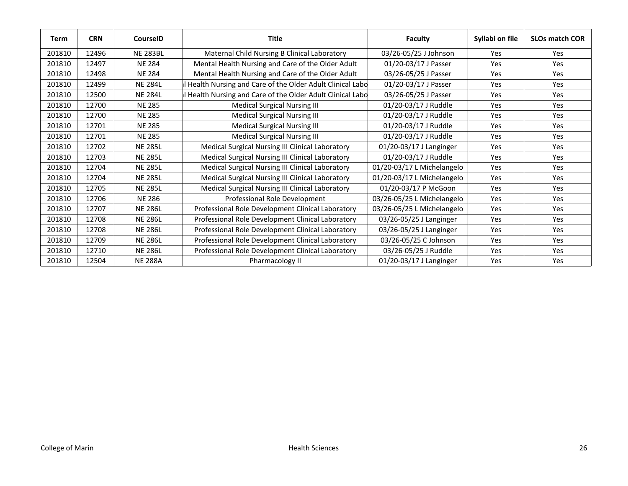| <b>Term</b> | <b>CRN</b> | <b>CourseID</b> | <b>Title</b>                                               | <b>Faculty</b>             | Syllabi on file | <b>SLOs match COR</b> |
|-------------|------------|-----------------|------------------------------------------------------------|----------------------------|-----------------|-----------------------|
| 201810      | 12496      | <b>NE 283BL</b> | Maternal Child Nursing B Clinical Laboratory               | 03/26-05/25 J Johnson      | Yes             | <b>Yes</b>            |
| 201810      | 12497      | <b>NE 284</b>   | Mental Health Nursing and Care of the Older Adult          | 01/20-03/17 J Passer       | <b>Yes</b>      | <b>Yes</b>            |
| 201810      | 12498      | <b>NE 284</b>   | Mental Health Nursing and Care of the Older Adult          | 03/26-05/25 J Passer       | Yes             | Yes                   |
| 201810      | 12499      | <b>NE 284L</b>  | I Health Nursing and Care of the Older Adult Clinical Labo | 01/20-03/17 J Passer       | <b>Yes</b>      | Yes                   |
| 201810      | 12500      | <b>NE 284L</b>  | Health Nursing and Care of the Older Adult Clinical Labo   | 03/26-05/25 J Passer       | Yes             | Yes                   |
| 201810      | 12700      | <b>NE 285</b>   | <b>Medical Surgical Nursing III</b>                        | 01/20-03/17 J Ruddle       | <b>Yes</b>      | <b>Yes</b>            |
| 201810      | 12700      | <b>NE 285</b>   | <b>Medical Surgical Nursing III</b>                        | 01/20-03/17 J Ruddle       | <b>Yes</b>      | <b>Yes</b>            |
| 201810      | 12701      | <b>NE 285</b>   | <b>Medical Surgical Nursing III</b>                        | 01/20-03/17 J Ruddle       | Yes             | Yes                   |
| 201810      | 12701      | <b>NE 285</b>   | <b>Medical Surgical Nursing III</b>                        | 01/20-03/17 J Ruddle       | <b>Yes</b>      | Yes                   |
| 201810      | 12702      | <b>NE 285L</b>  | Medical Surgical Nursing III Clinical Laboratory           | 01/20-03/17 J Langinger    | <b>Yes</b>      | Yes                   |
| 201810      | 12703      | <b>NE 285L</b>  | Medical Surgical Nursing III Clinical Laboratory           | 01/20-03/17 J Ruddle       | <b>Yes</b>      | Yes                   |
| 201810      | 12704      | <b>NE 285L</b>  | Medical Surgical Nursing III Clinical Laboratory           | 01/20-03/17 L Michelangelo | Yes             | Yes                   |
| 201810      | 12704      | <b>NE 285L</b>  | Medical Surgical Nursing III Clinical Laboratory           | 01/20-03/17 L Michelangelo | Yes             | Yes                   |
| 201810      | 12705      | <b>NE 285L</b>  | Medical Surgical Nursing III Clinical Laboratory           | 01/20-03/17 P McGoon       | Yes             | <b>Yes</b>            |
| 201810      | 12706      | <b>NE 286</b>   | Professional Role Development                              | 03/26-05/25 L Michelangelo | <b>Yes</b>      | <b>Yes</b>            |
| 201810      | 12707      | <b>NE 286L</b>  | Professional Role Development Clinical Laboratory          | 03/26-05/25 L Michelangelo | Yes             | Yes                   |
| 201810      | 12708      | <b>NE 286L</b>  | Professional Role Development Clinical Laboratory          | 03/26-05/25 J Langinger    | <b>Yes</b>      | Yes                   |
| 201810      | 12708      | <b>NE 286L</b>  | Professional Role Development Clinical Laboratory          | 03/26-05/25 J Langinger    | Yes             | Yes                   |
| 201810      | 12709      | <b>NE 286L</b>  | Professional Role Development Clinical Laboratory          | 03/26-05/25 C Johnson      | Yes             | <b>Yes</b>            |
| 201810      | 12710      | <b>NE 286L</b>  | Professional Role Development Clinical Laboratory          | 03/26-05/25 J Ruddle       | Yes             | Yes                   |
| 201810      | 12504      | <b>NE 288A</b>  | Pharmacology II                                            | 01/20-03/17 J Langinger    | Yes             | Yes                   |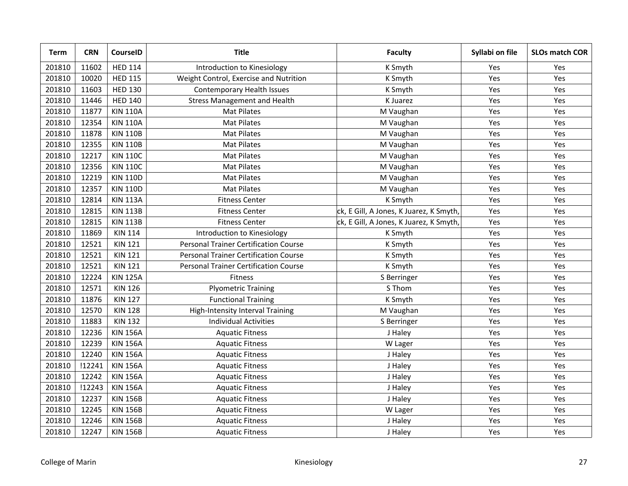| <b>Term</b> | <b>CRN</b> | <b>CourseID</b> | <b>Title</b>                                 | <b>Faculty</b>                          | Syllabi on file | <b>SLOs match COR</b> |
|-------------|------------|-----------------|----------------------------------------------|-----------------------------------------|-----------------|-----------------------|
| 201810      | 11602      | <b>HED 114</b>  | Introduction to Kinesiology                  | K Smyth                                 | Yes             | Yes                   |
| 201810      | 10020      | <b>HED 115</b>  | Weight Control, Exercise and Nutrition       | K Smyth                                 | Yes             | Yes                   |
| 201810      | 11603      | <b>HED 130</b>  | Contemporary Health Issues                   | K Smyth                                 | Yes             | Yes                   |
| 201810      | 11446      | <b>HED 140</b>  | <b>Stress Management and Health</b>          | K Juarez                                | Yes             | Yes                   |
| 201810      | 11877      | <b>KIN 110A</b> | <b>Mat Pilates</b>                           | M Vaughan                               | Yes             | Yes                   |
| 201810      | 12354      | <b>KIN 110A</b> | <b>Mat Pilates</b>                           | M Vaughan                               | Yes             | Yes                   |
| 201810      | 11878      | <b>KIN 110B</b> | <b>Mat Pilates</b>                           | M Vaughan                               | Yes             | Yes                   |
| 201810      | 12355      | <b>KIN 110B</b> | Mat Pilates                                  | M Vaughan                               | Yes             | Yes                   |
| 201810      | 12217      | <b>KIN 110C</b> | <b>Mat Pilates</b>                           | M Vaughan                               | Yes             | Yes                   |
| 201810      | 12356      | <b>KIN 110C</b> | <b>Mat Pilates</b>                           | M Vaughan                               | Yes             | Yes                   |
| 201810      | 12219      | <b>KIN 110D</b> | <b>Mat Pilates</b>                           | M Vaughan                               | Yes             | Yes                   |
| 201810      | 12357      | <b>KIN 110D</b> | <b>Mat Pilates</b>                           | M Vaughan                               | Yes             | Yes                   |
| 201810      | 12814      | <b>KIN 113A</b> | <b>Fitness Center</b>                        | K Smyth                                 | Yes             | Yes                   |
| 201810      | 12815      | <b>KIN 113B</b> | <b>Fitness Center</b>                        | ck, E Gill, A Jones, K Juarez, K Smyth, | Yes             | Yes                   |
| 201810      | 12815      | <b>KIN 113B</b> | <b>Fitness Center</b>                        | ck, E Gill, A Jones, K Juarez, K Smyth, | Yes             | Yes                   |
| 201810      | 11869      | <b>KIN 114</b>  | Introduction to Kinesiology                  | K Smyth                                 | Yes             | Yes                   |
| 201810      | 12521      | <b>KIN 121</b>  | <b>Personal Trainer Certification Course</b> | K Smyth                                 | Yes             | Yes                   |
| 201810      | 12521      | <b>KIN 121</b>  | <b>Personal Trainer Certification Course</b> | K Smyth                                 | Yes             | Yes                   |
| 201810      | 12521      | <b>KIN 121</b>  | <b>Personal Trainer Certification Course</b> | K Smyth                                 | Yes             | Yes                   |
| 201810      | 12224      | <b>KIN 125A</b> | Fitness                                      | S Berringer                             | Yes             | Yes                   |
| 201810      | 12571      | <b>KIN 126</b>  | <b>Plyometric Training</b>                   | S Thom                                  | Yes             | Yes                   |
| 201810      | 11876      | <b>KIN 127</b>  | <b>Functional Training</b>                   | K Smyth                                 | Yes             | Yes                   |
| 201810      | 12570      | <b>KIN 128</b>  | High-Intensity Interval Training             | M Vaughan                               | Yes             | Yes                   |
| 201810      | 11883      | <b>KIN 132</b>  | <b>Individual Activities</b>                 | S Berringer                             | Yes             | Yes                   |
| 201810      | 12236      | <b>KIN 156A</b> | <b>Aquatic Fitness</b>                       | J Haley                                 | Yes             | Yes                   |
| 201810      | 12239      | <b>KIN 156A</b> | <b>Aquatic Fitness</b>                       | W Lager                                 | Yes             | Yes                   |
| 201810      | 12240      | <b>KIN 156A</b> | <b>Aquatic Fitness</b>                       | J Haley                                 | Yes             | Yes                   |
| 201810      | !12241     | <b>KIN 156A</b> | <b>Aquatic Fitness</b>                       | J Haley                                 | Yes             | Yes                   |
| 201810      | 12242      | <b>KIN 156A</b> | <b>Aquatic Fitness</b>                       | J Haley                                 | Yes             | Yes                   |
| 201810      | !12243     | <b>KIN 156A</b> | <b>Aquatic Fitness</b>                       | J Haley                                 | Yes             | Yes                   |
| 201810      | 12237      | <b>KIN 156B</b> | <b>Aquatic Fitness</b>                       | J Haley                                 | Yes             | Yes                   |
| 201810      | 12245      | <b>KIN 156B</b> | <b>Aquatic Fitness</b>                       | W Lager                                 | Yes             | Yes                   |
| 201810      | 12246      | <b>KIN 156B</b> | <b>Aquatic Fitness</b>                       | J Haley                                 | Yes             | Yes                   |
| 201810      | 12247      | <b>KIN 156B</b> | <b>Aquatic Fitness</b>                       | J Haley                                 | Yes             | Yes                   |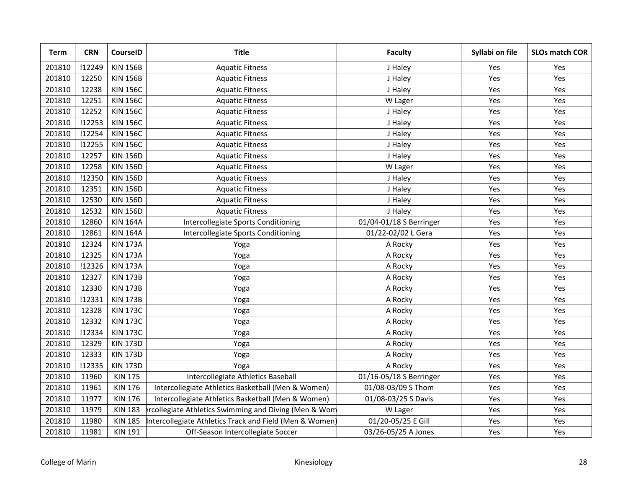| <b>Term</b> | <b>CRN</b> | <b>CourseID</b> | <b>Title</b>                                            | <b>Faculty</b>          | Syllabi on file | <b>SLOs match COR</b> |
|-------------|------------|-----------------|---------------------------------------------------------|-------------------------|-----------------|-----------------------|
| 201810      | !12249     | <b>KIN 156B</b> | <b>Aquatic Fitness</b>                                  | J Haley                 | Yes             | Yes                   |
| 201810      | 12250      | <b>KIN 156B</b> | <b>Aquatic Fitness</b>                                  | J Haley                 | Yes             | Yes                   |
| 201810      | 12238      | <b>KIN 156C</b> | <b>Aquatic Fitness</b>                                  | J Haley                 | Yes             | Yes                   |
| 201810      | 12251      | <b>KIN 156C</b> | <b>Aquatic Fitness</b>                                  | W Lager                 | Yes             | Yes                   |
| 201810      | 12252      | <b>KIN 156C</b> | <b>Aquatic Fitness</b>                                  | J Haley                 | Yes             | Yes                   |
| 201810      | !12253     | <b>KIN 156C</b> | <b>Aquatic Fitness</b>                                  | J Haley                 | Yes             | Yes                   |
| 201810      | !12254     | <b>KIN 156C</b> | <b>Aquatic Fitness</b>                                  | J Haley                 | Yes             | Yes                   |
| 201810      | !12255     | <b>KIN 156C</b> | <b>Aquatic Fitness</b>                                  | J Haley                 | Yes             | Yes                   |
| 201810      | 12257      | <b>KIN 156D</b> | <b>Aquatic Fitness</b>                                  | J Haley                 | Yes             | Yes                   |
| 201810      | 12258      | <b>KIN 156D</b> | <b>Aquatic Fitness</b>                                  | W Lager                 | Yes             | Yes                   |
| 201810      | !12350     | <b>KIN 156D</b> | <b>Aquatic Fitness</b>                                  | J Haley                 | Yes             | Yes                   |
| 201810      | 12351      | <b>KIN 156D</b> | <b>Aquatic Fitness</b>                                  | J Haley                 | Yes             | Yes                   |
| 201810      | 12530      | <b>KIN 156D</b> | <b>Aquatic Fitness</b>                                  | J Haley                 | Yes             | Yes                   |
| 201810      | 12532      | <b>KIN 156D</b> | <b>Aquatic Fitness</b>                                  | J Haley                 | Yes             | Yes                   |
| 201810      | 12860      | <b>KIN 164A</b> | Intercollegiate Sports Conditioning                     | 01/04-01/18 S Berringer | Yes             | Yes                   |
| 201810      | 12861      | <b>KIN 164A</b> | Intercollegiate Sports Conditioning                     | 01/22-02/02 L Gera      | Yes             | Yes                   |
| 201810      | 12324      | <b>KIN 173A</b> | Yoga                                                    | A Rocky                 | Yes             | Yes                   |
| 201810      | 12325      | <b>KIN 173A</b> | Yoga                                                    | A Rocky                 | Yes             | Yes                   |
| 201810      | !12326     | <b>KIN 173A</b> | Yoga                                                    | A Rocky                 | Yes             | Yes                   |
| 201810      | 12327      | <b>KIN 173B</b> | Yoga                                                    | A Rocky                 | Yes             | Yes                   |
| 201810      | 12330      | <b>KIN 173B</b> | Yoga                                                    | A Rocky                 | Yes             | Yes                   |
| 201810      | !12331     | <b>KIN 173B</b> | Yoga                                                    | A Rocky                 | Yes             | Yes                   |
| 201810      | 12328      | <b>KIN 173C</b> | Yoga                                                    | A Rocky                 | Yes             | Yes                   |
| 201810      | 12332      | <b>KIN 173C</b> | Yoga                                                    | A Rocky                 | Yes             | Yes                   |
| 201810      | !12334     | <b>KIN 173C</b> | Yoga                                                    | A Rocky                 | Yes             | Yes                   |
| 201810      | 12329      | <b>KIN 173D</b> | Yoga                                                    | A Rocky                 | Yes             | Yes                   |
| 201810      | 12333      | <b>KIN 173D</b> | Yoga                                                    | A Rocky                 | Yes             | Yes                   |
| 201810      | !12335     | <b>KIN 173D</b> | Yoga                                                    | A Rocky                 | Yes             | Yes                   |
| 201810      | 11960      | <b>KIN 175</b>  | Intercollegiate Athletics Baseball                      | 01/16-05/18 S Berringer | Yes             | Yes                   |
| 201810      | 11961      | <b>KIN 176</b>  | Intercollegiate Athletics Basketball (Men & Women)      | 01/08-03/09 S Thom      | Yes             | Yes                   |
| 201810      | 11977      | <b>KIN 176</b>  | Intercollegiate Athletics Basketball (Men & Women)      | 01/08-03/25 S Davis     | Yes             | Yes                   |
| 201810      | 11979      | <b>KIN 183</b>  | rcollegiate Athletics Swimming and Diving (Men & Wom    | W Lager                 | Yes             | Yes                   |
| 201810      | 11980      | <b>KIN 185</b>  | Intercollegiate Athletics Track and Field (Men & Women) | 01/20-05/25 E Gill      | Yes             | Yes                   |
| 201810      | 11981      | <b>KIN 191</b>  | Off-Season Intercollegiate Soccer                       | 03/26-05/25 A Jones     | Yes             | Yes                   |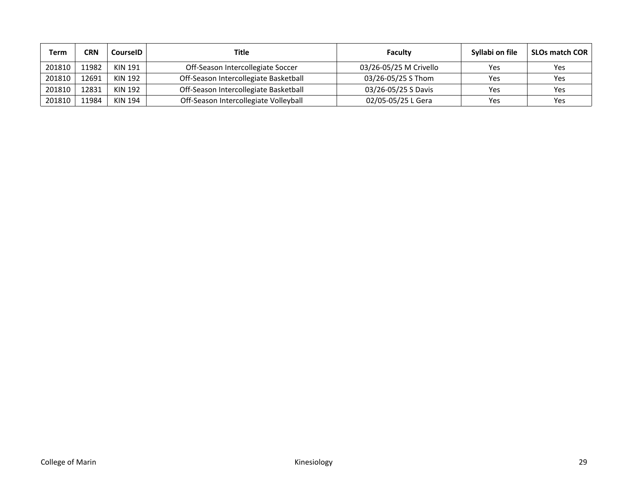| Term   | CRN   | CourseID | Title                                 | Faculty                | Syllabi on file | <b>SLOs match COR</b> |
|--------|-------|----------|---------------------------------------|------------------------|-----------------|-----------------------|
| 201810 | 11982 | KIN 191  | Off-Season Intercollegiate Soccer     | 03/26-05/25 M Crivello | Yes             | Yes                   |
| 201810 | 12691 | KIN 192  | Off-Season Intercollegiate Basketball | 03/26-05/25 S Thom     | Yes             | Yes                   |
| 201810 | 12831 | KIN 192  | Off-Season Intercollegiate Basketball | 03/26-05/25 S Davis    | Yes             | Yes                   |
| 201810 | 11984 | KIN 194  | Off-Season Intercollegiate Volleyball | 02/05-05/25 L Gera     | Yes             | Yes                   |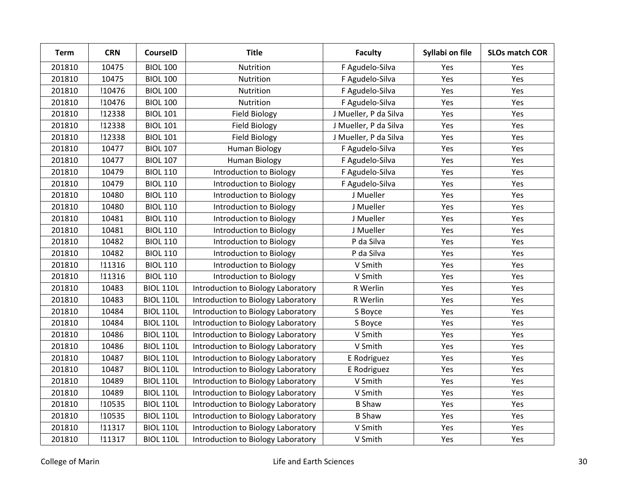| <b>Term</b> | <b>CRN</b> | <b>CourseID</b>  | <b>Title</b>                       | <b>Faculty</b>        | Syllabi on file | <b>SLOs match COR</b> |
|-------------|------------|------------------|------------------------------------|-----------------------|-----------------|-----------------------|
| 201810      | 10475      | <b>BIOL 100</b>  | Nutrition                          | F Agudelo-Silva       | Yes             | Yes                   |
| 201810      | 10475      | <b>BIOL 100</b>  | Nutrition                          | F Agudelo-Silva       | Yes             | Yes                   |
| 201810      | !10476     | <b>BIOL 100</b>  | Nutrition                          | F Agudelo-Silva       | Yes             | Yes                   |
| 201810      | !10476     | <b>BIOL 100</b>  | Nutrition                          | F Agudelo-Silva       | Yes             | Yes                   |
| 201810      | !12338     | <b>BIOL 101</b>  | <b>Field Biology</b>               | J Mueller, P da Silva | Yes             | Yes                   |
| 201810      | !12338     | <b>BIOL 101</b>  | <b>Field Biology</b>               | J Mueller, P da Silva | Yes             | Yes                   |
| 201810      | !12338     | <b>BIOL 101</b>  | <b>Field Biology</b>               | J Mueller, P da Silva | Yes             | Yes                   |
| 201810      | 10477      | <b>BIOL 107</b>  | <b>Human Biology</b>               | F Agudelo-Silva       | Yes             | Yes                   |
| 201810      | 10477      | <b>BIOL 107</b>  | <b>Human Biology</b>               | F Agudelo-Silva       | Yes             | Yes                   |
| 201810      | 10479      | <b>BIOL 110</b>  | Introduction to Biology            | F Agudelo-Silva       | Yes             | Yes                   |
| 201810      | 10479      | <b>BIOL 110</b>  | Introduction to Biology            | F Agudelo-Silva       | Yes             | Yes                   |
| 201810      | 10480      | <b>BIOL 110</b>  | Introduction to Biology            | J Mueller             | Yes             | Yes                   |
| 201810      | 10480      | <b>BIOL 110</b>  | Introduction to Biology            | J Mueller             | Yes             | Yes                   |
| 201810      | 10481      | <b>BIOL 110</b>  | Introduction to Biology            | J Mueller             | Yes             | Yes                   |
| 201810      | 10481      | <b>BIOL 110</b>  | Introduction to Biology            | J Mueller             | Yes             | Yes                   |
| 201810      | 10482      | <b>BIOL 110</b>  | Introduction to Biology            | P da Silva            | Yes             | Yes                   |
| 201810      | 10482      | <b>BIOL 110</b>  | Introduction to Biology            | P da Silva            | Yes             | Yes                   |
| 201810      | !11316     | <b>BIOL 110</b>  | Introduction to Biology            | V Smith               | Yes             | Yes                   |
| 201810      | !11316     | <b>BIOL 110</b>  | Introduction to Biology            | V Smith               | Yes             | Yes                   |
| 201810      | 10483      | <b>BIOL 110L</b> | Introduction to Biology Laboratory | R Werlin              | Yes             | Yes                   |
| 201810      | 10483      | <b>BIOL 110L</b> | Introduction to Biology Laboratory | R Werlin              | Yes             | Yes                   |
| 201810      | 10484      | <b>BIOL 110L</b> | Introduction to Biology Laboratory | S Boyce               | Yes             | Yes                   |
| 201810      | 10484      | <b>BIOL 110L</b> | Introduction to Biology Laboratory | S Boyce               | Yes             | Yes                   |
| 201810      | 10486      | <b>BIOL 110L</b> | Introduction to Biology Laboratory | V Smith               | Yes             | Yes                   |
| 201810      | 10486      | <b>BIOL 110L</b> | Introduction to Biology Laboratory | V Smith               | Yes             | Yes                   |
| 201810      | 10487      | <b>BIOL 110L</b> | Introduction to Biology Laboratory | E Rodriguez           | Yes             | Yes                   |
| 201810      | 10487      | <b>BIOL 110L</b> | Introduction to Biology Laboratory | E Rodriguez           | Yes             | Yes                   |
| 201810      | 10489      | <b>BIOL 110L</b> | Introduction to Biology Laboratory | V Smith               | Yes             | Yes                   |
| 201810      | 10489      | <b>BIOL 110L</b> | Introduction to Biology Laboratory | V Smith               | Yes             | Yes                   |
| 201810      | !10535     | <b>BIOL 110L</b> | Introduction to Biology Laboratory | <b>B Shaw</b>         | Yes             | Yes                   |
| 201810      | !10535     | <b>BIOL 110L</b> | Introduction to Biology Laboratory | <b>B Shaw</b>         | Yes             | Yes                   |
| 201810      | !11317     | <b>BIOL 110L</b> | Introduction to Biology Laboratory | V Smith               | Yes             | Yes                   |
| 201810      | !11317     | <b>BIOL 110L</b> | Introduction to Biology Laboratory | V Smith               | Yes             | Yes                   |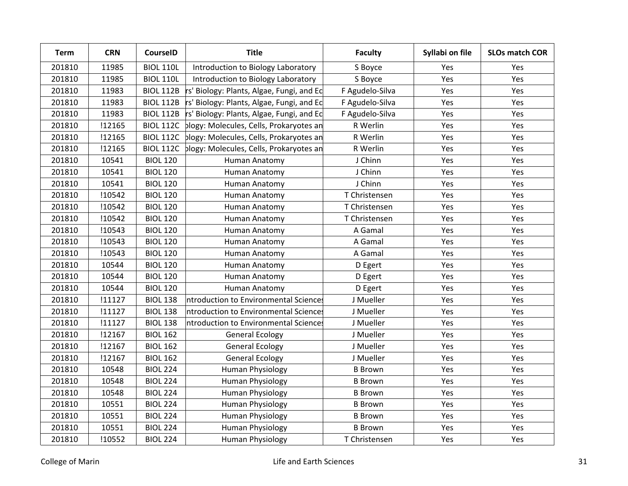| <b>Term</b> | <b>CRN</b> | <b>CourseID</b>  | <b>Title</b>                              | <b>Faculty</b>  | Syllabi on file | <b>SLOs match COR</b> |
|-------------|------------|------------------|-------------------------------------------|-----------------|-----------------|-----------------------|
| 201810      | 11985      | <b>BIOL 110L</b> | Introduction to Biology Laboratory        | S Boyce         | Yes             | Yes                   |
| 201810      | 11985      | <b>BIOL 110L</b> | Introduction to Biology Laboratory        | S Boyce         | Yes             | Yes                   |
| 201810      | 11983      | <b>BIOL 112B</b> | rs' Biology: Plants, Algae, Fungi, and Ec | F Agudelo-Silva | Yes             | Yes                   |
| 201810      | 11983      | <b>BIOL 112B</b> | rs' Biology: Plants, Algae, Fungi, and Ec | F Agudelo-Silva | Yes             | Yes                   |
| 201810      | 11983      | <b>BIOL 112B</b> | rs' Biology: Plants, Algae, Fungi, and Ec | F Agudelo-Silva | Yes             | Yes                   |
| 201810      | !12165     | <b>BIOL 112C</b> | plogy: Molecules, Cells, Prokaryotes an   | R Werlin        | Yes             | Yes                   |
| 201810      | !12165     | <b>BIOL 112C</b> | plogy: Molecules, Cells, Prokaryotes an   | R Werlin        | Yes             | Yes                   |
| 201810      | !12165     | <b>BIOL 112C</b> | plogy: Molecules, Cells, Prokaryotes an   | R Werlin        | Yes             | Yes                   |
| 201810      | 10541      | <b>BIOL 120</b>  | Human Anatomy                             | J Chinn         | Yes             | Yes                   |
| 201810      | 10541      | <b>BIOL 120</b>  | Human Anatomy                             | J Chinn         | Yes             | Yes                   |
| 201810      | 10541      | <b>BIOL 120</b>  | Human Anatomy                             | J Chinn         | Yes             | Yes                   |
| 201810      | !10542     | <b>BIOL 120</b>  | Human Anatomy                             | T Christensen   | Yes             | Yes                   |
| 201810      | !10542     | <b>BIOL 120</b>  | Human Anatomy                             | T Christensen   | Yes             | Yes                   |
| 201810      | !10542     | <b>BIOL 120</b>  | Human Anatomy                             | T Christensen   | Yes             | Yes                   |
| 201810      | !10543     | <b>BIOL 120</b>  | Human Anatomy                             | A Gamal         | Yes             | Yes                   |
| 201810      | !10543     | <b>BIOL 120</b>  | Human Anatomy                             | A Gamal         | Yes             | Yes                   |
| 201810      | !10543     | <b>BIOL 120</b>  | Human Anatomy                             | A Gamal         | Yes             | Yes                   |
| 201810      | 10544      | <b>BIOL 120</b>  | Human Anatomy                             | D Egert         | Yes             | Yes                   |
| 201810      | 10544      | <b>BIOL 120</b>  | Human Anatomy                             | D Egert         | Yes             | Yes                   |
| 201810      | 10544      | <b>BIOL 120</b>  | Human Anatomy                             | D Egert         | Yes             | Yes                   |
| 201810      | !11127     | <b>BIOL 138</b>  | ntroduction to Environmental Sciences     | J Mueller       | Yes             | Yes                   |
| 201810      | !11127     | <b>BIOL 138</b>  | ntroduction to Environmental Sciences     | J Mueller       | Yes             | Yes                   |
| 201810      | !11127     | <b>BIOL 138</b>  | ntroduction to Environmental Sciences     | J Mueller       | Yes             | Yes                   |
| 201810      | !12167     | <b>BIOL 162</b>  | <b>General Ecology</b>                    | J Mueller       | Yes             | Yes                   |
| 201810      | !12167     | <b>BIOL 162</b>  | <b>General Ecology</b>                    | J Mueller       | Yes             | Yes                   |
| 201810      | !12167     | <b>BIOL 162</b>  | <b>General Ecology</b>                    | J Mueller       | Yes             | Yes                   |
| 201810      | 10548      | <b>BIOL 224</b>  | Human Physiology                          | <b>B</b> Brown  | Yes             | Yes                   |
| 201810      | 10548      | <b>BIOL 224</b>  | <b>Human Physiology</b>                   | <b>B</b> Brown  | Yes             | Yes                   |
| 201810      | 10548      | <b>BIOL 224</b>  | Human Physiology                          | <b>B</b> Brown  | Yes             | Yes                   |
| 201810      | 10551      | <b>BIOL 224</b>  | <b>Human Physiology</b>                   | <b>B</b> Brown  | Yes             | Yes                   |
| 201810      | 10551      | <b>BIOL 224</b>  | <b>Human Physiology</b>                   | <b>B</b> Brown  | Yes             | Yes                   |
| 201810      | 10551      | <b>BIOL 224</b>  | Human Physiology                          | <b>B</b> Brown  | Yes             | Yes                   |
| 201810      | !10552     | <b>BIOL 224</b>  | Human Physiology                          | T Christensen   | Yes             | Yes                   |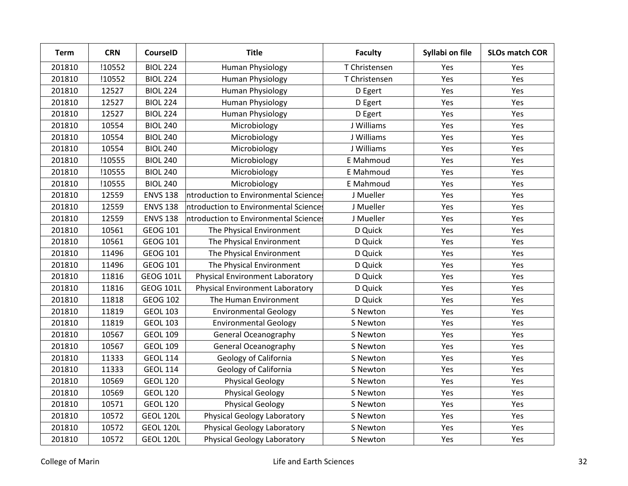| <b>Term</b> | <b>CRN</b> | <b>CourseID</b>  | <b>Title</b>                           | <b>Faculty</b> | Syllabi on file | <b>SLOs match COR</b> |
|-------------|------------|------------------|----------------------------------------|----------------|-----------------|-----------------------|
| 201810      | !10552     | <b>BIOL 224</b>  | Human Physiology                       | T Christensen  | Yes             | Yes                   |
| 201810      | !10552     | <b>BIOL 224</b>  | Human Physiology                       | T Christensen  | Yes             | Yes                   |
| 201810      | 12527      | <b>BIOL 224</b>  | Human Physiology                       | D Egert        | Yes             | Yes                   |
| 201810      | 12527      | <b>BIOL 224</b>  | <b>Human Physiology</b>                | D Egert        | Yes             | Yes                   |
| 201810      | 12527      | <b>BIOL 224</b>  | <b>Human Physiology</b>                | D Egert        | Yes             | Yes                   |
| 201810      | 10554      | <b>BIOL 240</b>  | Microbiology                           | J Williams     | Yes             | Yes                   |
| 201810      | 10554      | <b>BIOL 240</b>  | Microbiology                           | J Williams     | Yes             | Yes                   |
| 201810      | 10554      | <b>BIOL 240</b>  | Microbiology                           | J Williams     | Yes             | Yes                   |
| 201810      | !10555     | <b>BIOL 240</b>  | Microbiology                           | E Mahmoud      | Yes             | Yes                   |
| 201810      | !10555     | <b>BIOL 240</b>  | Microbiology                           | E Mahmoud      | Yes             | Yes                   |
| 201810      | !10555     | <b>BIOL 240</b>  | Microbiology                           | E Mahmoud      | Yes             | Yes                   |
| 201810      | 12559      | <b>ENVS 138</b>  | ntroduction to Environmental Sciences  | J Mueller      | Yes             | Yes                   |
| 201810      | 12559      | <b>ENVS 138</b>  | ntroduction to Environmental Sciences  | J Mueller      | Yes             | Yes                   |
| 201810      | 12559      | <b>ENVS 138</b>  | ntroduction to Environmental Sciences  | J Mueller      | Yes             | Yes                   |
| 201810      | 10561      | <b>GEOG 101</b>  | The Physical Environment               | D Quick        | Yes             | Yes                   |
| 201810      | 10561      | <b>GEOG 101</b>  | The Physical Environment               | D Quick        | Yes             | Yes                   |
| 201810      | 11496      | <b>GEOG 101</b>  | The Physical Environment               | D Quick        | Yes             | Yes                   |
| 201810      | 11496      | <b>GEOG 101</b>  | The Physical Environment               | D Quick        | Yes             | Yes                   |
| 201810      | 11816      | <b>GEOG 101L</b> | <b>Physical Environment Laboratory</b> | D Quick        | Yes             | Yes                   |
| 201810      | 11816      | <b>GEOG 101L</b> | <b>Physical Environment Laboratory</b> | D Quick        | Yes             | Yes                   |
| 201810      | 11818      | <b>GEOG 102</b>  | The Human Environment                  | D Quick        | Yes             | Yes                   |
| 201810      | 11819      | <b>GEOL 103</b>  | <b>Environmental Geology</b>           | S Newton       | Yes             | Yes                   |
| 201810      | 11819      | <b>GEOL 103</b>  | <b>Environmental Geology</b>           | S Newton       | Yes             | Yes                   |
| 201810      | 10567      | <b>GEOL 109</b>  | <b>General Oceanography</b>            | S Newton       | Yes             | Yes                   |
| 201810      | 10567      | <b>GEOL 109</b>  | <b>General Oceanography</b>            | S Newton       | Yes             | Yes                   |
| 201810      | 11333      | <b>GEOL 114</b>  | Geology of California                  | S Newton       | Yes             | Yes                   |
| 201810      | 11333      | <b>GEOL 114</b>  | Geology of California                  | S Newton       | Yes             | Yes                   |
| 201810      | 10569      | <b>GEOL 120</b>  | <b>Physical Geology</b>                | S Newton       | Yes             | Yes                   |
| 201810      | 10569      | <b>GEOL 120</b>  | <b>Physical Geology</b>                | S Newton       | Yes             | Yes                   |
| 201810      | 10571      | <b>GEOL 120</b>  | <b>Physical Geology</b>                | S Newton       | Yes             | Yes                   |
| 201810      | 10572      | <b>GEOL 120L</b> | <b>Physical Geology Laboratory</b>     | S Newton       | Yes             | Yes                   |
| 201810      | 10572      | <b>GEOL 120L</b> | <b>Physical Geology Laboratory</b>     | S Newton       | Yes             | Yes                   |
| 201810      | 10572      | <b>GEOL 120L</b> | <b>Physical Geology Laboratory</b>     | S Newton       | Yes             | Yes                   |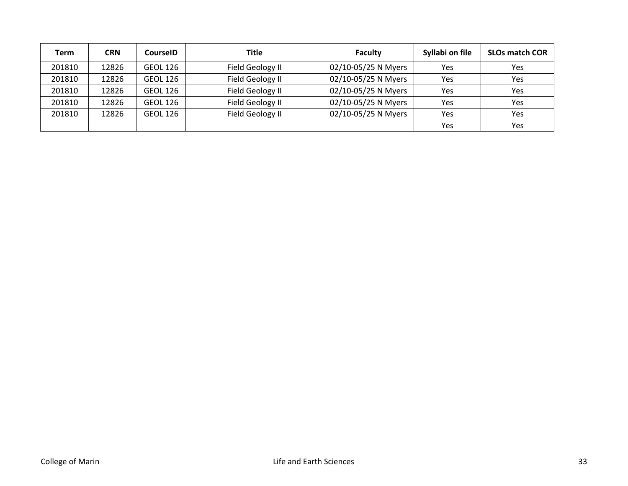| Term   | <b>CRN</b> | CourseID        | <b>Title</b>     | <b>Faculty</b>      | Syllabi on file | <b>SLOs match COR</b> |
|--------|------------|-----------------|------------------|---------------------|-----------------|-----------------------|
| 201810 | 12826      | GEOL 126        | Field Geology II | 02/10-05/25 N Myers | Yes             | Yes                   |
| 201810 | 12826      | <b>GEOL 126</b> | Field Geology II | 02/10-05/25 N Myers | Yes             | Yes                   |
| 201810 | 12826      | <b>GEOL 126</b> | Field Geology II | 02/10-05/25 N Myers | Yes             | Yes                   |
| 201810 | 12826      | <b>GEOL 126</b> | Field Geology II | 02/10-05/25 N Myers | <b>Yes</b>      | Yes                   |
| 201810 | 12826      | <b>GEOL 126</b> | Field Geology II | 02/10-05/25 N Myers | Yes             | Yes                   |
|        |            |                 |                  |                     | Yes             | Yes                   |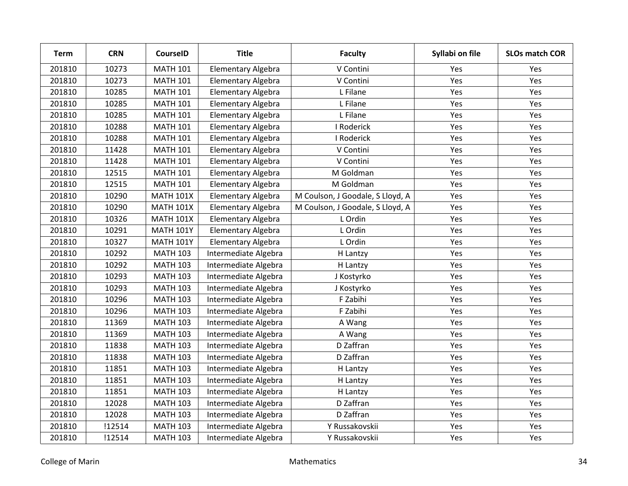| <b>Term</b> | <b>CRN</b> | <b>CourseID</b>  | <b>Title</b>              | <b>Faculty</b>                   | Syllabi on file | <b>SLOs match COR</b> |
|-------------|------------|------------------|---------------------------|----------------------------------|-----------------|-----------------------|
| 201810      | 10273      | <b>MATH 101</b>  | Elementary Algebra        | V Contini                        | Yes             | Yes                   |
| 201810      | 10273      | <b>MATH 101</b>  | Elementary Algebra        | V Contini                        | Yes             | Yes                   |
| 201810      | 10285      | <b>MATH 101</b>  | Elementary Algebra        | L Filane                         | Yes             | Yes                   |
| 201810      | 10285      | <b>MATH 101</b>  | Elementary Algebra        | L Filane                         | Yes             | Yes                   |
| 201810      | 10285      | <b>MATH 101</b>  | Elementary Algebra        | L Filane                         | Yes             | Yes                   |
| 201810      | 10288      | <b>MATH 101</b>  | Elementary Algebra        | I Roderick                       | Yes             | Yes                   |
| 201810      | 10288      | <b>MATH 101</b>  | Elementary Algebra        | I Roderick                       | Yes             | Yes                   |
| 201810      | 11428      | <b>MATH 101</b>  | Elementary Algebra        | V Contini                        | Yes             | Yes                   |
| 201810      | 11428      | <b>MATH 101</b>  | Elementary Algebra        | V Contini                        | Yes             | Yes                   |
| 201810      | 12515      | <b>MATH 101</b>  | Elementary Algebra        | M Goldman                        | Yes             | Yes                   |
| 201810      | 12515      | <b>MATH 101</b>  | <b>Elementary Algebra</b> | M Goldman                        | Yes             | Yes                   |
| 201810      | 10290      | <b>MATH 101X</b> | Elementary Algebra        | M Coulson, J Goodale, S Lloyd, A | Yes             | Yes                   |
| 201810      | 10290      | <b>MATH 101X</b> | <b>Elementary Algebra</b> | M Coulson, J Goodale, S Lloyd, A | Yes             | Yes                   |
| 201810      | 10326      | <b>MATH 101X</b> | <b>Elementary Algebra</b> | L Ordin                          | Yes             | Yes                   |
| 201810      | 10291      | <b>MATH 101Y</b> | Elementary Algebra        | L Ordin                          | Yes             | Yes                   |
| 201810      | 10327      | <b>MATH 101Y</b> | Elementary Algebra        | L Ordin                          | Yes             | Yes                   |
| 201810      | 10292      | <b>MATH 103</b>  | Intermediate Algebra      | H Lantzy                         | Yes             | Yes                   |
| 201810      | 10292      | <b>MATH 103</b>  | Intermediate Algebra      | H Lantzy                         | Yes             | Yes                   |
| 201810      | 10293      | <b>MATH 103</b>  | Intermediate Algebra      | J Kostyrko                       | Yes             | Yes                   |
| 201810      | 10293      | <b>MATH 103</b>  | Intermediate Algebra      | J Kostyrko                       | Yes             | Yes                   |
| 201810      | 10296      | <b>MATH 103</b>  | Intermediate Algebra      | F Zabihi                         | Yes             | Yes                   |
| 201810      | 10296      | <b>MATH 103</b>  | Intermediate Algebra      | F Zabihi                         | Yes             | Yes                   |
| 201810      | 11369      | <b>MATH 103</b>  | Intermediate Algebra      | A Wang                           | Yes             | Yes                   |
| 201810      | 11369      | <b>MATH 103</b>  | Intermediate Algebra      | A Wang                           | Yes             | Yes                   |
| 201810      | 11838      | <b>MATH 103</b>  | Intermediate Algebra      | D Zaffran                        | Yes             | Yes                   |
| 201810      | 11838      | <b>MATH 103</b>  | Intermediate Algebra      | D Zaffran                        | Yes             | Yes                   |
| 201810      | 11851      | <b>MATH 103</b>  | Intermediate Algebra      | H Lantzy                         | Yes             | Yes                   |
| 201810      | 11851      | <b>MATH 103</b>  | Intermediate Algebra      | H Lantzy                         | Yes             | Yes                   |
| 201810      | 11851      | <b>MATH 103</b>  | Intermediate Algebra      | H Lantzy                         | Yes             | Yes                   |
| 201810      | 12028      | <b>MATH 103</b>  | Intermediate Algebra      | D Zaffran                        | Yes             | Yes                   |
| 201810      | 12028      | <b>MATH 103</b>  | Intermediate Algebra      | D Zaffran                        | Yes             | Yes                   |
| 201810      | !12514     | <b>MATH 103</b>  | Intermediate Algebra      | Y Russakovskii                   | Yes             | Yes                   |
| 201810      | !12514     | <b>MATH 103</b>  | Intermediate Algebra      | Y Russakovskii                   | Yes             | Yes                   |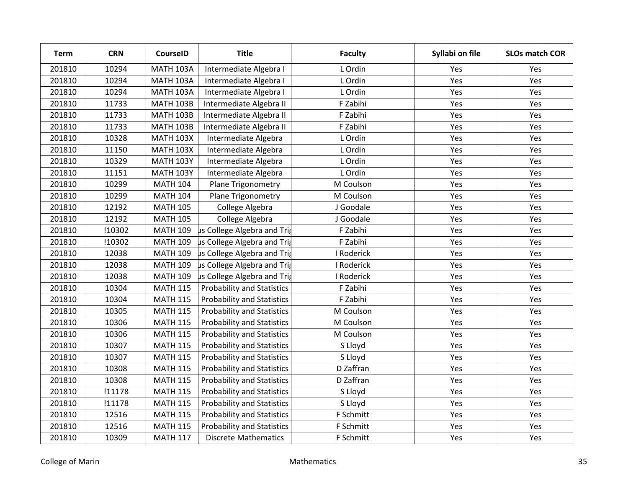| <b>Term</b> | <b>CRN</b> | <b>CourseID</b>  | <b>Title</b>                      | <b>Faculty</b> | Syllabi on file | <b>SLOs match COR</b> |
|-------------|------------|------------------|-----------------------------------|----------------|-----------------|-----------------------|
| 201810      | 10294      | <b>MATH 103A</b> | Intermediate Algebra I            | L Ordin        | Yes             | Yes                   |
| 201810      | 10294      | <b>MATH 103A</b> | Intermediate Algebra I            | L Ordin        | Yes             | Yes                   |
| 201810      | 10294      | <b>MATH 103A</b> | Intermediate Algebra I            | L Ordin        | Yes             | Yes                   |
| 201810      | 11733      | <b>MATH 103B</b> | Intermediate Algebra II           | F Zabihi       | Yes             | Yes                   |
| 201810      | 11733      | <b>MATH 103B</b> | Intermediate Algebra II           | F Zabihi       | Yes             | Yes                   |
| 201810      | 11733      | <b>MATH 103B</b> | Intermediate Algebra II           | F Zabihi       | Yes             | Yes                   |
| 201810      | 10328      | <b>MATH 103X</b> | Intermediate Algebra              | L Ordin        | Yes             | Yes                   |
| 201810      | 11150      | <b>MATH 103X</b> | Intermediate Algebra              | L Ordin        | Yes             | Yes                   |
| 201810      | 10329      | <b>MATH 103Y</b> | Intermediate Algebra              | L Ordin        | Yes             | Yes                   |
| 201810      | 11151      | <b>MATH 103Y</b> | Intermediate Algebra              | L Ordin        | Yes             | Yes                   |
| 201810      | 10299      | <b>MATH 104</b>  | Plane Trigonometry                | M Coulson      | Yes             | Yes                   |
| 201810      | 10299      | <b>MATH 104</b>  | Plane Trigonometry                | M Coulson      | Yes             | Yes                   |
| 201810      | 12192      | <b>MATH 105</b>  | College Algebra                   | J Goodale      | Yes             | Yes                   |
| 201810      | 12192      | <b>MATH 105</b>  | College Algebra                   | J Goodale      | Yes             | Yes                   |
| 201810      | !10302     | <b>MATH 109</b>  | us College Algebra and Trig       | F Zabihi       | Yes             | Yes                   |
| 201810      | !10302     | <b>MATH 109</b>  | us College Algebra and Trig       | F Zabihi       | Yes             | Yes                   |
| 201810      | 12038      | <b>MATH 109</b>  | us College Algebra and Trig       | I Roderick     | Yes             | Yes                   |
| 201810      | 12038      | <b>MATH 109</b>  | us College Algebra and Trig       | I Roderick     | Yes             | Yes                   |
| 201810      | 12038      | <b>MATH 109</b>  | us College Algebra and Trig       | I Roderick     | Yes             | Yes                   |
| 201810      | 10304      | <b>MATH 115</b>  | <b>Probability and Statistics</b> | F Zabihi       | Yes             | Yes                   |
| 201810      | 10304      | <b>MATH 115</b>  | <b>Probability and Statistics</b> | F Zabihi       | Yes             | Yes                   |
| 201810      | 10305      | <b>MATH 115</b>  | <b>Probability and Statistics</b> | M Coulson      | Yes             | Yes                   |
| 201810      | 10306      | <b>MATH 115</b>  | <b>Probability and Statistics</b> | M Coulson      | Yes             | Yes                   |
| 201810      | 10306      | <b>MATH 115</b>  | <b>Probability and Statistics</b> | M Coulson      | Yes             | Yes                   |
| 201810      | 10307      | <b>MATH 115</b>  | <b>Probability and Statistics</b> | S Lloyd        | Yes             | Yes                   |
| 201810      | 10307      | <b>MATH 115</b>  | <b>Probability and Statistics</b> | S Lloyd        | Yes             | Yes                   |
| 201810      | 10308      | <b>MATH 115</b>  | <b>Probability and Statistics</b> | D Zaffran      | Yes             | Yes                   |
| 201810      | 10308      | <b>MATH 115</b>  | <b>Probability and Statistics</b> | D Zaffran      | Yes             | Yes                   |
| 201810      | !11178     | <b>MATH 115</b>  | <b>Probability and Statistics</b> | S Lloyd        | Yes             | Yes                   |
| 201810      | !11178     | <b>MATH 115</b>  | <b>Probability and Statistics</b> | S Lloyd        | Yes             | Yes                   |
| 201810      | 12516      | <b>MATH 115</b>  | <b>Probability and Statistics</b> | F Schmitt      | Yes             | Yes                   |
| 201810      | 12516      | <b>MATH 115</b>  | <b>Probability and Statistics</b> | F Schmitt      | Yes             | Yes                   |
| 201810      | 10309      | <b>MATH 117</b>  | <b>Discrete Mathematics</b>       | F Schmitt      | Yes             | Yes                   |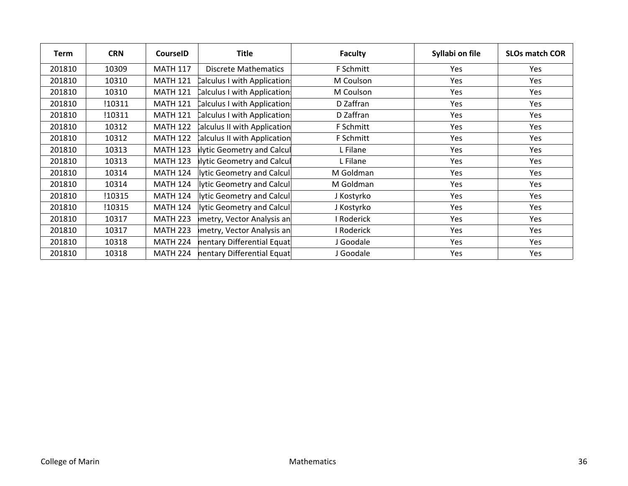| Term   | <b>CRN</b> | <b>CourseID</b> | <b>Title</b>                | <b>Faculty</b> | Syllabi on file | <b>SLOs match COR</b> |
|--------|------------|-----------------|-----------------------------|----------------|-----------------|-----------------------|
| 201810 | 10309      | <b>MATH 117</b> | Discrete Mathematics        | F Schmitt      | <b>Yes</b>      | Yes                   |
| 201810 | 10310      | <b>MATH 121</b> | Calculus I with Application | M Coulson      | Yes             | Yes                   |
| 201810 | 10310      | <b>MATH 121</b> | Calculus I with Application | M Coulson      | Yes             | Yes                   |
| 201810 | !10311     | <b>MATH 121</b> | Calculus I with Application | D Zaffran      | Yes             | Yes                   |
| 201810 | !10311     | <b>MATH 121</b> | Calculus I with Application | D Zaffran      | Yes             | Yes                   |
| 201810 | 10312      | <b>MATH 122</b> | alculus II with Application | F Schmitt      | Yes             | Yes                   |
| 201810 | 10312      | <b>MATH 122</b> | alculus II with Application | F Schmitt      | Yes             | Yes                   |
| 201810 | 10313      | <b>MATH 123</b> | alytic Geometry and Calcul  | L Filane       | Yes             | Yes                   |
| 201810 | 10313      | <b>MATH 123</b> | alytic Geometry and Calcul  | L Filane       | Yes             | Yes                   |
| 201810 | 10314      | <b>MATH 124</b> | lytic Geometry and Calcul   | M Goldman      | Yes             | Yes                   |
| 201810 | 10314      | <b>MATH 124</b> | lytic Geometry and Calcul   | M Goldman      | Yes             | Yes                   |
| 201810 | !10315     | <b>MATH 124</b> | lytic Geometry and Calcul   | J Kostyrko     | Yes             | Yes                   |
| 201810 | !10315     | <b>MATH 124</b> | lytic Geometry and Calcul   | J Kostyrko     | Yes             | Yes                   |
| 201810 | 10317      | <b>MATH 223</b> | metry, Vector Analysis an   | I Roderick     | Yes             | Yes                   |
| 201810 | 10317      | <b>MATH 223</b> | metry, Vector Analysis an   | I Roderick     | Yes             | Yes                   |
| 201810 | 10318      | <b>MATH 224</b> | nentary Differential Equat  | J Goodale      | Yes             | Yes                   |
| 201810 | 10318      | <b>MATH 224</b> | nentary Differential Equat  | J Goodale      | Yes             | Yes                   |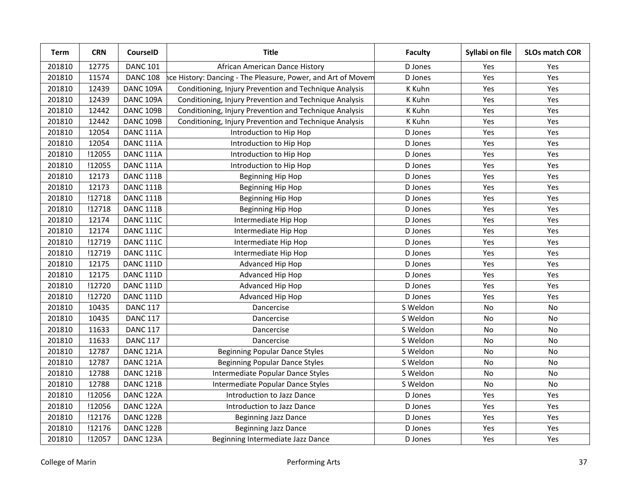| Term   | <b>CRN</b> | <b>CourseID</b>      | <b>Title</b>                                                 | <b>Faculty</b> | Syllabi on file | <b>SLOs match COR</b> |
|--------|------------|----------------------|--------------------------------------------------------------|----------------|-----------------|-----------------------|
| 201810 | 12775      | <b>DANC 101</b>      | African American Dance History                               | D Jones        | Yes             | Yes                   |
| 201810 | 11574      | <b>DANC 108</b>      | ice History: Dancing - The Pleasure, Power, and Art of Movem | D Jones        | Yes             | Yes                   |
| 201810 | 12439      | DANC 109A            | Conditioning, Injury Prevention and Technique Analysis       | K Kuhn         | Yes             | Yes                   |
| 201810 | 12439      | DANC 109A            | Conditioning, Injury Prevention and Technique Analysis       | K Kuhn         | Yes             | Yes                   |
| 201810 | 12442      | DANC 109B            | Conditioning, Injury Prevention and Technique Analysis       | K Kuhn         | Yes             | Yes                   |
| 201810 | 12442      | DANC 109B            | Conditioning, Injury Prevention and Technique Analysis       | K Kuhn         | Yes             | Yes                   |
| 201810 | 12054      | DANC 111A            | Introduction to Hip Hop                                      | D Jones        | Yes             | Yes                   |
| 201810 | 12054      | DANC <sub>111A</sub> | Introduction to Hip Hop                                      | D Jones        | Yes             | Yes                   |
| 201810 | !12055     | DANC <sub>111A</sub> | Introduction to Hip Hop                                      | D Jones        | Yes             | Yes                   |
| 201810 | !12055     | DANC 111A            | Introduction to Hip Hop                                      | D Jones        | Yes             | Yes                   |
| 201810 | 12173      | DANC 111B            | Beginning Hip Hop                                            | D Jones        | Yes             | Yes                   |
| 201810 | 12173      | DANC 111B            | Beginning Hip Hop                                            | D Jones        | Yes             | Yes                   |
| 201810 | !12718     | DANC 111B            | Beginning Hip Hop                                            | D Jones        | Yes             | Yes                   |
| 201810 | !12718     | DANC 111B            | Beginning Hip Hop                                            | D Jones        | Yes             | Yes                   |
| 201810 | 12174      | <b>DANC 111C</b>     | Intermediate Hip Hop                                         | D Jones        | Yes             | Yes                   |
| 201810 | 12174      | <b>DANC 111C</b>     | Intermediate Hip Hop                                         | D Jones        | Yes             | Yes                   |
| 201810 | !12719     | <b>DANC 111C</b>     | Intermediate Hip Hop                                         | D Jones        | Yes             | Yes                   |
| 201810 | !12719     | <b>DANC 111C</b>     | Intermediate Hip Hop                                         | D Jones        | Yes             | Yes                   |
| 201810 | 12175      | <b>DANC 111D</b>     | Advanced Hip Hop                                             | D Jones        | Yes             | Yes                   |
| 201810 | 12175      | <b>DANC 111D</b>     | Advanced Hip Hop                                             | D Jones        | Yes             | Yes                   |
| 201810 | !12720     | <b>DANC 111D</b>     | Advanced Hip Hop                                             | D Jones        | Yes             | Yes                   |
| 201810 | !12720     | <b>DANC 111D</b>     | Advanced Hip Hop                                             | D Jones        | Yes             | Yes                   |
| 201810 | 10435      | <b>DANC 117</b>      | Dancercise                                                   | S Weldon       | No              | No                    |
| 201810 | 10435      | <b>DANC 117</b>      | Dancercise                                                   | S Weldon       | No              | No                    |
| 201810 | 11633      | <b>DANC 117</b>      | Dancercise                                                   | S Weldon       | No              | <b>No</b>             |
| 201810 | 11633      | <b>DANC 117</b>      | Dancercise                                                   | S Weldon       | No              | No                    |
| 201810 | 12787      | DANC 121A            | <b>Beginning Popular Dance Styles</b>                        | S Weldon       | No              | No                    |
| 201810 | 12787      | DANC <sub>121A</sub> | <b>Beginning Popular Dance Styles</b>                        | S Weldon       | No              | No                    |
| 201810 | 12788      | DANC 121B            | Intermediate Popular Dance Styles                            | S Weldon       | No              | <b>No</b>             |
| 201810 | 12788      | DANC 121B            | Intermediate Popular Dance Styles                            | S Weldon       | No              | No                    |
| 201810 | !12056     | DANC 122A            | Introduction to Jazz Dance                                   | D Jones        | Yes             | Yes                   |
| 201810 | !12056     | DANC 122A            | Introduction to Jazz Dance                                   | D Jones        | Yes             | Yes                   |
| 201810 | !12176     | DANC 122B            | <b>Beginning Jazz Dance</b>                                  | D Jones        | Yes             | Yes                   |
| 201810 | !12176     | DANC 122B            | <b>Beginning Jazz Dance</b>                                  | D Jones        | Yes             | Yes                   |
| 201810 | !12057     | DANC 123A            | Beginning Intermediate Jazz Dance                            | D Jones        | Yes             | Yes                   |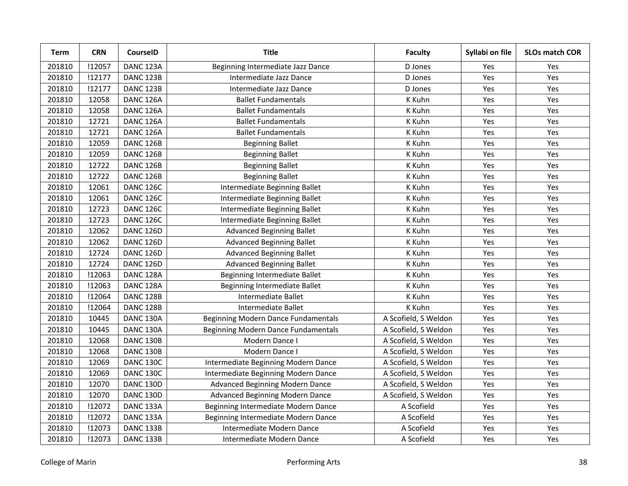| <b>Term</b> | <b>CRN</b> | <b>CourseID</b>      | <b>Title</b>                        | <b>Faculty</b>       | Syllabi on file | <b>SLOs match COR</b> |
|-------------|------------|----------------------|-------------------------------------|----------------------|-----------------|-----------------------|
| 201810      | !12057     | DANC <sub>123A</sub> | Beginning Intermediate Jazz Dance   | D Jones              | Yes             | Yes                   |
| 201810      | !12177     | DANC 123B            | Intermediate Jazz Dance             | D Jones              | Yes             | Yes                   |
| 201810      | !12177     | DANC 123B            | Intermediate Jazz Dance             | D Jones              | Yes             | Yes                   |
| 201810      | 12058      | DANC 126A            | <b>Ballet Fundamentals</b>          | K Kuhn               | Yes             | Yes                   |
| 201810      | 12058      | DANC 126A            | <b>Ballet Fundamentals</b>          | K Kuhn               | Yes             | Yes                   |
| 201810      | 12721      | DANC <sub>126A</sub> | <b>Ballet Fundamentals</b>          | K Kuhn               | Yes             | Yes                   |
| 201810      | 12721      | DANC <sub>126A</sub> | <b>Ballet Fundamentals</b>          | K Kuhn               | Yes             | Yes                   |
| 201810      | 12059      | <b>DANC 126B</b>     | <b>Beginning Ballet</b>             | K Kuhn               | Yes             | Yes                   |
| 201810      | 12059      | <b>DANC 126B</b>     | <b>Beginning Ballet</b>             | K Kuhn               | Yes             | Yes                   |
| 201810      | 12722      | DANC 126B            | <b>Beginning Ballet</b>             | K Kuhn               | Yes             | Yes                   |
| 201810      | 12722      | DANC 126B            | <b>Beginning Ballet</b>             | K Kuhn               | Yes             | Yes                   |
| 201810      | 12061      | <b>DANC 126C</b>     | Intermediate Beginning Ballet       | K Kuhn               | Yes             | Yes                   |
| 201810      | 12061      | DANC 126C            | Intermediate Beginning Ballet       | K Kuhn               | Yes             | Yes                   |
| 201810      | 12723      | <b>DANC 126C</b>     | Intermediate Beginning Ballet       | K Kuhn               | Yes             | Yes                   |
| 201810      | 12723      | <b>DANC 126C</b>     | Intermediate Beginning Ballet       | K Kuhn               | Yes             | Yes                   |
| 201810      | 12062      | DANC 126D            | <b>Advanced Beginning Ballet</b>    | K Kuhn               | Yes             | Yes                   |
| 201810      | 12062      | DANC 126D            | <b>Advanced Beginning Ballet</b>    | K Kuhn               | Yes             | Yes                   |
| 201810      | 12724      | DANC 126D            | <b>Advanced Beginning Ballet</b>    | K Kuhn               | Yes             | Yes                   |
| 201810      | 12724      | DANC 126D            | <b>Advanced Beginning Ballet</b>    | K Kuhn               | Yes             | Yes                   |
| 201810      | !12063     | DANC <sub>128A</sub> | Beginning Intermediate Ballet       | K Kuhn               | Yes             | Yes                   |
| 201810      | !12063     | DANC 128A            | Beginning Intermediate Ballet       | K Kuhn               | Yes             | Yes                   |
| 201810      | !12064     | <b>DANC 128B</b>     | Intermediate Ballet                 | K Kuhn               | Yes             | Yes                   |
| 201810      | !12064     | DANC 128B            | Intermediate Ballet                 | K Kuhn               | Yes             | Yes                   |
| 201810      | 10445      | DANC 130A            | Beginning Modern Dance Fundamentals | A Scofield, S Weldon | Yes             | Yes                   |
| 201810      | 10445      | DANC 130A            | Beginning Modern Dance Fundamentals | A Scofield, S Weldon | Yes             | Yes                   |
| 201810      | 12068      | DANC 130B            | Modern Dance I                      | A Scofield, S Weldon | Yes             | Yes                   |
| 201810      | 12068      | DANC 130B            | Modern Dance I                      | A Scofield, S Weldon | Yes             | Yes                   |
| 201810      | 12069      | <b>DANC 130C</b>     | Intermediate Beginning Modern Dance | A Scofield, S Weldon | Yes             | Yes                   |
| 201810      | 12069      | <b>DANC 130C</b>     | Intermediate Beginning Modern Dance | A Scofield, S Weldon | Yes             | Yes                   |
| 201810      | 12070      | DANC 130D            | Advanced Beginning Modern Dance     | A Scofield, S Weldon | Yes             | Yes                   |
| 201810      | 12070      | DANC 130D            | Advanced Beginning Modern Dance     | A Scofield, S Weldon | Yes             | Yes                   |
| 201810      | !12072     | DANC 133A            | Beginning Intermediate Modern Dance | A Scofield           | Yes             | Yes                   |
| 201810      | !12072     | DANC <sub>133A</sub> | Beginning Intermediate Modern Dance | A Scofield           | Yes             | Yes                   |
| 201810      | !12073     | DANC 133B            | Intermediate Modern Dance           | A Scofield           | Yes             | Yes                   |
| 201810      | !12073     | DANC 133B            | Intermediate Modern Dance           | A Scofield           | Yes             | Yes                   |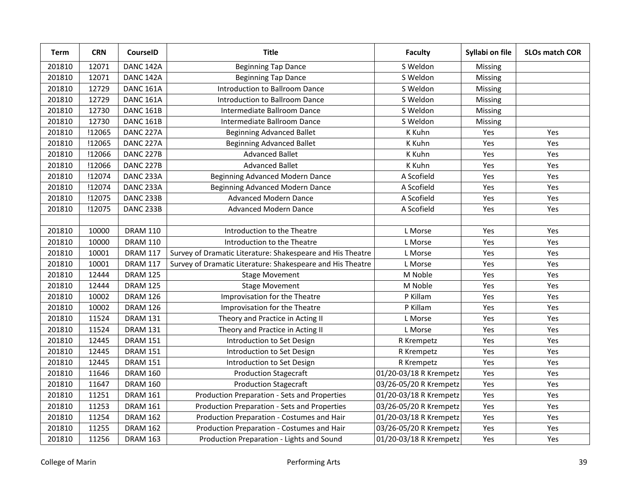| Term   | <b>CRN</b> | CourseID         | <b>Title</b>                                               | <b>Faculty</b>         | Syllabi on file | <b>SLOs match COR</b> |
|--------|------------|------------------|------------------------------------------------------------|------------------------|-----------------|-----------------------|
| 201810 | 12071      | DANC 142A        | <b>Beginning Tap Dance</b>                                 | S Weldon               | Missing         |                       |
| 201810 | 12071      | DANC 142A        | <b>Beginning Tap Dance</b>                                 | S Weldon               | Missing         |                       |
| 201810 | 12729      | <b>DANC 161A</b> | Introduction to Ballroom Dance                             | S Weldon               | Missing         |                       |
| 201810 | 12729      | <b>DANC 161A</b> | Introduction to Ballroom Dance                             | S Weldon               | Missing         |                       |
| 201810 | 12730      | <b>DANC 161B</b> | Intermediate Ballroom Dance                                | S Weldon               | Missing         |                       |
| 201810 | 12730      | <b>DANC 161B</b> | Intermediate Ballroom Dance                                | S Weldon               | Missing         |                       |
| 201810 | !12065     | DANC 227A        | <b>Beginning Advanced Ballet</b>                           | K Kuhn                 | Yes             | Yes                   |
| 201810 | !12065     | DANC 227A        | <b>Beginning Advanced Ballet</b>                           | K Kuhn                 | Yes             | Yes                   |
| 201810 | !12066     | DANC 227B        | <b>Advanced Ballet</b>                                     | K Kuhn                 | Yes             | Yes                   |
| 201810 | !12066     | DANC 227B        | <b>Advanced Ballet</b>                                     | K Kuhn                 | Yes             | Yes                   |
| 201810 | !12074     | DANC 233A        | Beginning Advanced Modern Dance                            | A Scofield             | Yes             | Yes                   |
| 201810 | !12074     | DANC 233A        | Beginning Advanced Modern Dance                            | A Scofield             | Yes             | Yes                   |
| 201810 | !12075     | DANC 233B        | <b>Advanced Modern Dance</b>                               | A Scofield             | Yes             | Yes                   |
| 201810 | !12075     | DANC 233B        | <b>Advanced Modern Dance</b>                               | A Scofield             | Yes             | Yes                   |
|        |            |                  |                                                            |                        |                 |                       |
| 201810 | 10000      | <b>DRAM 110</b>  | Introduction to the Theatre                                | L Morse                | Yes             | Yes                   |
| 201810 | 10000      | <b>DRAM 110</b>  | Introduction to the Theatre                                | L Morse                | Yes             | Yes                   |
| 201810 | 10001      | <b>DRAM 117</b>  | Survey of Dramatic Literature: Shakespeare and His Theatre | L Morse                | Yes             | Yes                   |
| 201810 | 10001      | <b>DRAM 117</b>  | Survey of Dramatic Literature: Shakespeare and His Theatre | L Morse                | Yes             | Yes                   |
| 201810 | 12444      | <b>DRAM 125</b>  | <b>Stage Movement</b>                                      | M Noble                | Yes             | Yes                   |
| 201810 | 12444      | <b>DRAM 125</b>  | <b>Stage Movement</b>                                      | M Noble                | Yes             | Yes                   |
| 201810 | 10002      | <b>DRAM 126</b>  | Improvisation for the Theatre                              | P Killam               | Yes             | Yes                   |
| 201810 | 10002      | <b>DRAM 126</b>  | Improvisation for the Theatre                              | P Killam               | Yes             | Yes                   |
| 201810 | 11524      | <b>DRAM 131</b>  | Theory and Practice in Acting II                           | L Morse                | Yes             | Yes                   |
| 201810 | 11524      | <b>DRAM 131</b>  | Theory and Practice in Acting II                           | L Morse                | Yes             | Yes                   |
| 201810 | 12445      | <b>DRAM 151</b>  | Introduction to Set Design                                 | R Krempetz             | Yes             | Yes                   |
| 201810 | 12445      | <b>DRAM 151</b>  | Introduction to Set Design                                 | R Krempetz             | Yes             | Yes                   |
| 201810 | 12445      | <b>DRAM 151</b>  | Introduction to Set Design                                 | R Krempetz             | Yes             | Yes                   |
| 201810 | 11646      | <b>DRAM 160</b>  | <b>Production Stagecraft</b>                               | 01/20-03/18 R Krempetz | Yes             | Yes                   |
| 201810 | 11647      | <b>DRAM 160</b>  | <b>Production Stagecraft</b>                               | 03/26-05/20 R Krempetz | Yes             | Yes                   |
| 201810 | 11251      | <b>DRAM 161</b>  | Production Preparation - Sets and Properties               | 01/20-03/18 R Krempetz | Yes             | Yes                   |
| 201810 | 11253      | <b>DRAM 161</b>  | Production Preparation - Sets and Properties               | 03/26-05/20 R Krempetz | Yes             | Yes                   |
| 201810 | 11254      | <b>DRAM 162</b>  | Production Preparation - Costumes and Hair                 | 01/20-03/18 R Krempetz | Yes             | Yes                   |
| 201810 | 11255      | <b>DRAM 162</b>  | Production Preparation - Costumes and Hair                 | 03/26-05/20 R Krempetz | Yes             | Yes                   |
| 201810 | 11256      | <b>DRAM 163</b>  | Production Preparation - Lights and Sound                  | 01/20-03/18 R Krempetz | Yes             | Yes                   |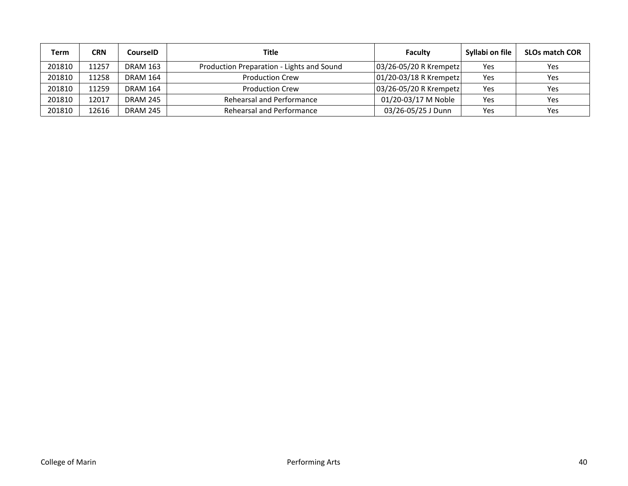| Term   | CRN   | <b>CourselD</b> | Title                                     | Faculty                | Syllabi on file | <b>SLOs match COR</b> |
|--------|-------|-----------------|-------------------------------------------|------------------------|-----------------|-----------------------|
| 201810 | 11257 | <b>DRAM 163</b> | Production Preparation - Lights and Sound | 03/26-05/20 R Krempetz | Yes             | Yes                   |
| 201810 | 11258 | <b>DRAM 164</b> | <b>Production Crew</b>                    | 01/20-03/18 R Krempetz | Yes             | Yes                   |
| 201810 | 11259 | <b>DRAM 164</b> | <b>Production Crew</b>                    | 03/26-05/20 R Krempetz | Yes             | Yes                   |
| 201810 | 12017 | <b>DRAM 245</b> | Rehearsal and Performance                 | 01/20-03/17 M Noble    | Yes             | Yes                   |
| 201810 | 12616 | <b>DRAM 245</b> | Rehearsal and Performance                 | 03/26-05/25 J Dunn     | Yes             | Yes                   |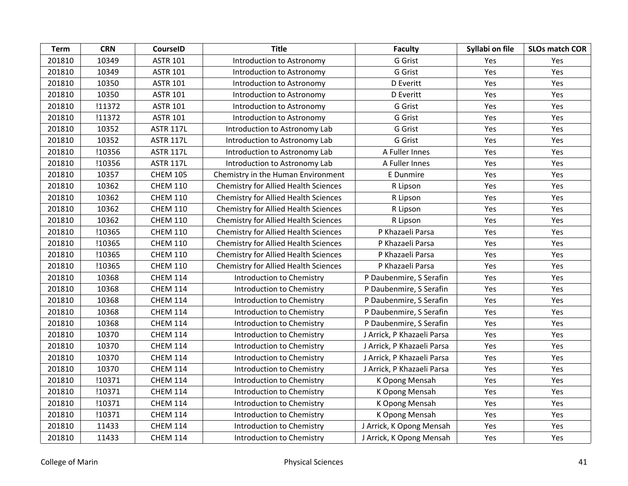| <b>Term</b> | <b>CRN</b> | <b>CourseID</b>  | <b>Title</b>                                | <b>Faculty</b>             | Syllabi on file | <b>SLOs match COR</b> |
|-------------|------------|------------------|---------------------------------------------|----------------------------|-----------------|-----------------------|
| 201810      | 10349      | <b>ASTR 101</b>  | Introduction to Astronomy                   | G Grist                    | <b>Yes</b>      | Yes                   |
| 201810      | 10349      | <b>ASTR 101</b>  | Introduction to Astronomy                   | G Grist                    | Yes             | Yes                   |
| 201810      | 10350      | <b>ASTR 101</b>  | Introduction to Astronomy                   | D Everitt                  | Yes             | Yes                   |
| 201810      | 10350      | <b>ASTR 101</b>  | Introduction to Astronomy                   | D Everitt                  | Yes             | Yes                   |
| 201810      | !11372     | <b>ASTR 101</b>  | Introduction to Astronomy                   | G Grist                    | Yes             | Yes                   |
| 201810      | !11372     | <b>ASTR 101</b>  | Introduction to Astronomy                   | G Grist                    | Yes             | Yes                   |
| 201810      | 10352      | <b>ASTR 117L</b> | Introduction to Astronomy Lab               | G Grist                    | Yes             | Yes                   |
| 201810      | 10352      | <b>ASTR 117L</b> | Introduction to Astronomy Lab               | G Grist                    | Yes             | Yes                   |
| 201810      | !10356     | <b>ASTR 117L</b> | Introduction to Astronomy Lab               | A Fuller Innes             | Yes             | Yes                   |
| 201810      | !10356     | <b>ASTR 117L</b> | Introduction to Astronomy Lab               | A Fuller Innes             | Yes             | Yes                   |
| 201810      | 10357      | <b>CHEM 105</b>  | Chemistry in the Human Environment          | E Dunmire                  | Yes             | Yes                   |
| 201810      | 10362      | <b>CHEM 110</b>  | <b>Chemistry for Allied Health Sciences</b> | R Lipson                   | Yes             | Yes                   |
| 201810      | 10362      | <b>CHEM 110</b>  | Chemistry for Allied Health Sciences        | R Lipson                   | Yes             | Yes                   |
| 201810      | 10362      | <b>CHEM 110</b>  | <b>Chemistry for Allied Health Sciences</b> | R Lipson                   | Yes             | Yes                   |
| 201810      | 10362      | <b>CHEM 110</b>  | <b>Chemistry for Allied Health Sciences</b> | R Lipson                   | Yes             | Yes                   |
| 201810      | !10365     | <b>CHEM 110</b>  | <b>Chemistry for Allied Health Sciences</b> | P Khazaeli Parsa           | Yes             | Yes                   |
| 201810      | !10365     | <b>CHEM 110</b>  | Chemistry for Allied Health Sciences        | P Khazaeli Parsa           | Yes             | Yes                   |
| 201810      | !10365     | <b>CHEM 110</b>  | <b>Chemistry for Allied Health Sciences</b> | P Khazaeli Parsa           | Yes             | Yes                   |
| 201810      | !10365     | <b>CHEM 110</b>  | <b>Chemistry for Allied Health Sciences</b> | P Khazaeli Parsa           | Yes             | Yes                   |
| 201810      | 10368      | <b>CHEM 114</b>  | Introduction to Chemistry                   | P Daubenmire, S Serafin    | Yes             | Yes                   |
| 201810      | 10368      | <b>CHEM 114</b>  | Introduction to Chemistry                   | P Daubenmire, S Serafin    | Yes             | Yes                   |
| 201810      | 10368      | <b>CHEM 114</b>  | Introduction to Chemistry                   | P Daubenmire, S Serafin    | Yes             | Yes                   |
| 201810      | 10368      | <b>CHEM 114</b>  | Introduction to Chemistry                   | P Daubenmire, S Serafin    | Yes             | Yes                   |
| 201810      | 10368      | <b>CHEM 114</b>  | Introduction to Chemistry                   | P Daubenmire, S Serafin    | Yes             | Yes                   |
| 201810      | 10370      | <b>CHEM 114</b>  | Introduction to Chemistry                   | J Arrick, P Khazaeli Parsa | Yes             | Yes                   |
| 201810      | 10370      | <b>CHEM 114</b>  | Introduction to Chemistry                   | J Arrick, P Khazaeli Parsa | Yes             | Yes                   |
| 201810      | 10370      | <b>CHEM 114</b>  | Introduction to Chemistry                   | J Arrick, P Khazaeli Parsa | Yes             | Yes                   |
| 201810      | 10370      | <b>CHEM 114</b>  | Introduction to Chemistry                   | J Arrick, P Khazaeli Parsa | Yes             | Yes                   |
| 201810      | !10371     | <b>CHEM 114</b>  | Introduction to Chemistry                   | K Opong Mensah             | Yes             | Yes                   |
| 201810      | !10371     | <b>CHEM 114</b>  | Introduction to Chemistry                   | K Opong Mensah             | Yes             | Yes                   |
| 201810      | !10371     | <b>CHEM 114</b>  | Introduction to Chemistry                   | K Opong Mensah             | Yes             | Yes                   |
| 201810      | !10371     | <b>CHEM 114</b>  | Introduction to Chemistry                   | K Opong Mensah             | Yes             | Yes                   |
| 201810      | 11433      | <b>CHEM 114</b>  | Introduction to Chemistry                   | J Arrick, K Opong Mensah   | Yes             | Yes                   |
| 201810      | 11433      | <b>CHEM 114</b>  | Introduction to Chemistry                   | J Arrick, K Opong Mensah   | Yes             | Yes                   |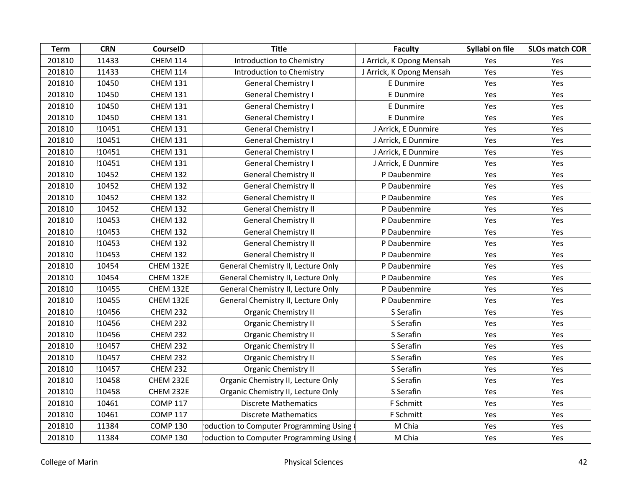| <b>Term</b> | <b>CRN</b> | <b>CourseID</b> | <b>Title</b>                              | <b>Faculty</b>           | Syllabi on file | <b>SLOs match COR</b> |
|-------------|------------|-----------------|-------------------------------------------|--------------------------|-----------------|-----------------------|
| 201810      | 11433      | <b>CHEM 114</b> | Introduction to Chemistry                 | J Arrick, K Opong Mensah | <b>Yes</b>      | Yes                   |
| 201810      | 11433      | <b>CHEM 114</b> | Introduction to Chemistry                 | J Arrick, K Opong Mensah | Yes             | Yes                   |
| 201810      | 10450      | <b>CHEM 131</b> | <b>General Chemistry I</b>                | E Dunmire                | Yes             | Yes                   |
| 201810      | 10450      | <b>CHEM 131</b> | <b>General Chemistry I</b>                | E Dunmire                | <b>Yes</b>      | Yes                   |
| 201810      | 10450      | <b>CHEM 131</b> | <b>General Chemistry I</b>                | E Dunmire                | Yes             | Yes                   |
| 201810      | 10450      | <b>CHEM 131</b> | <b>General Chemistry I</b>                | E Dunmire                | Yes             | Yes                   |
| 201810      | !10451     | <b>CHEM 131</b> | <b>General Chemistry I</b>                | J Arrick, E Dunmire      | Yes             | Yes                   |
| 201810      | !10451     | <b>CHEM 131</b> | <b>General Chemistry I</b>                | J Arrick, E Dunmire      | Yes             | Yes                   |
| 201810      | !10451     | <b>CHEM 131</b> | <b>General Chemistry I</b>                | J Arrick, E Dunmire      | Yes             | Yes                   |
| 201810      | !10451     | <b>CHEM 131</b> | <b>General Chemistry I</b>                | J Arrick, E Dunmire      | Yes             | Yes                   |
| 201810      | 10452      | <b>CHEM 132</b> | <b>General Chemistry II</b>               | P Daubenmire             | Yes             | Yes                   |
| 201810      | 10452      | <b>CHEM 132</b> | <b>General Chemistry II</b>               | P Daubenmire             | Yes             | Yes                   |
| 201810      | 10452      | <b>CHEM 132</b> | <b>General Chemistry II</b>               | P Daubenmire             | Yes             | Yes                   |
| 201810      | 10452      | <b>CHEM 132</b> | <b>General Chemistry II</b>               | P Daubenmire             | Yes             | Yes                   |
| 201810      | !10453     | <b>CHEM 132</b> | <b>General Chemistry II</b>               | P Daubenmire             | Yes             | Yes                   |
| 201810      | !10453     | <b>CHEM 132</b> | <b>General Chemistry II</b>               | P Daubenmire             | Yes             | Yes                   |
| 201810      | !10453     | <b>CHEM 132</b> | <b>General Chemistry II</b>               | P Daubenmire             | Yes             | Yes                   |
| 201810      | !10453     | <b>CHEM 132</b> | <b>General Chemistry II</b>               | P Daubenmire             | Yes             | Yes                   |
| 201810      | 10454      | CHEM 132E       | General Chemistry II, Lecture Only        | P Daubenmire             | <b>Yes</b>      | Yes                   |
| 201810      | 10454      | CHEM 132E       | General Chemistry II, Lecture Only        | P Daubenmire             | Yes             | Yes                   |
| 201810      | !10455     | CHEM 132E       | General Chemistry II, Lecture Only        | P Daubenmire             | Yes             | Yes                   |
| 201810      | !10455     | CHEM 132E       | General Chemistry II, Lecture Only        | P Daubenmire             | Yes             | Yes                   |
| 201810      | !10456     | <b>CHEM 232</b> | <b>Organic Chemistry II</b>               | S Serafin                | Yes             | Yes                   |
| 201810      | !10456     | <b>CHEM 232</b> | <b>Organic Chemistry II</b>               | S Serafin                | Yes             | Yes                   |
| 201810      | !10456     | <b>CHEM 232</b> | <b>Organic Chemistry II</b>               | S Serafin                | Yes             | Yes                   |
| 201810      | !10457     | <b>CHEM 232</b> | <b>Organic Chemistry II</b>               | S Serafin                | Yes             | Yes                   |
| 201810      | !10457     | <b>CHEM 232</b> | <b>Organic Chemistry II</b>               | S Serafin                | Yes             | Yes                   |
| 201810      | !10457     | <b>CHEM 232</b> | <b>Organic Chemistry II</b>               | S Serafin                | Yes             | Yes                   |
| 201810      | !10458     | CHEM 232E       | Organic Chemistry II, Lecture Only        | S Serafin                | Yes             | Yes                   |
| 201810      | !10458     | CHEM 232E       | Organic Chemistry II, Lecture Only        | S Serafin                | Yes             | Yes                   |
| 201810      | 10461      | <b>COMP 117</b> | <b>Discrete Mathematics</b>               | F Schmitt                | Yes             | Yes                   |
| 201810      | 10461      | <b>COMP 117</b> | <b>Discrete Mathematics</b>               | F Schmitt                | Yes             | Yes                   |
| 201810      | 11384      | <b>COMP 130</b> | roduction to Computer Programming Using ( | M Chia                   | Yes             | Yes                   |
| 201810      | 11384      | <b>COMP 130</b> | oduction to Computer Programming Using (  | M Chia                   | Yes             | Yes                   |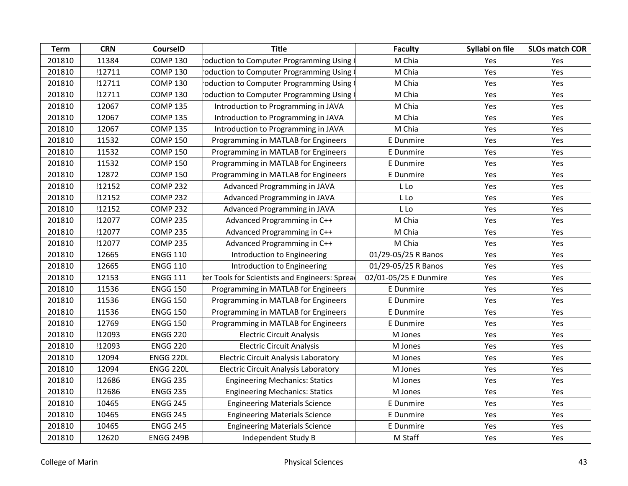| <b>Term</b> | <b>CRN</b> | <b>CourseID</b>  | <b>Title</b>                                  | <b>Faculty</b>        | Syllabi on file | <b>SLOs match COR</b> |
|-------------|------------|------------------|-----------------------------------------------|-----------------------|-----------------|-----------------------|
| 201810      | 11384      | <b>COMP 130</b>  | oduction to Computer Programming Using        | M Chia                | Yes             | Yes                   |
| 201810      | !12711     | <b>COMP 130</b>  | oduction to Computer Programming Using        | M Chia                | Yes             | Yes                   |
| 201810      | !12711     | <b>COMP 130</b>  | oduction to Computer Programming Using        | M Chia                | Yes             | Yes                   |
| 201810      | !12711     | <b>COMP 130</b>  | oduction to Computer Programming Using        | M Chia                | Yes             | Yes                   |
| 201810      | 12067      | <b>COMP 135</b>  | Introduction to Programming in JAVA           | M Chia                | Yes             | Yes                   |
| 201810      | 12067      | <b>COMP 135</b>  | Introduction to Programming in JAVA           | M Chia                | Yes             | Yes                   |
| 201810      | 12067      | <b>COMP 135</b>  | Introduction to Programming in JAVA           | M Chia                | Yes             | Yes                   |
| 201810      | 11532      | <b>COMP 150</b>  | Programming in MATLAB for Engineers           | E Dunmire             | Yes             | Yes                   |
| 201810      | 11532      | <b>COMP 150</b>  | Programming in MATLAB for Engineers           | E Dunmire             | Yes             | Yes                   |
| 201810      | 11532      | <b>COMP 150</b>  | Programming in MATLAB for Engineers           | E Dunmire             | Yes             | Yes                   |
| 201810      | 12872      | <b>COMP 150</b>  | Programming in MATLAB for Engineers           | E Dunmire             | Yes             | Yes                   |
| 201810      | !12152     | <b>COMP 232</b>  | Advanced Programming in JAVA                  | L Lo                  | Yes             | Yes                   |
| 201810      | !12152     | <b>COMP 232</b>  | Advanced Programming in JAVA                  | L Lo                  | Yes             | Yes                   |
| 201810      | !12152     | <b>COMP 232</b>  | Advanced Programming in JAVA                  | L Lo                  | Yes             | Yes                   |
| 201810      | !12077     | <b>COMP 235</b>  | Advanced Programming in C++                   | M Chia                | Yes             | Yes                   |
| 201810      | !12077     | <b>COMP 235</b>  | Advanced Programming in C++                   | M Chia                | Yes             | Yes                   |
| 201810      | !12077     | <b>COMP 235</b>  | Advanced Programming in C++                   | M Chia                | Yes             | Yes                   |
| 201810      | 12665      | <b>ENGG 110</b>  | Introduction to Engineering                   | 01/29-05/25 R Banos   | Yes             | Yes                   |
| 201810      | 12665      | <b>ENGG 110</b>  | Introduction to Engineering                   | 01/29-05/25 R Banos   | Yes             | Yes                   |
| 201810      | 12153      | <b>ENGG 111</b>  | ter Tools for Scientists and Engineers: Sprea | 02/01-05/25 E Dunmire | Yes             | Yes                   |
| 201810      | 11536      | <b>ENGG 150</b>  | Programming in MATLAB for Engineers           | E Dunmire             | Yes             | Yes                   |
| 201810      | 11536      | <b>ENGG 150</b>  | Programming in MATLAB for Engineers           | E Dunmire             | Yes             | Yes                   |
| 201810      | 11536      | <b>ENGG 150</b>  | Programming in MATLAB for Engineers           | E Dunmire             | Yes             | Yes                   |
| 201810      | 12769      | <b>ENGG 150</b>  | Programming in MATLAB for Engineers           | E Dunmire             | Yes             | Yes                   |
| 201810      | !12093     | <b>ENGG 220</b>  | <b>Electric Circuit Analysis</b>              | M Jones               | Yes             | Yes                   |
| 201810      | !12093     | <b>ENGG 220</b>  | <b>Electric Circuit Analysis</b>              | M Jones               | Yes             | Yes                   |
| 201810      | 12094      | <b>ENGG 220L</b> | <b>Electric Circuit Analysis Laboratory</b>   | M Jones               | Yes             | Yes                   |
| 201810      | 12094      | <b>ENGG 220L</b> | <b>Electric Circuit Analysis Laboratory</b>   | M Jones               | Yes             | Yes                   |
| 201810      | !12686     | <b>ENGG 235</b>  | <b>Engineering Mechanics: Statics</b>         | M Jones               | Yes             | Yes                   |
| 201810      | !12686     | <b>ENGG 235</b>  | <b>Engineering Mechanics: Statics</b>         | M Jones               | Yes             | Yes                   |
| 201810      | 10465      | <b>ENGG 245</b>  | <b>Engineering Materials Science</b>          | E Dunmire             | Yes             | Yes                   |
| 201810      | 10465      | <b>ENGG 245</b>  | <b>Engineering Materials Science</b>          | E Dunmire             | Yes             | Yes                   |
| 201810      | 10465      | <b>ENGG 245</b>  | <b>Engineering Materials Science</b>          | E Dunmire             | Yes             | Yes                   |
| 201810      | 12620      | <b>ENGG 249B</b> | Independent Study B                           | M Staff               | Yes             | Yes                   |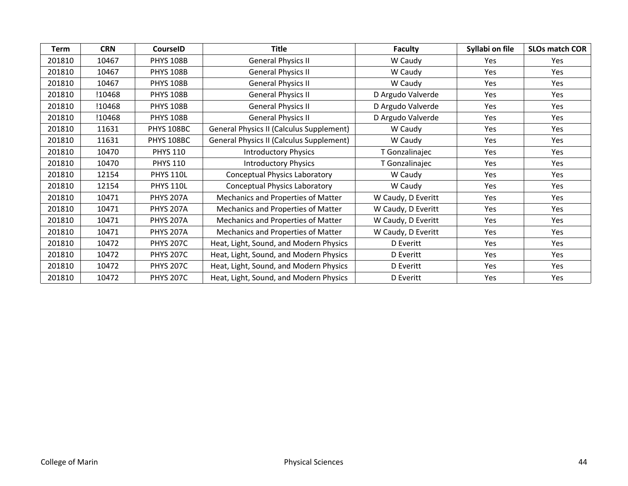| Term   | <b>CRN</b> | <b>CourseID</b>  | Title                                           | <b>Faculty</b>     | Syllabi on file | <b>SLOs match COR</b> |
|--------|------------|------------------|-------------------------------------------------|--------------------|-----------------|-----------------------|
| 201810 | 10467      | <b>PHYS 108B</b> | <b>General Physics II</b>                       | W Caudy            | Yes             | Yes                   |
| 201810 | 10467      | <b>PHYS 108B</b> | <b>General Physics II</b>                       | W Caudy            | Yes             | Yes                   |
| 201810 | 10467      | <b>PHYS 108B</b> | <b>General Physics II</b>                       | W Caudy            | Yes             | Yes                   |
| 201810 | !10468     | <b>PHYS 108B</b> | <b>General Physics II</b>                       | D Argudo Valverde  | Yes             | Yes                   |
| 201810 | !10468     | <b>PHYS 108B</b> | <b>General Physics II</b>                       | D Argudo Valverde  | Yes             | Yes                   |
| 201810 | !10468     | <b>PHYS 108B</b> | <b>General Physics II</b>                       | D Argudo Valverde  | Yes             | <b>Yes</b>            |
| 201810 | 11631      | PHYS 108BC       | <b>General Physics II (Calculus Supplement)</b> | W Caudy            | Yes             | Yes                   |
| 201810 | 11631      | PHYS 108BC       | <b>General Physics II (Calculus Supplement)</b> | W Caudy            | <b>Yes</b>      | <b>Yes</b>            |
| 201810 | 10470      | <b>PHYS 110</b>  | <b>Introductory Physics</b>                     | T Gonzalinajec     | Yes             | Yes                   |
| 201810 | 10470      | <b>PHYS 110</b>  | <b>Introductory Physics</b>                     | T Gonzalinajec     | Yes             | Yes                   |
| 201810 | 12154      | <b>PHYS 110L</b> | <b>Conceptual Physics Laboratory</b>            | W Caudy            | Yes             | Yes                   |
| 201810 | 12154      | <b>PHYS 110L</b> | <b>Conceptual Physics Laboratory</b>            | W Caudy            | Yes             | Yes                   |
| 201810 | 10471      | <b>PHYS 207A</b> | Mechanics and Properties of Matter              | W Caudy, D Everitt | Yes             | Yes                   |
| 201810 | 10471      | <b>PHYS 207A</b> | Mechanics and Properties of Matter              | W Caudy, D Everitt | Yes             | Yes                   |
| 201810 | 10471      | <b>PHYS 207A</b> | Mechanics and Properties of Matter              | W Caudy, D Everitt | Yes             | Yes                   |
| 201810 | 10471      | <b>PHYS 207A</b> | Mechanics and Properties of Matter              | W Caudy, D Everitt | Yes             | Yes                   |
| 201810 | 10472      | <b>PHYS 207C</b> | Heat, Light, Sound, and Modern Physics          | D Everitt          | <b>Yes</b>      | <b>Yes</b>            |
| 201810 | 10472      | <b>PHYS 207C</b> | Heat, Light, Sound, and Modern Physics          | D Everitt          | Yes             | Yes                   |
| 201810 | 10472      | <b>PHYS 207C</b> | Heat, Light, Sound, and Modern Physics          | D Everitt          | Yes             | Yes                   |
| 201810 | 10472      | <b>PHYS 207C</b> | Heat, Light, Sound, and Modern Physics          | D Everitt          | Yes             | Yes                   |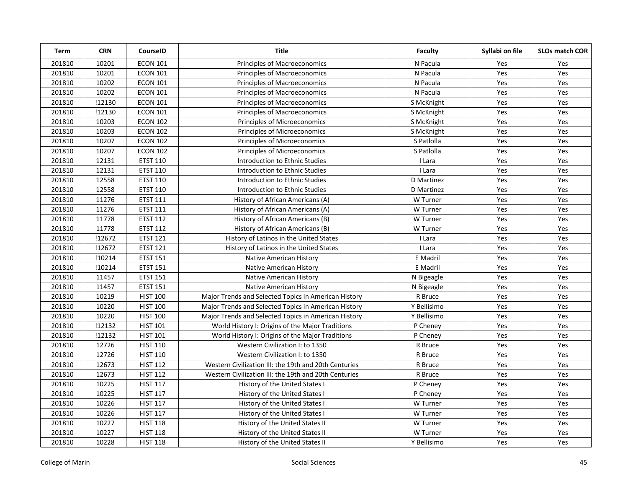| <b>Term</b> | <b>CRN</b> | CourseID        | <b>Title</b>                                          | Faculty     | Syllabi on file | <b>SLOs match COR</b> |
|-------------|------------|-----------------|-------------------------------------------------------|-------------|-----------------|-----------------------|
| 201810      | 10201      | <b>ECON 101</b> | <b>Principles of Macroeconomics</b>                   | N Pacula    | Yes             | Yes                   |
| 201810      | 10201      | <b>ECON 101</b> | Principles of Macroeconomics                          | N Pacula    | Yes             | Yes                   |
| 201810      | 10202      | <b>ECON 101</b> | Principles of Macroeconomics                          | N Pacula    | Yes             | Yes                   |
| 201810      | 10202      | <b>ECON 101</b> | <b>Principles of Macroeconomics</b>                   | N Pacula    | Yes             | Yes                   |
| 201810      | !12130     | <b>ECON 101</b> | Principles of Macroeconomics                          | S McKnight  | Yes             | Yes                   |
| 201810      | !12130     | <b>ECON 101</b> | Principles of Macroeconomics                          | S McKnight  | Yes             | Yes                   |
| 201810      | 10203      | <b>ECON 102</b> | Principles of Microeconomics                          | S McKnight  | Yes             | Yes                   |
| 201810      | 10203      | <b>ECON 102</b> | Principles of Microeconomics                          | S McKnight  | Yes             | Yes                   |
| 201810      | 10207      | <b>ECON 102</b> | Principles of Microeconomics                          | S Patlolla  | Yes             | Yes                   |
| 201810      | 10207      | <b>ECON 102</b> | Principles of Microeconomics                          | S Patlolla  | Yes             | Yes                   |
| 201810      | 12131      | <b>ETST 110</b> | Introduction to Ethnic Studies                        | I Lara      | Yes             | Yes                   |
| 201810      | 12131      | <b>ETST 110</b> | Introduction to Ethnic Studies                        | I Lara      | Yes             | Yes                   |
| 201810      | 12558      | <b>ETST 110</b> | Introduction to Ethnic Studies                        | D Martinez  | Yes             | Yes                   |
| 201810      | 12558      | <b>ETST 110</b> | Introduction to Ethnic Studies                        | D Martinez  | Yes             | Yes                   |
| 201810      | 11276      | <b>ETST 111</b> | History of African Americans (A)                      | W Turner    | Yes             | Yes                   |
| 201810      | 11276      | <b>ETST 111</b> | History of African Americans (A)                      | W Turner    | Yes             | Yes                   |
| 201810      | 11778      | <b>ETST 112</b> | History of African Americans (B)                      | W Turner    | Yes             | Yes                   |
| 201810      | 11778      | <b>ETST 112</b> | History of African Americans (B)                      | W Turner    | Yes             | Yes                   |
| 201810      | !12672     | <b>ETST 121</b> | History of Latinos in the United States               | I Lara      | Yes             | Yes                   |
| 201810      | !12672     | <b>ETST 121</b> | History of Latinos in the United States               | I Lara      | Yes             | Yes                   |
| 201810      | !10214     | <b>ETST 151</b> | Native American History                               | E Madril    | Yes             | Yes                   |
| 201810      | !10214     | <b>ETST 151</b> | Native American History                               | E Madril    | Yes             | Yes                   |
| 201810      | 11457      | <b>ETST 151</b> | Native American History                               | N Bigeagle  | Yes             | Yes                   |
| 201810      | 11457      | <b>ETST 151</b> | Native American History                               | N Bigeagle  | Yes             | Yes                   |
| 201810      | 10219      | <b>HIST 100</b> | Major Trends and Selected Topics in American History  | R Bruce     | Yes             | Yes                   |
| 201810      | 10220      | <b>HIST 100</b> | Major Trends and Selected Topics in American History  | Y Bellisimo | Yes             | Yes                   |
| 201810      | 10220      | <b>HIST 100</b> | Major Trends and Selected Topics in American History  | Y Bellisimo | Yes             | Yes                   |
| 201810      | !12132     | <b>HIST 101</b> | World History I: Origins of the Major Traditions      | P Cheney    | Yes             | Yes                   |
| 201810      | !12132     | <b>HIST 101</b> | World History I: Origins of the Major Traditions      | P Cheney    | Yes             | Yes                   |
| 201810      | 12726      | <b>HIST 110</b> | Western Civilization I: to 1350                       | R Bruce     | Yes             | Yes                   |
| 201810      | 12726      | <b>HIST 110</b> | Western Civilization I: to 1350                       | R Bruce     | Yes             | Yes                   |
| 201810      | 12673      | <b>HIST 112</b> | Western Civilization III: the 19th and 20th Centuries | R Bruce     | Yes             | Yes                   |
| 201810      | 12673      | <b>HIST 112</b> | Western Civilization III: the 19th and 20th Centuries | R Bruce     | Yes             | Yes                   |
| 201810      | 10225      | <b>HIST 117</b> | History of the United States I                        | P Cheney    | Yes             | Yes                   |
| 201810      | 10225      | <b>HIST 117</b> | History of the United States I                        | P Cheney    | Yes             | Yes                   |
| 201810      | 10226      | <b>HIST 117</b> | History of the United States I                        | W Turner    | Yes             | Yes                   |
| 201810      | 10226      | <b>HIST 117</b> | History of the United States I                        | W Turner    | Yes             | Yes                   |
| 201810      | 10227      | <b>HIST 118</b> | History of the United States II                       | W Turner    | Yes             | Yes                   |
| 201810      | 10227      | <b>HIST 118</b> | History of the United States II                       | W Turner    | Yes             | Yes                   |
| 201810      | 10228      | <b>HIST 118</b> | History of the United States II                       | Y Bellisimo | Yes             | Yes                   |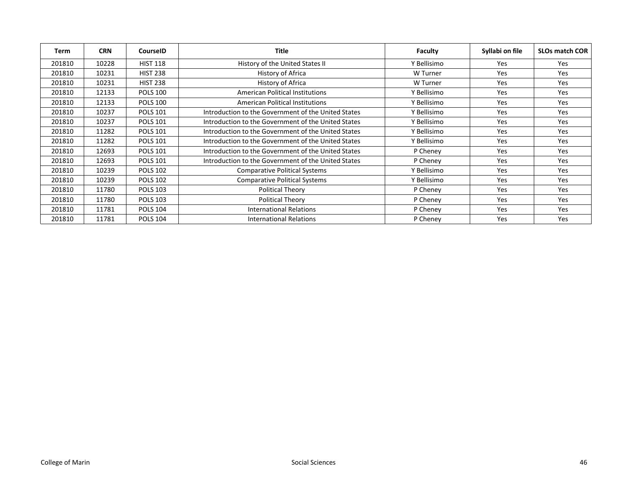| Term   | <b>CRN</b> | <b>CourseID</b> | <b>Title</b>                                        | Faculty     | Syllabi on file | <b>SLOs match COR</b> |
|--------|------------|-----------------|-----------------------------------------------------|-------------|-----------------|-----------------------|
| 201810 | 10228      | <b>HIST 118</b> | History of the United States II                     | Y Bellisimo | Yes             | Yes                   |
| 201810 | 10231      | <b>HIST 238</b> | History of Africa                                   | W Turner    | <b>Yes</b>      | Yes                   |
| 201810 | 10231      | <b>HIST 238</b> | History of Africa                                   | W Turner    | Yes             | <b>Yes</b>            |
| 201810 | 12133      | <b>POLS 100</b> | <b>American Political Institutions</b>              | Y Bellisimo | Yes.            | Yes                   |
| 201810 | 12133      | <b>POLS 100</b> | <b>American Political Institutions</b>              | Y Bellisimo | Yes             | Yes                   |
| 201810 | 10237      | <b>POLS 101</b> | Introduction to the Government of the United States | Y Bellisimo | Yes             | Yes                   |
| 201810 | 10237      | <b>POLS 101</b> | Introduction to the Government of the United States | Y Bellisimo | Yes             | <b>Yes</b>            |
| 201810 | 11282      | <b>POLS 101</b> | Introduction to the Government of the United States | Y Bellisimo | Yes             | Yes                   |
| 201810 | 11282      | <b>POLS 101</b> | Introduction to the Government of the United States | Y Bellisimo | Yes.            | Yes                   |
| 201810 | 12693      | <b>POLS 101</b> | Introduction to the Government of the United States | P Cheney    | Yes             | Yes                   |
| 201810 | 12693      | <b>POLS 101</b> | Introduction to the Government of the United States | P Cheney    | Yes             | Yes                   |
| 201810 | 10239      | <b>POLS 102</b> | <b>Comparative Political Systems</b>                | Y Bellisimo | Yes             | Yes                   |
| 201810 | 10239      | <b>POLS 102</b> | <b>Comparative Political Systems</b>                | Y Bellisimo | Yes             | Yes                   |
| 201810 | 11780      | <b>POLS 103</b> | <b>Political Theory</b>                             | P Cheney    | Yes             | Yes                   |
| 201810 | 11780      | <b>POLS 103</b> | <b>Political Theory</b>                             | P Cheney    | Yes             | Yes                   |
| 201810 | 11781      | <b>POLS 104</b> | <b>International Relations</b>                      | P Cheney    | Yes             | Yes                   |
| 201810 | 11781      | <b>POLS 104</b> | International Relations                             | P Cheney    | Yes             | Yes                   |